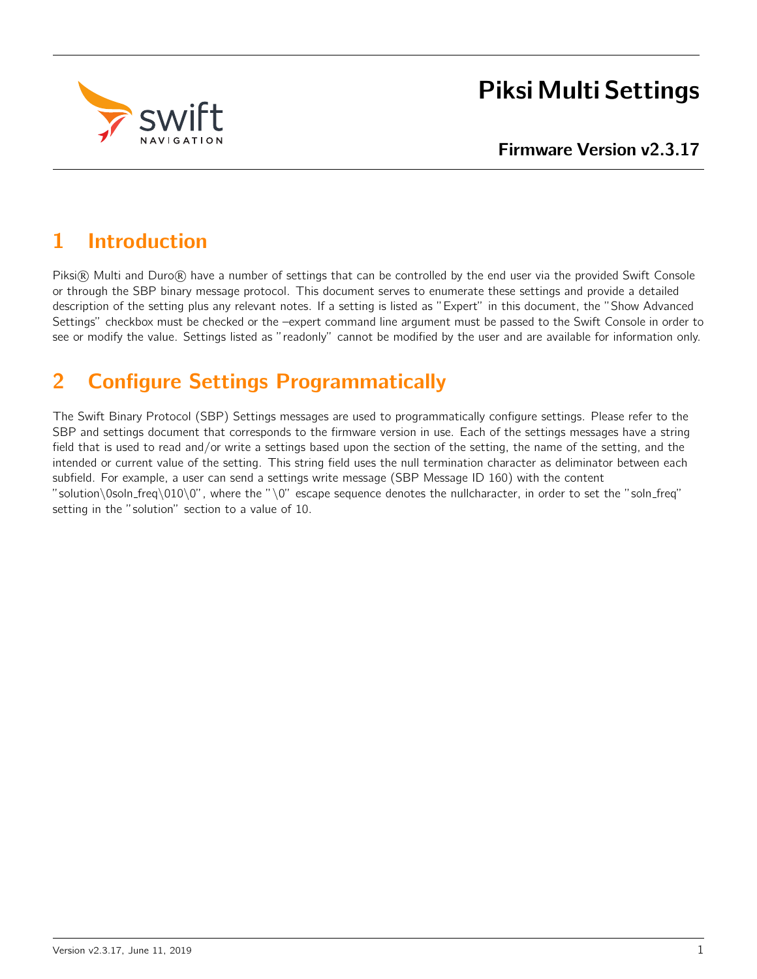

# Piksi Multi Settings

# 1 Introduction

Piksi® Multi and Duro® have a number of settings that can be controlled by the end user via the provided Swift Console or through the SBP binary message protocol. This document serves to enumerate these settings and provide a detailed description of the setting plus any relevant notes. If a setting is listed as "Expert" in this document, the "Show Advanced Settings" checkbox must be checked or the –expert command line argument must be passed to the Swift Console in order to see or modify the value. Settings listed as "readonly" cannot be modified by the user and are available for information only.

# 2 Configure Settings Programmatically

The Swift Binary Protocol (SBP) Settings messages are used to programmatically configure settings. Please refer to the SBP and settings document that corresponds to the firmware version in use. Each of the settings messages have a string field that is used to read and/or write a settings based upon the section of the setting, the name of the setting, and the intended or current value of the setting. This string field uses the null termination character as deliminator between each subfield. For example, a user can send a settings write message (SBP Message ID 160) with the content "solution\0soln\_freq\010\0", where the "\0" escape sequence denotes the nullcharacter, in order to set the "soln\_freq" setting in the "solution" section to a value of 10.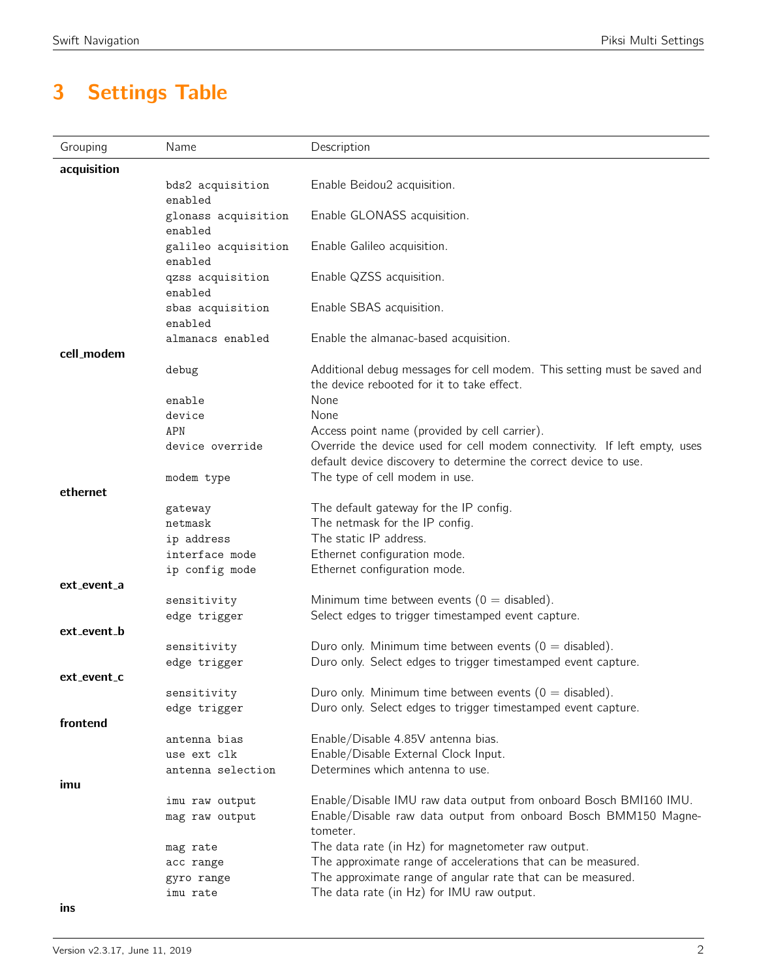# 3 Settings Table

| Grouping    | Name                           | Description                                                                                        |
|-------------|--------------------------------|----------------------------------------------------------------------------------------------------|
| acquisition |                                |                                                                                                    |
|             | bds2 acquisition               | Enable Beidou2 acquisition.                                                                        |
|             | enabled                        |                                                                                                    |
|             | glonass acquisition            | Enable GLONASS acquisition.                                                                        |
|             | enabled<br>galileo acquisition | Enable Galileo acquisition.                                                                        |
|             | enabled                        |                                                                                                    |
|             | qzss acquisition               | Enable QZSS acquisition.                                                                           |
|             | enabled                        |                                                                                                    |
|             | sbas acquisition<br>enabled    | Enable SBAS acquisition.                                                                           |
|             | almanacs enabled               | Enable the almanac-based acquisition.                                                              |
| cell modem  |                                |                                                                                                    |
|             | debug                          | Additional debug messages for cell modem. This setting must be saved and                           |
|             |                                | the device rebooted for it to take effect.                                                         |
|             | enable                         | None                                                                                               |
|             | device                         | None                                                                                               |
|             | APN                            | Access point name (provided by cell carrier).                                                      |
|             | device override                | Override the device used for cell modem connectivity. If left empty, uses                          |
|             |                                | default device discovery to determine the correct device to use.<br>The type of cell modem in use. |
| ethernet    | modem type                     |                                                                                                    |
|             | gateway                        | The default gateway for the IP config.                                                             |
|             | netmask                        | The netmask for the IP config.                                                                     |
|             | ip address                     | The static IP address.                                                                             |
|             | interface mode                 | Ethernet configuration mode.                                                                       |
|             | ip config mode                 | Ethernet configuration mode.                                                                       |
| ext_event_a |                                |                                                                                                    |
|             | sensitivity                    | Minimum time between events ( $0 =$ disabled).                                                     |
|             | edge trigger                   | Select edges to trigger timestamped event capture.                                                 |
| ext_event_b |                                |                                                                                                    |
|             | sensitivity                    | Duro only. Minimum time between events ( $0 =$ disabled).                                          |
|             | edge trigger                   | Duro only. Select edges to trigger timestamped event capture.                                      |
| ext_event_c |                                |                                                                                                    |
|             | sensitivity                    | Duro only. Minimum time between events ( $0 =$ disabled).                                          |
|             | edge trigger                   | Duro only. Select edges to trigger timestamped event capture.                                      |
| frontend    |                                |                                                                                                    |
|             | antenna bias                   | Enable/Disable 4.85V antenna bias.                                                                 |
|             | use ext clk                    | Enable/Disable External Clock Input.<br>Determines which antenna to use.                           |
|             | antenna selection              |                                                                                                    |
| imu         | imu raw output                 | Enable/Disable IMU raw data output from onboard Bosch BMI160 IMU.                                  |
|             | mag raw output                 | Enable/Disable raw data output from onboard Bosch BMM150 Magne-                                    |
|             |                                | tometer.                                                                                           |
|             | mag rate                       | The data rate (in Hz) for magnetometer raw output.                                                 |
|             | acc range                      | The approximate range of accelerations that can be measured.                                       |
|             | gyro range                     | The approximate range of angular rate that can be measured.                                        |
|             | imu rate                       | The data rate (in Hz) for IMU raw output.                                                          |
| ins         |                                |                                                                                                    |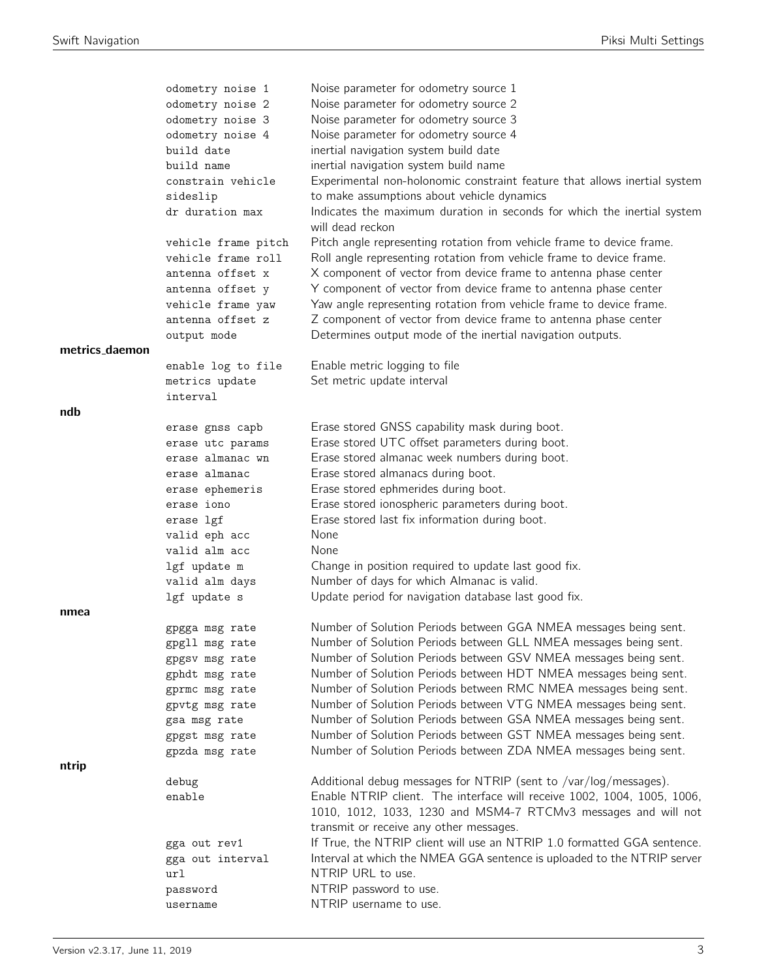|                | odometry noise 1    | Noise parameter for odometry source 1                                                                                                                                                                         |
|----------------|---------------------|---------------------------------------------------------------------------------------------------------------------------------------------------------------------------------------------------------------|
|                | odometry noise 2    | Noise parameter for odometry source 2                                                                                                                                                                         |
|                | odometry noise 3    | Noise parameter for odometry source 3                                                                                                                                                                         |
|                | odometry noise 4    | Noise parameter for odometry source 4                                                                                                                                                                         |
|                | build date          | inertial navigation system build date                                                                                                                                                                         |
|                | build name          | inertial navigation system build name                                                                                                                                                                         |
|                | constrain vehicle   | Experimental non-holonomic constraint feature that allows inertial system                                                                                                                                     |
|                | sideslip            | to make assumptions about vehicle dynamics                                                                                                                                                                    |
|                | dr duration max     | Indicates the maximum duration in seconds for which the inertial system<br>will dead reckon                                                                                                                   |
|                | vehicle frame pitch | Pitch angle representing rotation from vehicle frame to device frame.                                                                                                                                         |
|                | vehicle frame roll  | Roll angle representing rotation from vehicle frame to device frame.                                                                                                                                          |
|                | antenna offset x    | X component of vector from device frame to antenna phase center                                                                                                                                               |
|                | antenna offset y    | Y component of vector from device frame to antenna phase center                                                                                                                                               |
|                | vehicle frame yaw   | Yaw angle representing rotation from vehicle frame to device frame.                                                                                                                                           |
|                | antenna offset z    | Z component of vector from device frame to antenna phase center                                                                                                                                               |
|                | output mode         | Determines output mode of the inertial navigation outputs.                                                                                                                                                    |
| metrics_daemon |                     |                                                                                                                                                                                                               |
|                | enable log to file  | Enable metric logging to file                                                                                                                                                                                 |
|                | metrics update      | Set metric update interval                                                                                                                                                                                    |
|                | interval            |                                                                                                                                                                                                               |
| ndb            |                     |                                                                                                                                                                                                               |
|                | erase gnss capb     | Erase stored GNSS capability mask during boot.                                                                                                                                                                |
|                | erase utc params    | Erase stored UTC offset parameters during boot.                                                                                                                                                               |
|                | erase almanac wn    | Erase stored almanac week numbers during boot.                                                                                                                                                                |
|                | erase almanac       | Erase stored almanacs during boot.                                                                                                                                                                            |
|                | erase ephemeris     | Erase stored ephmerides during boot.                                                                                                                                                                          |
|                | erase iono          | Erase stored ionospheric parameters during boot.                                                                                                                                                              |
|                | erase lgf           | Erase stored last fix information during boot.                                                                                                                                                                |
|                | valid eph acc       | None                                                                                                                                                                                                          |
|                | valid alm acc       | None                                                                                                                                                                                                          |
|                | lgf update m        | Change in position required to update last good fix.                                                                                                                                                          |
|                | valid alm days      | Number of days for which Almanac is valid.                                                                                                                                                                    |
|                | lgf update s        | Update period for navigation database last good fix.                                                                                                                                                          |
| nmea           |                     |                                                                                                                                                                                                               |
|                | gpgga msg rate      | Number of Solution Periods between GGA NMEA messages being sent.                                                                                                                                              |
|                | gpgll msg rate      | Number of Solution Periods between GLL NMEA messages being sent.                                                                                                                                              |
|                | gpgsv msg rate      | Number of Solution Periods between GSV NMEA messages being sent.                                                                                                                                              |
|                | gphdt msg rate      | Number of Solution Periods between HDT NMEA messages being sent.                                                                                                                                              |
|                | gprmc msg rate      | Number of Solution Periods between RMC NMEA messages being sent.                                                                                                                                              |
|                | gpvtg msg rate      | Number of Solution Periods between VTG NMEA messages being sent.                                                                                                                                              |
|                | gsa msg rate        | Number of Solution Periods between GSA NMEA messages being sent.                                                                                                                                              |
|                | gpgst msg rate      | Number of Solution Periods between GST NMEA messages being sent.                                                                                                                                              |
|                | gpzda msg rate      | Number of Solution Periods between ZDA NMEA messages being sent.                                                                                                                                              |
| ntrip          |                     |                                                                                                                                                                                                               |
|                | debug<br>enable     | Additional debug messages for NTRIP (sent to /var/log/messages).<br>Enable NTRIP client. The interface will receive 1002, 1004, 1005, 1006,<br>1010, 1012, 1033, 1230 and MSM4-7 RTCMv3 messages and will not |
|                |                     | transmit or receive any other messages.                                                                                                                                                                       |
|                | gga out rev1        | If True, the NTRIP client will use an NTRIP 1.0 formatted GGA sentence.                                                                                                                                       |
|                | gga out interval    | Interval at which the NMEA GGA sentence is uploaded to the NTRIP server                                                                                                                                       |
|                | url                 | NTRIP URL to use.                                                                                                                                                                                             |
|                | password            | NTRIP password to use.                                                                                                                                                                                        |
|                | username            | NTRIP username to use.                                                                                                                                                                                        |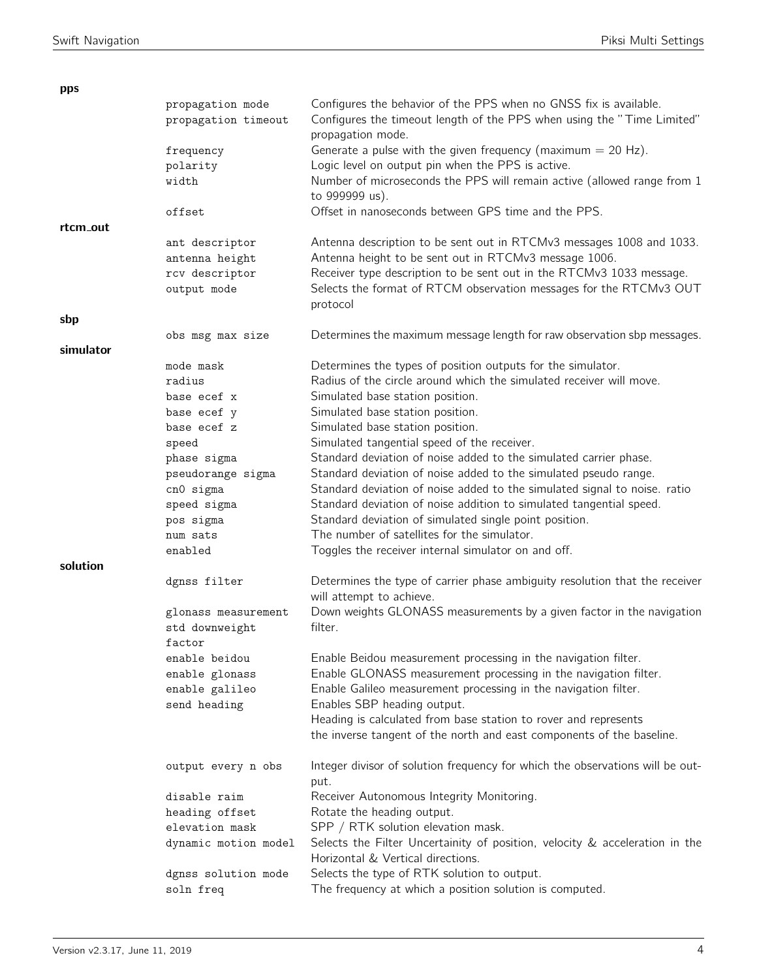| pps       |                      |                                                                                                                  |
|-----------|----------------------|------------------------------------------------------------------------------------------------------------------|
|           | propagation mode     | Configures the behavior of the PPS when no GNSS fix is available.                                                |
|           | propagation timeout  | Configures the timeout length of the PPS when using the "Time Limited"<br>propagation mode.                      |
|           | frequency            | Generate a pulse with the given frequency (maximum $= 20$ Hz).                                                   |
|           | polarity             | Logic level on output pin when the PPS is active.                                                                |
|           | width                | Number of microseconds the PPS will remain active (allowed range from 1                                          |
|           |                      | to 999999 us).                                                                                                   |
|           | offset               | Offset in nanoseconds between GPS time and the PPS.                                                              |
| rtcm_out  |                      |                                                                                                                  |
|           | ant descriptor       | Antenna description to be sent out in RTCMv3 messages 1008 and 1033.                                             |
|           | antenna height       | Antenna height to be sent out in RTCMv3 message 1006.                                                            |
|           | rcv descriptor       | Receiver type description to be sent out in the RTCMv3 1033 message.                                             |
|           | output mode          | Selects the format of RTCM observation messages for the RTCMv3 OUT                                               |
|           |                      | protocol                                                                                                         |
| sbp       |                      |                                                                                                                  |
|           | obs msg max size     | Determines the maximum message length for raw observation sbp messages.                                          |
| simulator |                      |                                                                                                                  |
|           | mode mask            | Determines the types of position outputs for the simulator.                                                      |
|           | radius               | Radius of the circle around which the simulated receiver will move.                                              |
|           | base ecef x          | Simulated base station position.                                                                                 |
|           | base ecef y          | Simulated base station position.                                                                                 |
|           | base ecef z          | Simulated base station position.                                                                                 |
|           | speed                | Simulated tangential speed of the receiver.                                                                      |
|           | phase sigma          | Standard deviation of noise added to the simulated carrier phase.                                                |
|           | pseudorange sigma    | Standard deviation of noise added to the simulated pseudo range.                                                 |
|           | cn0 sigma            | Standard deviation of noise added to the simulated signal to noise. ratio                                        |
|           | speed sigma          | Standard deviation of noise addition to simulated tangential speed.                                              |
|           |                      | Standard deviation of simulated single point position.                                                           |
|           | pos sigma            | The number of satellites for the simulator.                                                                      |
|           | num sats             |                                                                                                                  |
|           | enabled              | Toggles the receiver internal simulator on and off.                                                              |
| solution  |                      |                                                                                                                  |
|           | dgnss filter         | Determines the type of carrier phase ambiguity resolution that the receiver<br>will attempt to achieve.          |
|           | glonass measurement  | Down weights GLONASS measurements by a given factor in the navigation                                            |
|           | std downweight       | filter.                                                                                                          |
|           | factor               |                                                                                                                  |
|           | enable beidou        | Enable Beidou measurement processing in the navigation filter.                                                   |
|           | enable glonass       | Enable GLONASS measurement processing in the navigation filter.                                                  |
|           | enable galileo       | Enable Galileo measurement processing in the navigation filter.                                                  |
|           | send heading         | Enables SBP heading output.                                                                                      |
|           |                      | Heading is calculated from base station to rover and represents                                                  |
|           |                      | the inverse tangent of the north and east components of the baseline.                                            |
|           | output every n obs   | Integer divisor of solution frequency for which the observations will be out-                                    |
|           |                      | put.                                                                                                             |
|           | disable raim         | Receiver Autonomous Integrity Monitoring.                                                                        |
|           | heading offset       | Rotate the heading output.                                                                                       |
|           | elevation mask       | SPP / RTK solution elevation mask.                                                                               |
|           | dynamic motion model | Selects the Filter Uncertainity of position, velocity & acceleration in the<br>Horizontal & Vertical directions. |
|           | dgnss solution mode  | Selects the type of RTK solution to output.                                                                      |
|           | soln freq            | The frequency at which a position solution is computed.                                                          |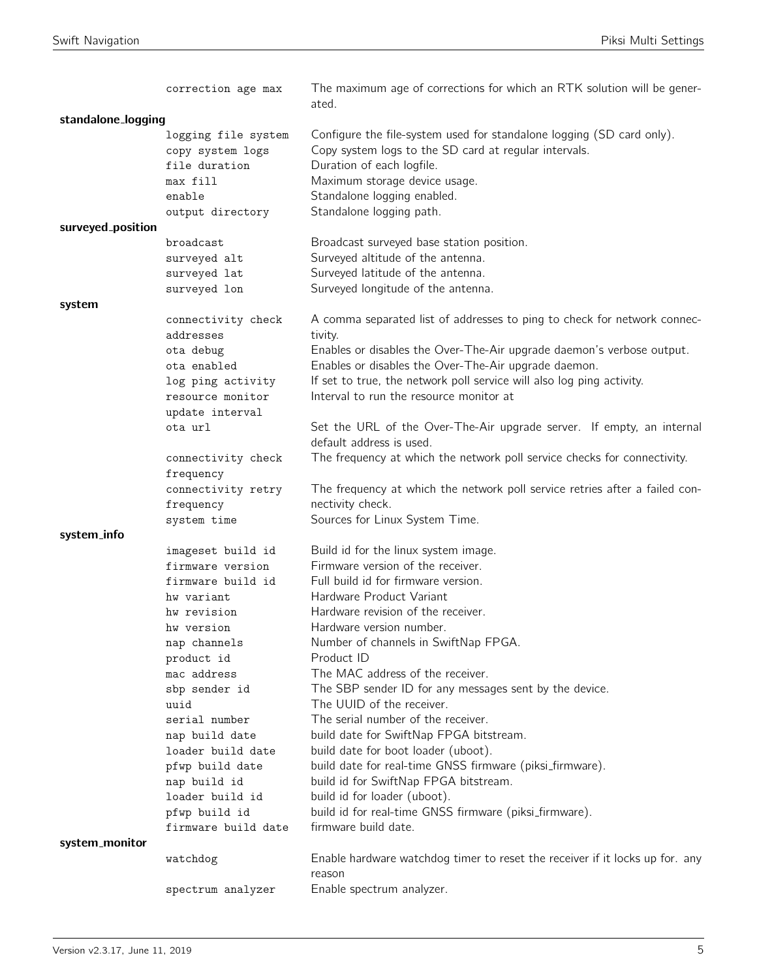|                    | correction age max  | The maximum age of corrections for which an RTK solution will be gener-<br>ated. |
|--------------------|---------------------|----------------------------------------------------------------------------------|
| standalone_logging |                     |                                                                                  |
|                    | logging file system | Configure the file-system used for standalone logging (SD card only).            |
|                    | copy system logs    | Copy system logs to the SD card at regular intervals.                            |
|                    | file duration       | Duration of each logfile.                                                        |
|                    | max fill            | Maximum storage device usage.                                                    |
|                    | enable              | Standalone logging enabled.                                                      |
|                    | output directory    | Standalone logging path.                                                         |
| surveyed_position  |                     |                                                                                  |
|                    | broadcast           | Broadcast surveyed base station position.                                        |
|                    | surveyed alt        | Surveyed altitude of the antenna.                                                |
|                    | surveyed lat        | Surveyed latitude of the antenna.                                                |
|                    | surveyed lon        | Surveyed longitude of the antenna.                                               |
| system             |                     |                                                                                  |
|                    | connectivity check  | A comma separated list of addresses to ping to check for network connec-         |
|                    | addresses           | tivity.                                                                          |
|                    | ota debug           | Enables or disables the Over-The-Air upgrade daemon's verbose output.            |
|                    | ota enabled         | Enables or disables the Over-The-Air upgrade daemon.                             |
|                    | log ping activity   | If set to true, the network poll service will also log ping activity.            |
|                    | resource monitor    | Interval to run the resource monitor at                                          |
|                    | update interval     |                                                                                  |
|                    | ota url             | Set the URL of the Over-The-Air upgrade server. If empty, an internal            |
|                    |                     | default address is used.                                                         |
|                    | connectivity check  | The frequency at which the network poll service checks for connectivity.         |
|                    | frequency           |                                                                                  |
|                    | connectivity retry  | The frequency at which the network poll service retries after a failed con-      |
|                    | frequency           | nectivity check.                                                                 |
|                    | system time         | Sources for Linux System Time.                                                   |
| system_info        |                     |                                                                                  |
|                    | imageset build id   | Build id for the linux system image.                                             |
|                    | firmware version    | Firmware version of the receiver.                                                |
|                    | firmware build id   | Full build id for firmware version.                                              |
|                    | hw variant          | Hardware Product Variant                                                         |
|                    | hw revision         | Hardware revision of the receiver.                                               |
|                    | hw version          | Hardware version number.                                                         |
|                    | nap channels        | Number of channels in SwiftNap FPGA.                                             |
|                    | product id          | Product ID                                                                       |
|                    | mac address         | The MAC address of the receiver.                                                 |
|                    | sbp sender id       | The SBP sender ID for any messages sent by the device.                           |
|                    | uuid                | The UUID of the receiver.                                                        |
|                    | serial number       | The serial number of the receiver.                                               |
|                    | nap build date      | build date for SwiftNap FPGA bitstream.                                          |
|                    | loader build date   | build date for boot loader (uboot).                                              |
|                    | pfwp build date     | build date for real-time GNSS firmware (piksi_firmware).                         |
|                    | nap build id        | build id for SwiftNap FPGA bitstream.                                            |
|                    | loader build id     | build id for loader (uboot).                                                     |
|                    | pfwp build id       | build id for real-time GNSS firmware (piksi_firmware).                           |
|                    | firmware build date | firmware build date.                                                             |
| system_monitor     |                     |                                                                                  |
|                    | watchdog            | Enable hardware watchdog timer to reset the receiver if it locks up for. any     |
|                    |                     | reason                                                                           |
|                    | spectrum analyzer   | Enable spectrum analyzer.                                                        |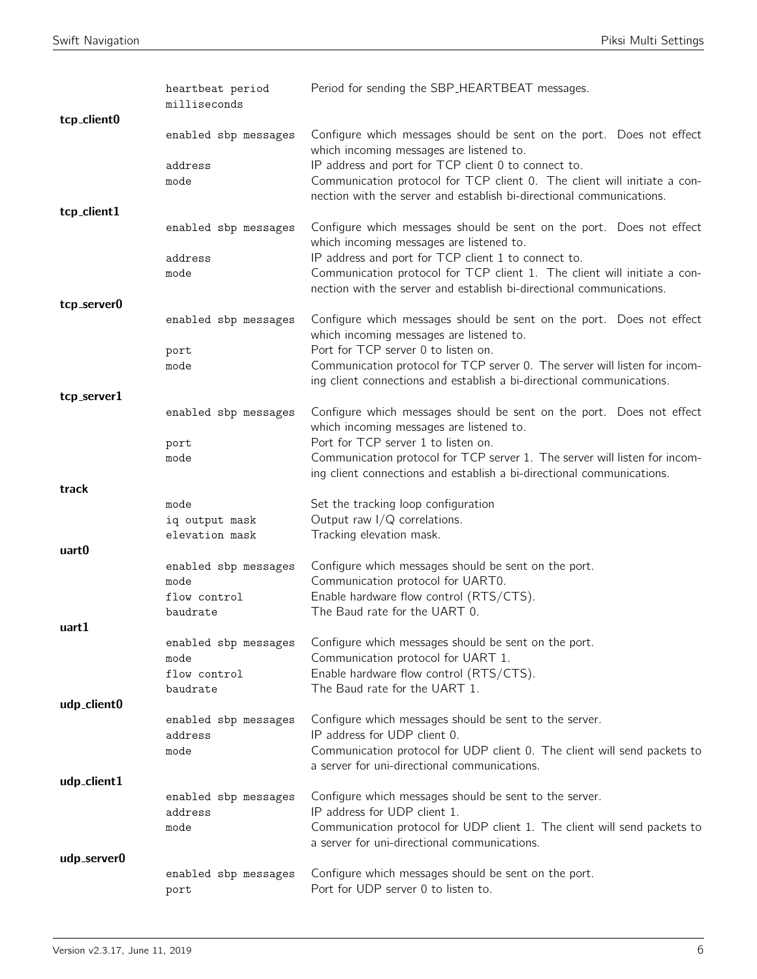|             | heartbeat period<br>milliseconds | Period for sending the SBP_HEARTBEAT messages.                                                                                                   |
|-------------|----------------------------------|--------------------------------------------------------------------------------------------------------------------------------------------------|
| tcp_client0 |                                  |                                                                                                                                                  |
|             | enabled sbp messages             | Configure which messages should be sent on the port. Does not effect<br>which incoming messages are listened to.                                 |
|             | address                          | IP address and port for TCP client 0 to connect to.                                                                                              |
|             | mode                             | Communication protocol for TCP client 0. The client will initiate a con-                                                                         |
| tcp_client1 |                                  | nection with the server and establish bi-directional communications.                                                                             |
|             | enabled sbp messages             | Configure which messages should be sent on the port. Does not effect<br>which incoming messages are listened to.                                 |
|             | address                          | IP address and port for TCP client 1 to connect to.                                                                                              |
|             | mode                             | Communication protocol for TCP client 1. The client will initiate a con-<br>nection with the server and establish bi-directional communications. |
| tcp_server0 |                                  |                                                                                                                                                  |
|             | enabled sbp messages             | Configure which messages should be sent on the port. Does not effect<br>which incoming messages are listened to.                                 |
|             | port                             | Port for TCP server 0 to listen on.<br>Communication protocol for TCP server 0. The server will listen for incom-                                |
|             | mode                             | ing client connections and establish a bi-directional communications.                                                                            |
| tcp_server1 |                                  |                                                                                                                                                  |
|             | enabled sbp messages             | Configure which messages should be sent on the port. Does not effect<br>which incoming messages are listened to.                                 |
|             | port<br>mode                     | Port for TCP server 1 to listen on.<br>Communication protocol for TCP server 1. The server will listen for incom-                                |
|             |                                  | ing client connections and establish a bi-directional communications.                                                                            |
| track       |                                  |                                                                                                                                                  |
|             |                                  |                                                                                                                                                  |
|             | mode                             | Set the tracking loop configuration                                                                                                              |
|             | iq output mask<br>elevation mask | Output raw $I/Q$ correlations.                                                                                                                   |
| uart0       |                                  | Tracking elevation mask.                                                                                                                         |
|             | enabled sbp messages             | Configure which messages should be sent on the port.                                                                                             |
|             | mode                             | Communication protocol for UART0.                                                                                                                |
|             | flow control<br>baudrate         | Enable hardware flow control (RTS/CTS).<br>The Baud rate for the UART 0.                                                                         |
| uart1       |                                  |                                                                                                                                                  |
|             | enabled sbp messages             | Configure which messages should be sent on the port.                                                                                             |
|             | mode<br>flow control             | Communication protocol for UART 1.<br>Enable hardware flow control (RTS/CTS).                                                                    |
|             | baudrate                         | The Baud rate for the UART 1.                                                                                                                    |
| udp_client0 |                                  |                                                                                                                                                  |
|             | enabled sbp messages<br>address  | Configure which messages should be sent to the server.                                                                                           |
|             | mode                             | IP address for UDP client 0.<br>Communication protocol for UDP client 0. The client will send packets to                                         |
|             |                                  | a server for uni-directional communications.                                                                                                     |
| udp_client1 |                                  |                                                                                                                                                  |
|             | enabled sbp messages<br>address  | Configure which messages should be sent to the server.<br>IP address for UDP client 1.                                                           |
|             | mode                             | Communication protocol for UDP client 1. The client will send packets to                                                                         |
|             |                                  | a server for uni-directional communications.                                                                                                     |
| udp_server0 | enabled sbp messages             | Configure which messages should be sent on the port.                                                                                             |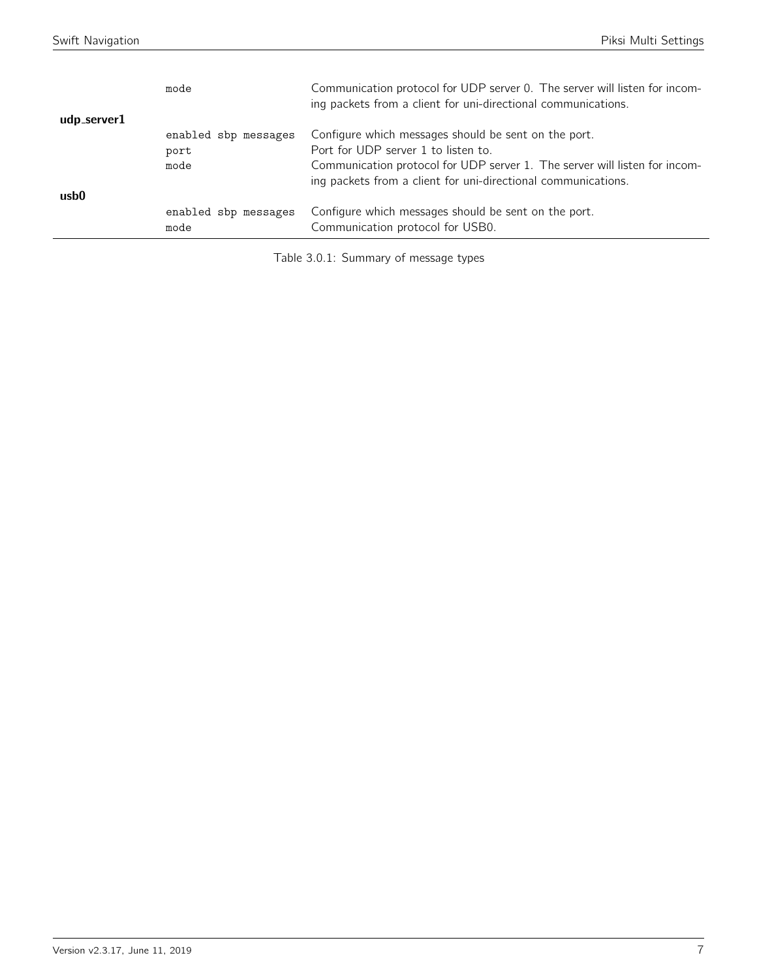|             | mode                 | Communication protocol for UDP server 0. The server will listen for incom-<br>ing packets from a client for uni-directional communications. |
|-------------|----------------------|---------------------------------------------------------------------------------------------------------------------------------------------|
| udp_server1 |                      |                                                                                                                                             |
|             | enabled sbp messages | Configure which messages should be sent on the port.                                                                                        |
|             | port                 | Port for UDP server 1 to listen to.                                                                                                         |
|             | mode                 | Communication protocol for UDP server 1. The server will listen for incom-<br>ing packets from a client for uni-directional communications. |
| usb0        |                      |                                                                                                                                             |
|             | enabled sbp messages | Configure which messages should be sent on the port.                                                                                        |
|             | mode                 | Communication protocol for USB0.                                                                                                            |

Table 3.0.1: Summary of message types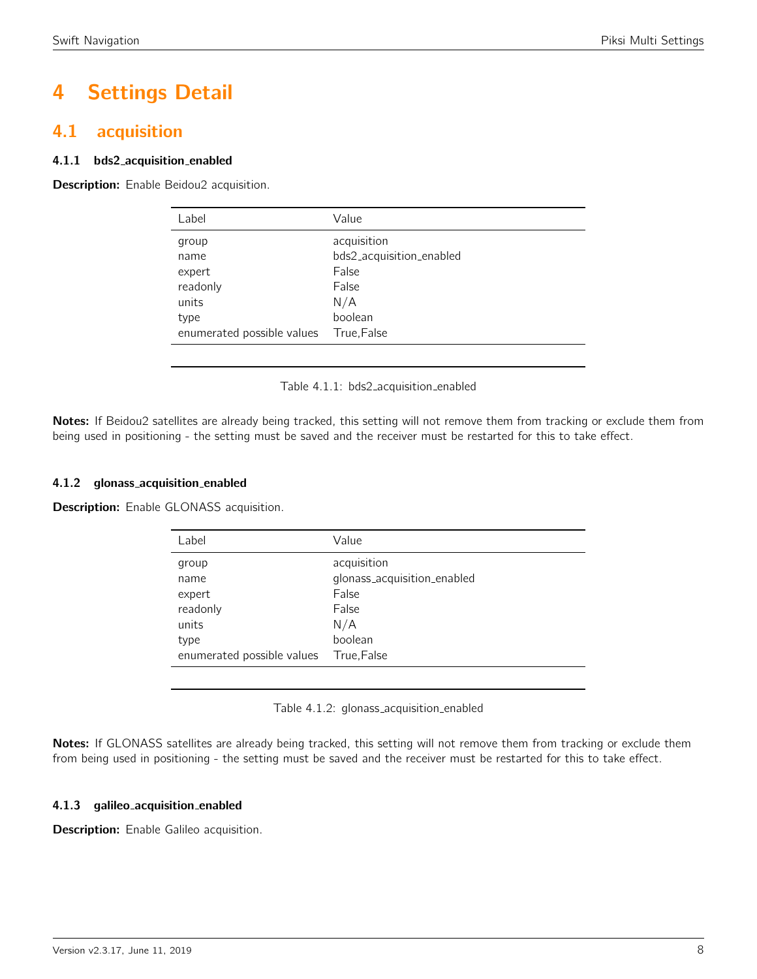# 4 Settings Detail

# <span id="page-7-0"></span>4.1 acquisition

## 4.1.1 bds2 acquisition enabled

<span id="page-7-1"></span>Description: Enable Beidou2 acquisition.

| Label                      | Value                    |
|----------------------------|--------------------------|
| group                      | acquisition              |
| name                       | bds2_acquisition_enabled |
| expert                     | False                    |
| readonly                   | False                    |
| units                      | N/A                      |
| type                       | boolean                  |
| enumerated possible values | True, False              |
|                            |                          |

Table 4.1.1: bds2 acquisition enabled

Notes: If Beidou2 satellites are already being tracked, this setting will not remove them from tracking or exclude them from being used in positioning - the setting must be saved and the receiver must be restarted for this to take effect.

#### 4.1.2 glonass acquisition enabled

<span id="page-7-2"></span>**Description:** Enable GLONASS acquisition.

| Label                      | Value                       |
|----------------------------|-----------------------------|
| group                      | acquisition                 |
| name                       | glonass_acquisition_enabled |
| expert                     | False                       |
| readonly                   | False                       |
| units                      | N/A                         |
| type                       | boolean                     |
| enumerated possible values | True, False                 |

Table 4.1.2: glonass\_acquisition\_enabled

Notes: If GLONASS satellites are already being tracked, this setting will not remove them from tracking or exclude them from being used in positioning - the setting must be saved and the receiver must be restarted for this to take effect.

# 4.1.3 galileo acquisition enabled

Description: Enable Galileo acquisition.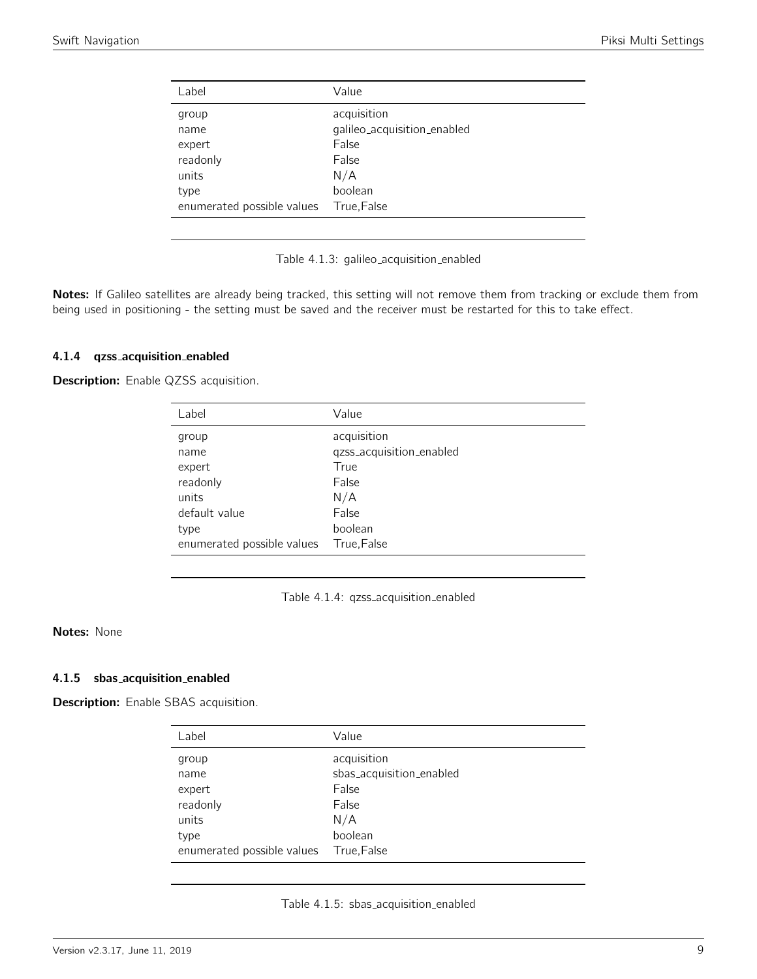<span id="page-8-0"></span>

| Label                               | Value                                                        |
|-------------------------------------|--------------------------------------------------------------|
| group<br>name<br>expert<br>readonly | acquisition<br>galileo_acquisition_enabled<br>False<br>False |
| units                               | N/A                                                          |
| type                                | boolean                                                      |
| enumerated possible values          | True,False                                                   |
|                                     |                                                              |

Table 4.1.3: galileo acquisition enabled

Notes: If Galileo satellites are already being tracked, this setting will not remove them from tracking or exclude them from being used in positioning - the setting must be saved and the receiver must be restarted for this to take effect.

#### 4.1.4 qzss acquisition enabled

<span id="page-8-1"></span>Description: Enable QZSS acquisition.

| Label                                                         | Value                                                                    |
|---------------------------------------------------------------|--------------------------------------------------------------------------|
| group<br>name<br>expert<br>readonly<br>units<br>default value | acquisition<br>qzss_acquisition_enabled<br>True<br>False<br>N/A<br>False |
|                                                               | boolean                                                                  |
|                                                               |                                                                          |
| type<br>enumerated possible values                            | True, False                                                              |
|                                                               |                                                                          |

Table 4.1.4: qzss acquisition enabled

### Notes: None

#### 4.1.5 sbas acquisition enabled

<span id="page-8-2"></span>Description: Enable SBAS acquisition.

| Label                      | Value                    |
|----------------------------|--------------------------|
| group                      | acquisition              |
| name                       | sbas_acquisition_enabled |
| expert                     | False                    |
| readonly                   | False                    |
| units                      | N/A                      |
| type                       | boolean                  |
| enumerated possible values | True, False              |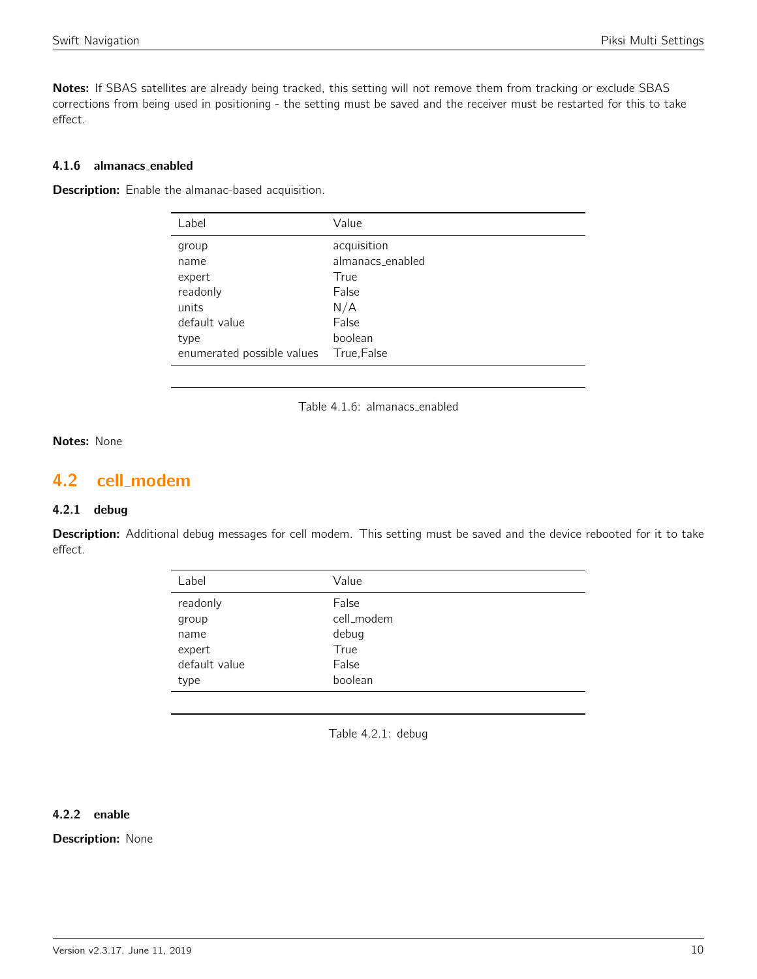Notes: If SBAS satellites are already being tracked, this setting will not remove them from tracking or exclude SBAS corrections from being used in positioning - the setting must be saved and the receiver must be restarted for this to take effect.

#### 4.1.6 almanacs enabled

**Description:** Enable the almanac-based acquisition.

| Value            |
|------------------|
| acquisition      |
| almanacs_enabled |
| True             |
| False            |
| N/A              |
| False            |
| boolean          |
| True, False      |
|                  |

Table 4.1.6: almanacs enabled

#### Notes: None

# <span id="page-9-0"></span>4.2 cell modem

### 4.2.1 debug

<span id="page-9-1"></span>Description: Additional debug messages for cell modem. This setting must be saved and the device rebooted for it to take effect.

| Label         | Value      |
|---------------|------------|
| readonly      | False      |
| group         | cell_modem |
| name          | debug      |
| expert        | True       |
| default value | False      |
| type          | boolean    |
|               |            |

Table 4.2.1: debug

# 4.2.2 enable

**Description: None**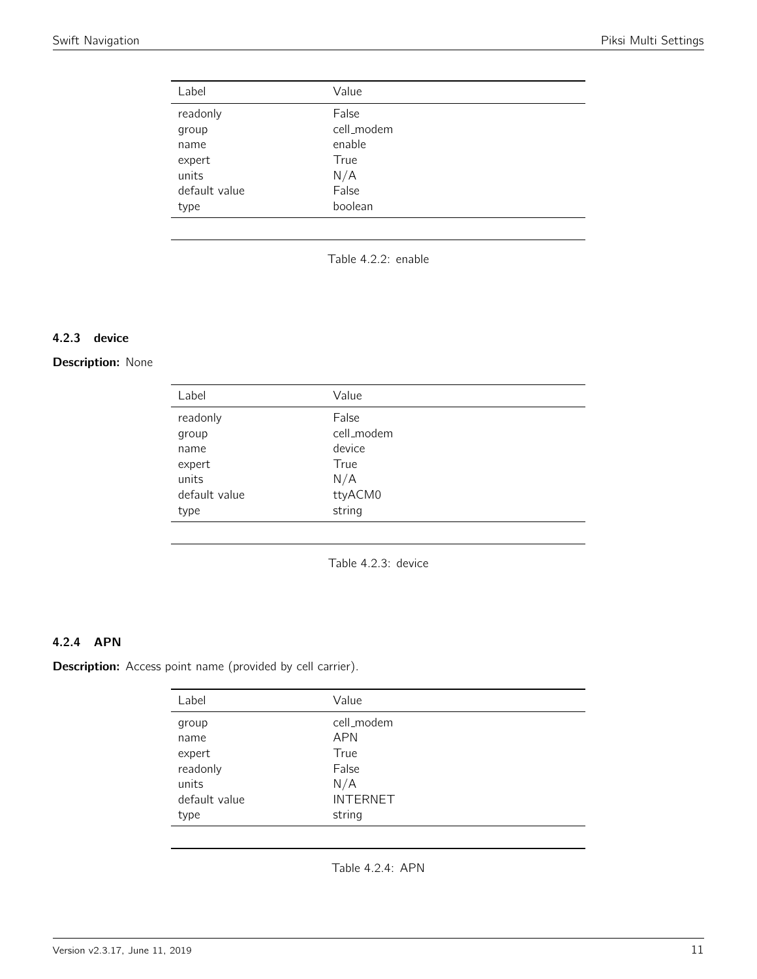<span id="page-10-0"></span>

| Label         | Value      |
|---------------|------------|
| readonly      | False      |
| group         | cell_modem |
| name          | enable     |
| expert        | True       |
| units         | N/A        |
| default value | False      |
| type          | boolean    |

Table 4.2.2: enable

#### 4.2.3 device

## <span id="page-10-1"></span>Description: None

| Label         | Value      |
|---------------|------------|
| readonly      | False      |
| group         | cell_modem |
| name          | device     |
| expert        | True       |
| units         | N/A        |
| default value | ttyACM0    |
| type          | string     |
|               |            |

Table 4.2.3: device

# 4.2.4 APN

<span id="page-10-2"></span>Description: Access point name (provided by cell carrier).

| Label         | Value           |
|---------------|-----------------|
| group         | cell_modem      |
| name          | <b>APN</b>      |
| expert        | True            |
| readonly      | False           |
| units         | N/A             |
| default value | <b>INTERNET</b> |
| type          | string          |

Table 4.2.4: APN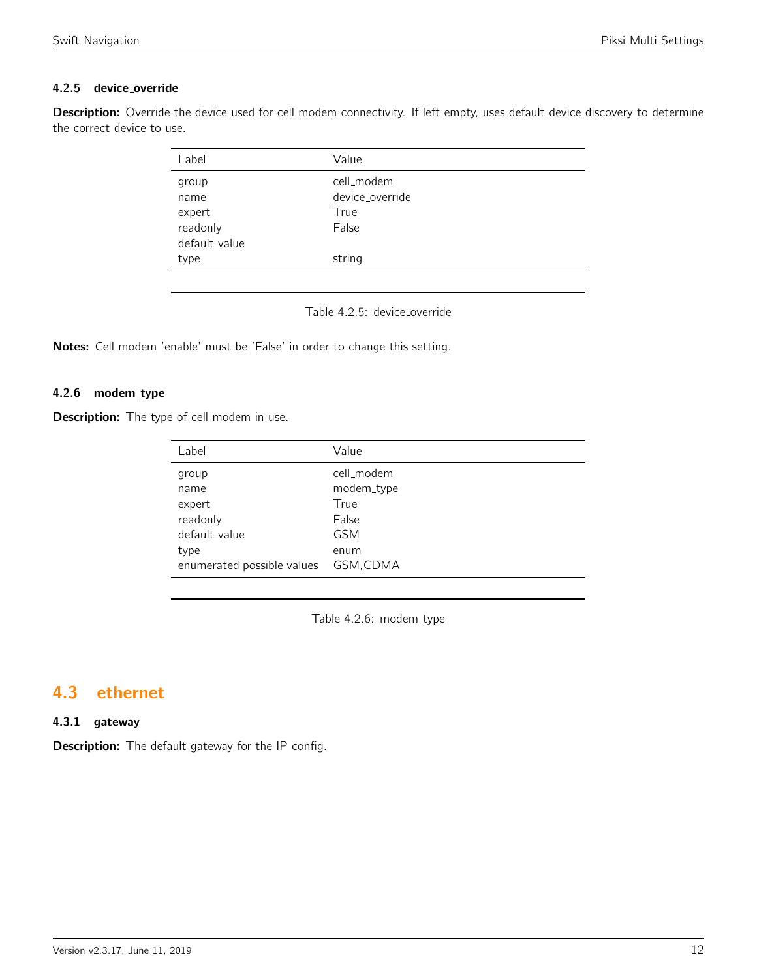# 4.2.5 device override

<span id="page-11-0"></span>Description: Override the device used for cell modem connectivity. If left empty, uses default device discovery to determine the correct device to use.

| Label         | Value           |
|---------------|-----------------|
| group         | cell_modem      |
| name          | device override |
| expert        | True            |
| readonly      | False           |
| default value |                 |
| type          | string          |
|               |                 |

Table 4.2.5: device\_override

Notes: Cell modem 'enable' must be 'False' in order to change this setting.

#### 4.2.6 modem\_type

Description: The type of cell modem in use.

| Label                                                                                      | Value                                                                        |
|--------------------------------------------------------------------------------------------|------------------------------------------------------------------------------|
| group<br>name<br>expert<br>readonly<br>default value<br>type<br>enumerated possible values | cell_modem<br>modem_type<br>True<br>False<br><b>GSM</b><br>enum<br>GSM, CDMA |
|                                                                                            |                                                                              |

Table 4.2.6: modem\_type

# <span id="page-11-1"></span>4.3 ethernet

#### 4.3.1 gateway

**Description:** The default gateway for the IP config.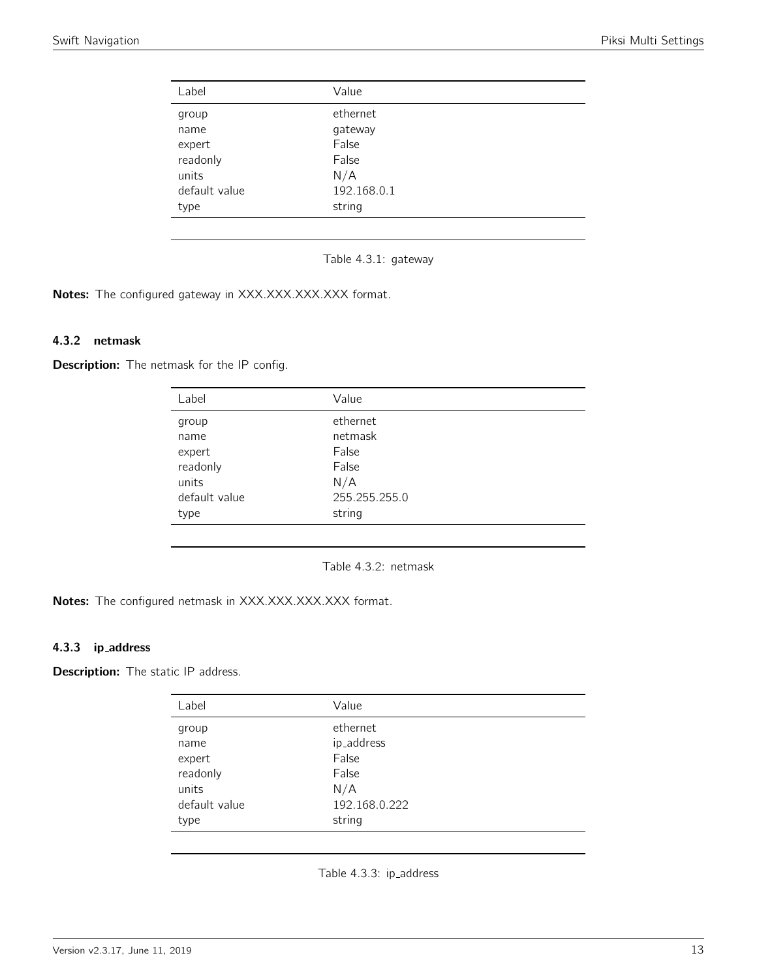<span id="page-12-0"></span>

| Label         | Value       |
|---------------|-------------|
| group         | ethernet    |
| name          | gateway     |
| expert        | False       |
| readonly      | False       |
| units         | N/A         |
| default value | 192.168.0.1 |
| type          | string      |

Table 4.3.1: gateway

Notes: The configured gateway in XXX.XXX.XXX.XXX format.

### 4.3.2 netmask

<span id="page-12-1"></span>Description: The netmask for the IP config.

| Label         | Value         |
|---------------|---------------|
| group         | ethernet      |
| name          | netmask       |
| expert        | False         |
| readonly      | False         |
| units         | N/A           |
| default value | 255.255.255.0 |
| type          | string        |

Table 4.3.2: netmask

Notes: The configured netmask in XXX.XXX.XXX.XXX format.

# 4.3.3 ip address

<span id="page-12-2"></span>**Description:** The static IP address.

| Label         | Value         |  |
|---------------|---------------|--|
| group         | ethernet      |  |
| name          | ip_address    |  |
| expert        | False         |  |
| readonly      | False         |  |
| units         | N/A           |  |
| default value | 192.168.0.222 |  |
| type          | string        |  |
|               |               |  |

Table 4.3.3: ip\_address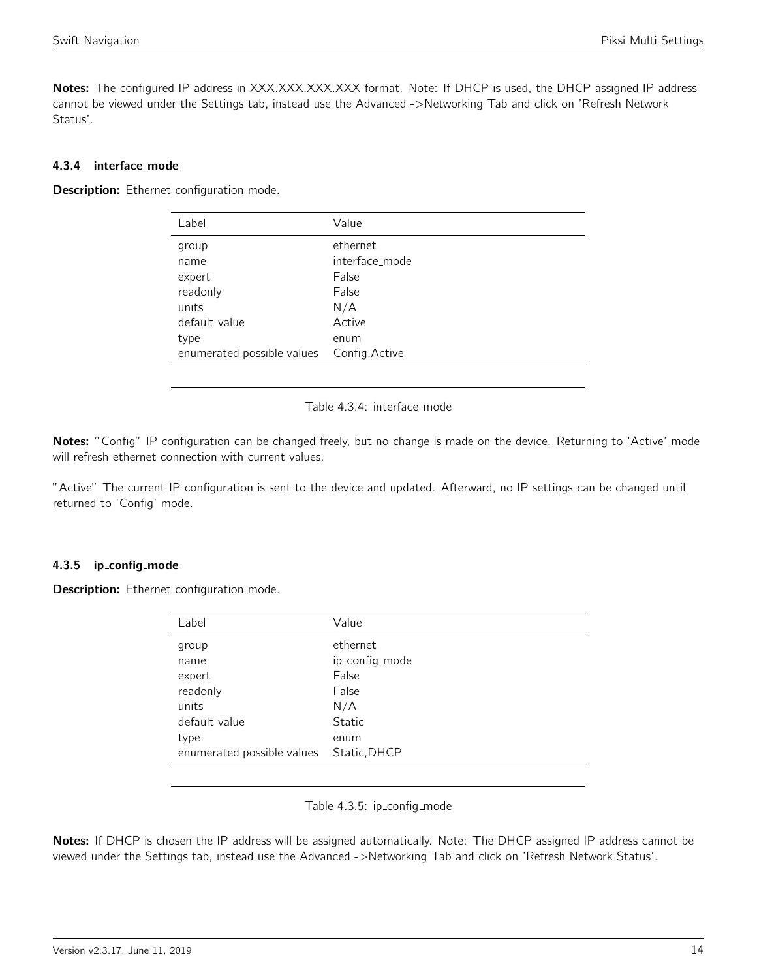Notes: The configured IP address in XXX.XXX.XXX.XXX format. Note: If DHCP is used, the DHCP assigned IP address cannot be viewed under the Settings tab, instead use the Advanced ->Networking Tab and click on 'Refresh Network Status'.

#### 4.3.4 interface mode

<span id="page-13-0"></span>Description: Ethernet configuration mode.

| Label                      | Value          |
|----------------------------|----------------|
| group                      | ethernet       |
| name                       | interface mode |
| expert                     | False          |
| readonly                   | False          |
| units                      | N/A            |
| default value              | Active         |
| type                       | enum           |
| enumerated possible values | Config, Active |
|                            |                |

Table 4.3.4: interface\_mode

Notes: "Config" IP configuration can be changed freely, but no change is made on the device. Returning to 'Active' mode will refresh ethernet connection with current values.

"Active" The current IP configuration is sent to the device and updated. Afterward, no IP settings can be changed until returned to 'Config' mode.

#### 4.3.5 ip config mode

Description: Ethernet configuration mode.

| Label                      | Value          |
|----------------------------|----------------|
|                            |                |
| group                      | ethernet       |
| name                       | ip_config_mode |
| expert                     | False          |
| readonly                   | False          |
| units                      | N/A            |
| default value              | Static         |
| type                       | enum           |
| enumerated possible values | Static, DHCP   |
|                            |                |

Table 4.3.5: ip\_config\_mode

Notes: If DHCP is chosen the IP address will be assigned automatically. Note: The DHCP assigned IP address cannot be viewed under the Settings tab, instead use the Advanced ->Networking Tab and click on 'Refresh Network Status'.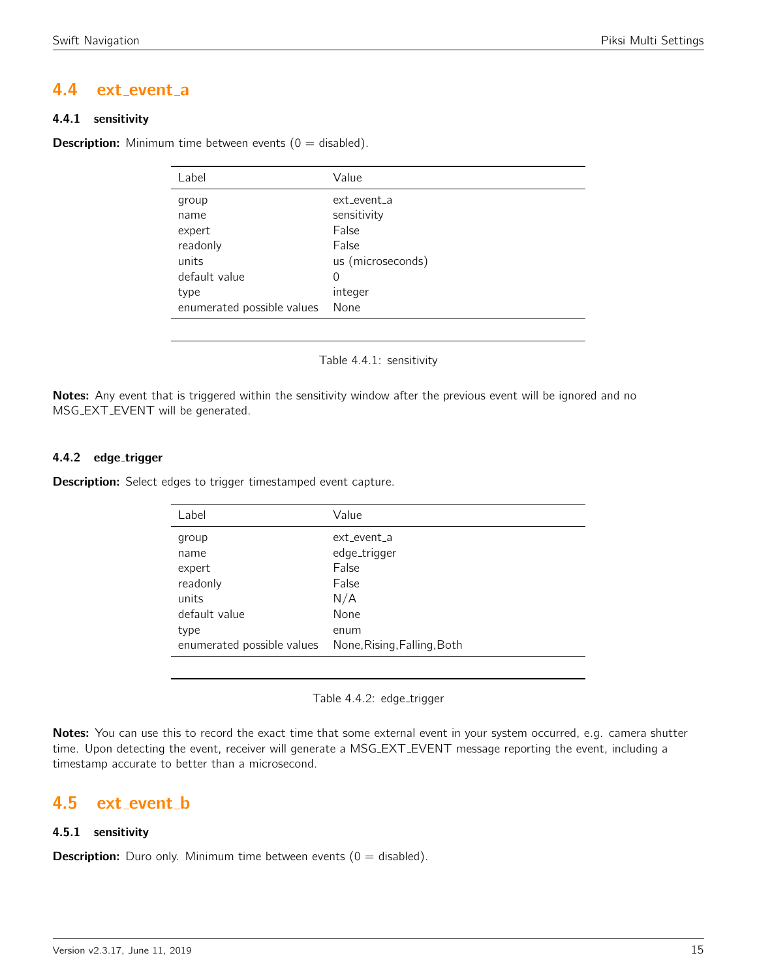# <span id="page-14-0"></span>4.4 ext event a

## 4.4.1 sensitivity

<span id="page-14-1"></span>**Description:** Minimum time between events ( $0 =$  disabled).

| Label                      | Value             |
|----------------------------|-------------------|
| group                      | ext_event_a       |
| name                       | sensitivity       |
| expert                     | False             |
| readonly                   | False             |
| units                      | us (microseconds) |
| default value              | 0                 |
| type                       | integer           |
| enumerated possible values | None              |

Table 4.4.1: sensitivity

Notes: Any event that is triggered within the sensitivity window after the previous event will be ignored and no MSG EXT EVENT will be generated.

# 4.4.2 edge\_trigger

**Description:** Select edges to trigger timestamped event capture.

| Label                      | Value                       |
|----------------------------|-----------------------------|
| group                      | ext event a                 |
| name                       | edge_trigger                |
| expert                     | False                       |
| readonly                   | False                       |
| units                      | N/A                         |
| default value              | None                        |
| type                       | enum                        |
| enumerated possible values | None, Rising, Falling, Both |

Table 4.4.2: edge\_trigger

Notes: You can use this to record the exact time that some external event in your system occurred, e.g. camera shutter time. Upon detecting the event, receiver will generate a MSG EXT EVENT message reporting the event, including a timestamp accurate to better than a microsecond.

# <span id="page-14-2"></span>4.5 ext\_event\_b

# 4.5.1 sensitivity

**Description:** Duro only. Minimum time between events  $(0 = \text{disabled})$ .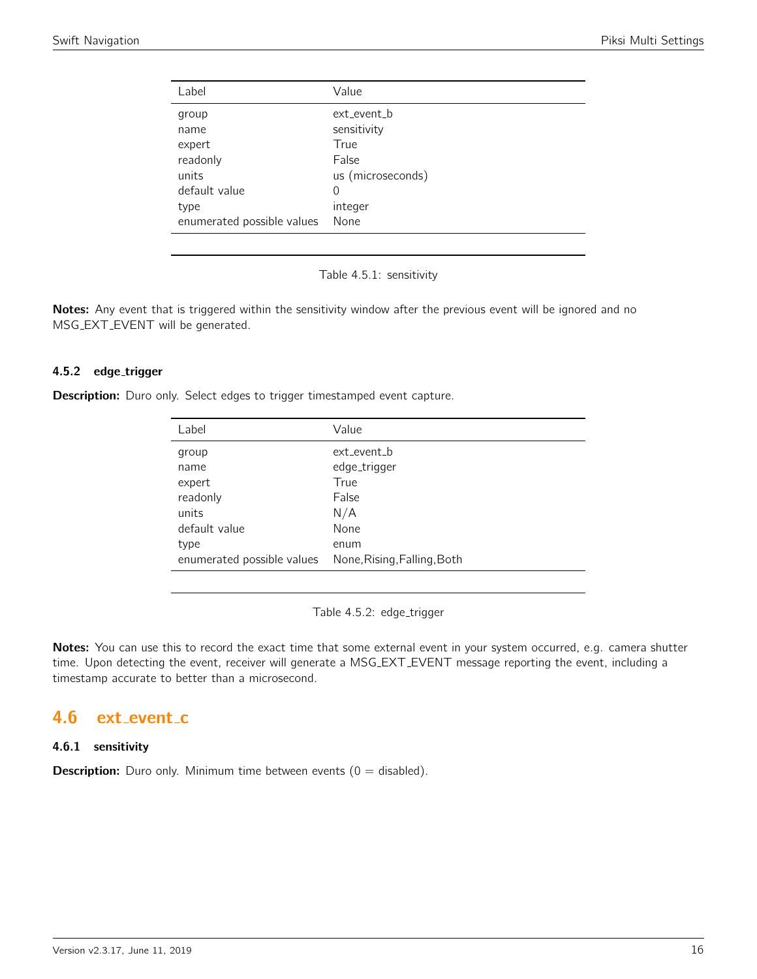<span id="page-15-0"></span>

| Label                      | Value             |
|----------------------------|-------------------|
| group                      | ext_event_b       |
| name                       | sensitivity       |
| expert                     | True              |
| readonly                   | False             |
| units                      | us (microseconds) |
| default value              | 0                 |
| type                       | integer           |
| enumerated possible values | None              |

Table 4.5.1: sensitivity

Notes: Any event that is triggered within the sensitivity window after the previous event will be ignored and no MSG EXT EVENT will be generated.

#### 4.5.2 edge\_trigger

**Description:** Duro only. Select edges to trigger timestamped event capture.

| Label                      | Value                       |
|----------------------------|-----------------------------|
| group                      | ext event b                 |
| name                       | edge_trigger                |
| expert                     | True                        |
| readonly                   | False                       |
| units                      | N/A                         |
| default value              | None                        |
| type                       | enum                        |
| enumerated possible values | None, Rising, Falling, Both |

Table 4.5.2: edge\_trigger

Notes: You can use this to record the exact time that some external event in your system occurred, e.g. camera shutter time. Upon detecting the event, receiver will generate a MSG EXT EVENT message reporting the event, including a timestamp accurate to better than a microsecond.

# <span id="page-15-1"></span>4.6 ext\_event\_c

#### 4.6.1 sensitivity

**Description:** Duro only. Minimum time between events  $(0 = \text{disabled})$ .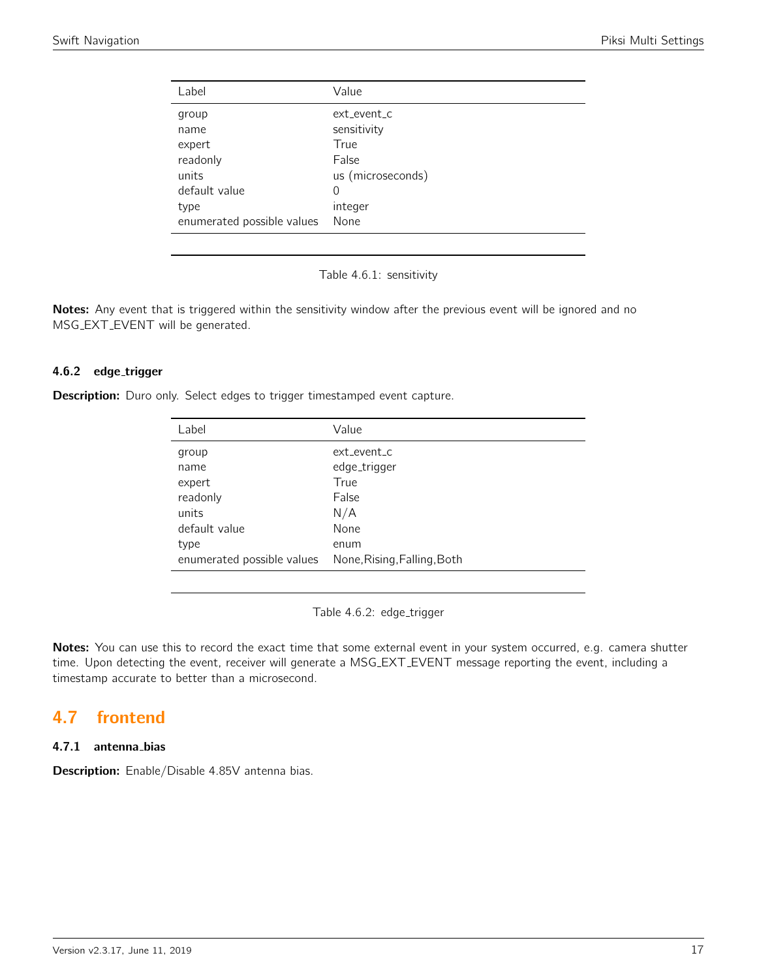<span id="page-16-0"></span>

| Label                      | Value             |
|----------------------------|-------------------|
| group                      | ext event c       |
| name                       | sensitivity       |
| expert                     | True              |
| readonly                   | False             |
| units                      | us (microseconds) |
| default value              | $\Omega$          |
| type                       | integer           |
| enumerated possible values | None              |

Table 4.6.1: sensitivity

Notes: Any event that is triggered within the sensitivity window after the previous event will be ignored and no MSG EXT EVENT will be generated.

# 4.6.2 edge\_trigger

**Description:** Duro only. Select edges to trigger timestamped event capture.

| Label                      | Value                       |
|----------------------------|-----------------------------|
| group                      | ext event c                 |
| name                       | edge_trigger                |
| expert                     | True                        |
| readonly                   | False                       |
| units                      | N/A                         |
| default value              | None                        |
| type                       | enum                        |
| enumerated possible values | None, Rising, Falling, Both |

Table 4.6.2: edge\_trigger

Notes: You can use this to record the exact time that some external event in your system occurred, e.g. camera shutter time. Upon detecting the event, receiver will generate a MSG EXT EVENT message reporting the event, including a timestamp accurate to better than a microsecond.

# <span id="page-16-1"></span>4.7 frontend

#### 4.7.1 antenna bias

Description: Enable/Disable 4.85V antenna bias.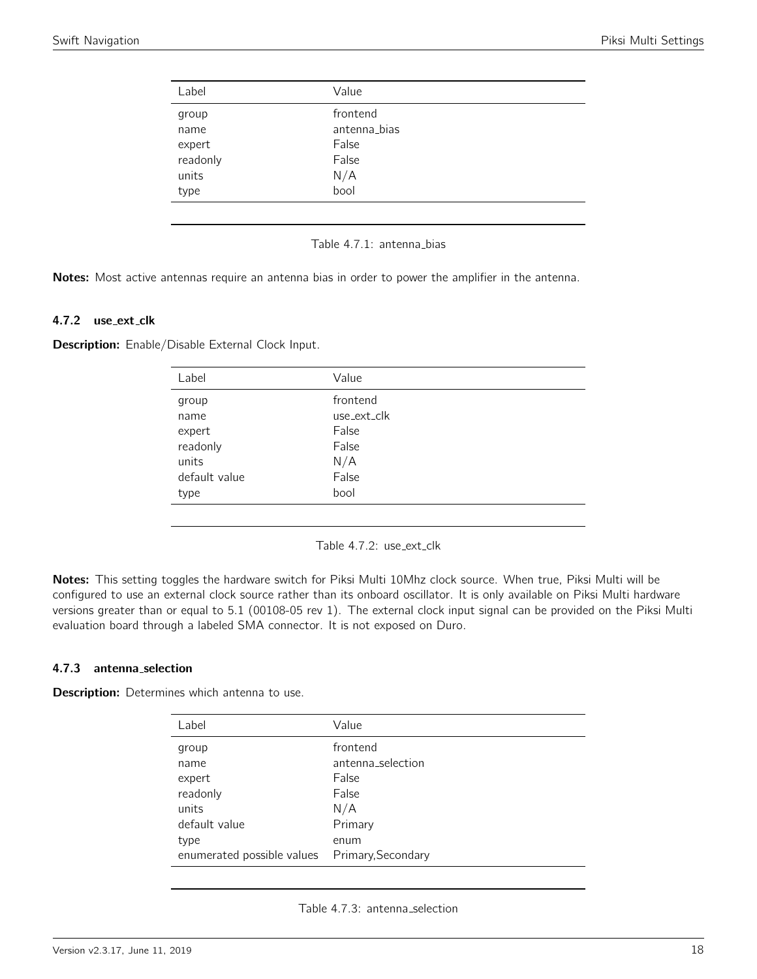<span id="page-17-0"></span>

| Label    | Value        |  |
|----------|--------------|--|
| group    | frontend     |  |
| name     | antenna_bias |  |
| expert   | False        |  |
| readonly | False        |  |
| units    | N/A          |  |
| type     | bool         |  |
|          |              |  |

#### Table 4.7.1: antenna\_bias

Notes: Most active antennas require an antenna bias in order to power the amplifier in the antenna.

#### 4.7.2 use\_ext\_clk

<span id="page-17-1"></span>Description: Enable/Disable External Clock Input.

| Label         | Value       |
|---------------|-------------|
| group         | frontend    |
| name          | use_ext_clk |
| expert        | False       |
| readonly      | False       |
| units         | N/A         |
| default value | False       |
| type          | bool        |
|               |             |

Table 4.7.2: use\_ext\_clk

Notes: This setting toggles the hardware switch for Piksi Multi 10Mhz clock source. When true, Piksi Multi will be configured to use an external clock source rather than its onboard oscillator. It is only available on Piksi Multi hardware versions greater than or equal to 5.1 (00108-05 rev 1). The external clock input signal can be provided on the Piksi Multi evaluation board through a labeled SMA connector. It is not exposed on Duro.

#### 4.7.3 antenna selection

Description: Determines which antenna to use.

| Label                                          | Value             |
|------------------------------------------------|-------------------|
| group                                          | frontend          |
| name                                           | antenna_selection |
| expert                                         | False             |
| readonly                                       | False             |
| units                                          | N/A               |
| default value                                  | Primary           |
| type                                           | enum              |
| enumerated possible values  Primary, Secondary |                   |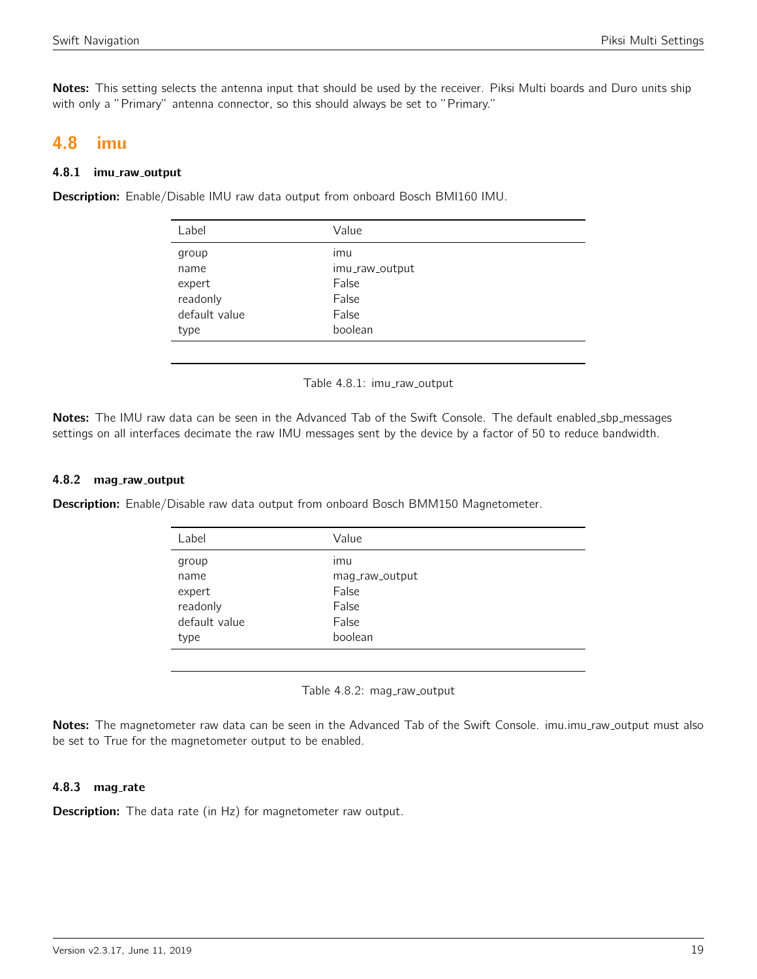Notes: This setting selects the antenna input that should be used by the receiver. Piksi Multi boards and Duro units ship with only a "Primary" antenna connector, so this should always be set to "Primary."

# <span id="page-18-0"></span>4.8 imu

#### 4.8.1 imu\_raw\_output

<span id="page-18-1"></span>Description: Enable/Disable IMU raw data output from onboard Bosch BMI160 IMU.

| Label         | Value          |
|---------------|----------------|
| group         | imu            |
| name          | imu_raw_output |
| expert        | False          |
| readonly      | False          |
| default value | False          |
| type          | boolean        |
|               |                |

Table 4.8.1: imu\_raw\_output

Notes: The IMU raw data can be seen in the Advanced Tab of the Swift Console. The default enabled sbp messages settings on all interfaces decimate the raw IMU messages sent by the device by a factor of 50 to reduce bandwidth.

#### 4.8.2 mag\_raw\_output

<span id="page-18-2"></span>Description: Enable/Disable raw data output from onboard Bosch BMM150 Magnetometer.

| Label         | Value          |
|---------------|----------------|
| group         | imu            |
| name          | mag_raw_output |
| expert        | False          |
| readonly      | False          |
| default value | False          |
| type          | boolean        |
|               |                |

Table 4.8.2: mag\_raw\_output

Notes: The magnetometer raw data can be seen in the Advanced Tab of the Swift Console. imu.imu\_raw\_output must also be set to True for the magnetometer output to be enabled.

#### 4.8.3 mag\_rate

**Description:** The data rate (in Hz) for magnetometer raw output.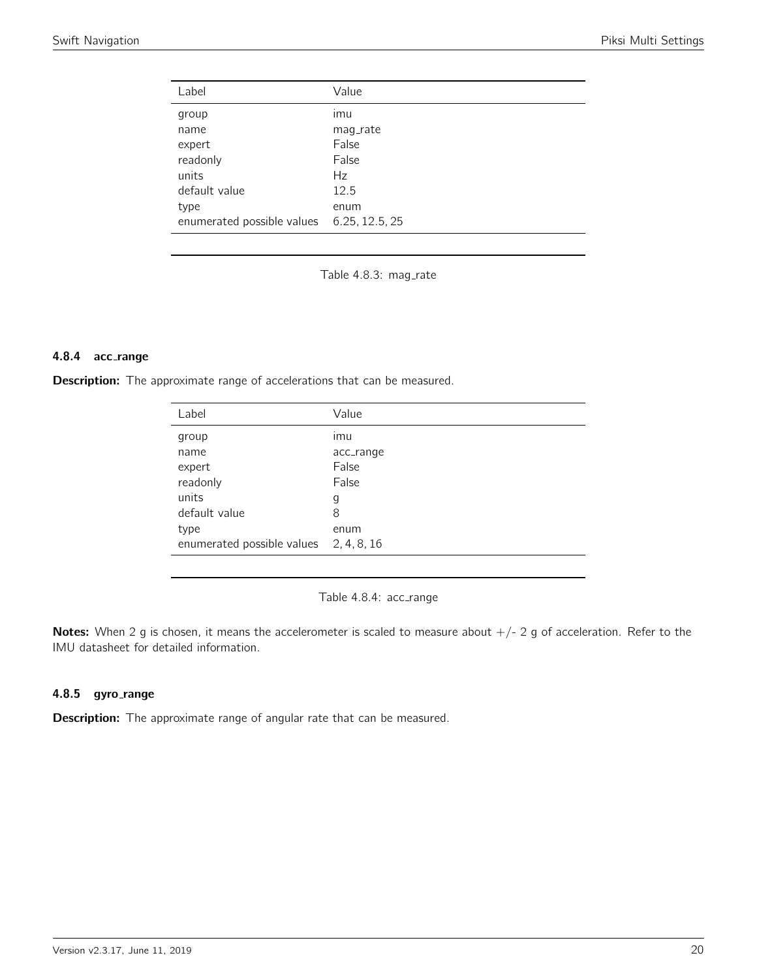<span id="page-19-0"></span>

| Label                      | Value          |
|----------------------------|----------------|
| group                      | imu            |
| name                       | mag_rate       |
| expert                     | False          |
| readonly                   | False          |
| units                      | Hz             |
| default value              | 12.5           |
| type                       | enum           |
| enumerated possible values | 6.25, 12.5, 25 |

Table 4.8.3: mag\_rate

#### 4.8.4 acc range

<span id="page-19-1"></span>Description: The approximate range of accelerations that can be measured.

| Label                                  | Value     |
|----------------------------------------|-----------|
| group                                  | imu       |
| name                                   | acc_range |
| expert                                 | False     |
| readonly                               | False     |
| units                                  | g         |
| default value                          | 8         |
| type                                   | enum      |
| enumerated possible values 2, 4, 8, 16 |           |

Table 4.8.4: acc\_range

Notes: When 2 g is chosen, it means the accelerometer is scaled to measure about  $+/- 2$  g of acceleration. Refer to the IMU datasheet for detailed information.

#### 4.8.5 gyro\_range

Description: The approximate range of angular rate that can be measured.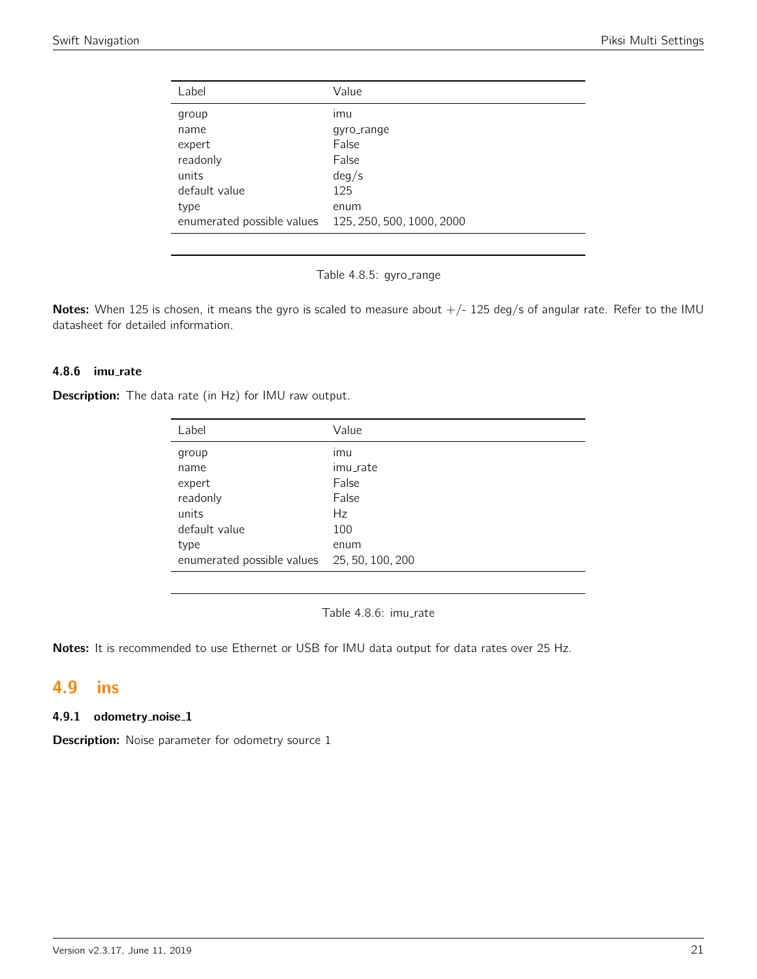<span id="page-20-0"></span>

| Label                      | Value                     |
|----------------------------|---------------------------|
| group                      | ımu                       |
| name                       | qyro_range                |
| expert                     | False                     |
| readonly                   | False                     |
| units                      | deg/s                     |
| default value              | 125                       |
| type                       | enum                      |
| enumerated possible values | 125, 250, 500, 1000, 2000 |
|                            |                           |



Notes: When 125 is chosen, it means the gyro is scaled to measure about  $+/-$  125 deg/s of angular rate. Refer to the IMU datasheet for detailed information.

## 4.8.6 imu rate

**Description:** The data rate (in Hz) for IMU raw output.

| Label                                       | Value    |
|---------------------------------------------|----------|
| group                                       | ımu      |
| name                                        | imu_rate |
| expert                                      | False    |
| readonly                                    | False    |
| units                                       | Hz       |
| default value                               | 100      |
| type                                        | enum     |
| enumerated possible values 25, 50, 100, 200 |          |

Table 4.8.6: imu\_rate

Notes: It is recommended to use Ethernet or USB for IMU data output for data rates over 25 Hz.

# <span id="page-20-1"></span>4.9 ins

#### 4.9.1 odometry\_noise\_1

**Description:** Noise parameter for odometry source 1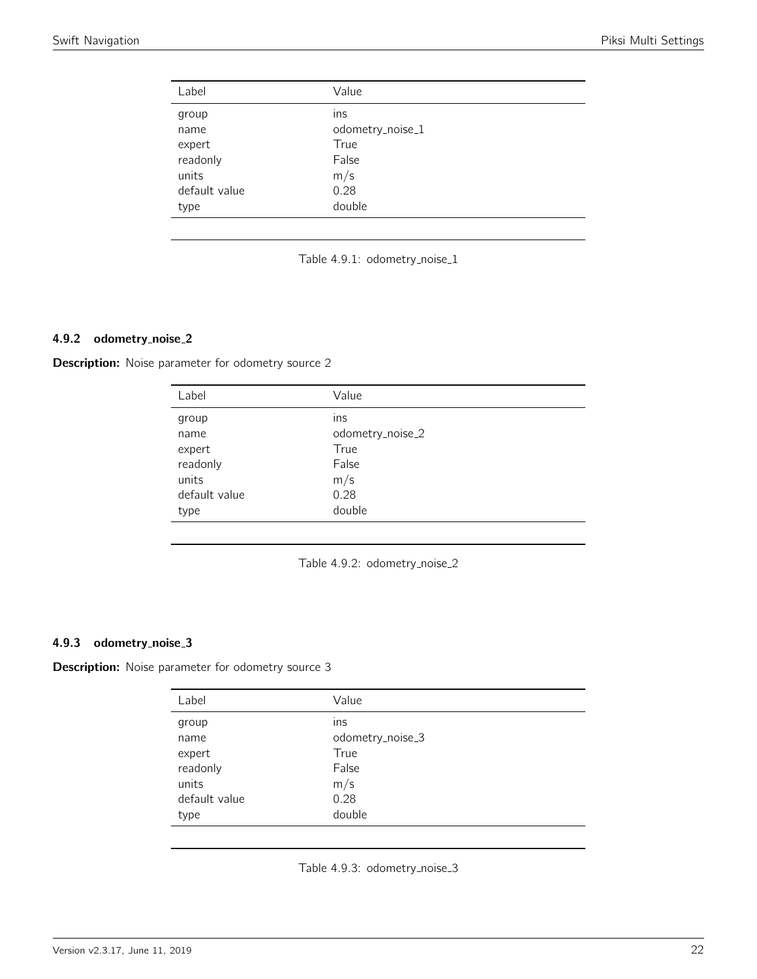<span id="page-21-0"></span>

| Label         | Value            |
|---------------|------------------|
| group         | ins              |
| name          | odometry_noise_1 |
| expert        | True             |
| readonly      | False            |
| units         | m/s              |
| default value | 0.28             |
| type          | double           |



## 4.9.2 odometry noise 2

<span id="page-21-1"></span>**Description:** Noise parameter for odometry source 2

| Label         | Value            |
|---------------|------------------|
| group         | ins              |
| name          | odometry_noise_2 |
| expert        | True             |
| readonly      | False            |
| units         | m/s              |
| default value | 0.28             |
| type          | double           |

Table 4.9.2: odometry\_noise\_2

## 4.9.3 odometry noise 3

<span id="page-21-2"></span>**Description:** Noise parameter for odometry source 3

| Label         | Value            |
|---------------|------------------|
| group         | ins              |
| name          | odometry_noise_3 |
| expert        | True             |
| readonly      | False            |
| units         | m/s              |
| default value | 0.28             |
| type          | double           |

Table 4.9.3: odometry\_noise\_3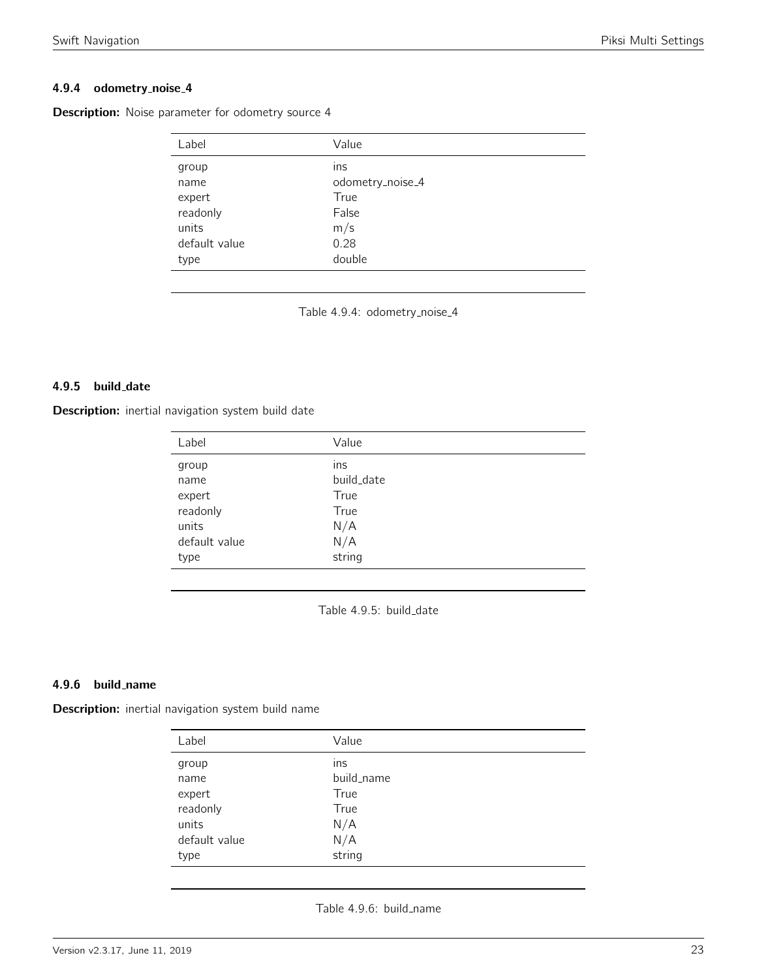## 4.9.4 odometry noise 4

| Label         | Value            |
|---------------|------------------|
| group         | ins              |
| name          | odometry_noise_4 |
| expert        | True             |
| readonly      | False            |
| units         | m/s              |
| default value | 0.28             |
| type          | double           |

<span id="page-22-0"></span>**Description:** Noise parameter for odometry source 4

Table 4.9.4: odometry\_noise\_4

#### 4.9.5 build\_date

<span id="page-22-1"></span>Description: inertial navigation system build date

| Label         | Value      |  |
|---------------|------------|--|
| group         | ins        |  |
| name          | build_date |  |
| expert        | True       |  |
| readonly      | True       |  |
| units         | N/A        |  |
| default value | N/A        |  |
| type          | string     |  |

Table 4.9.5: build\_date

#### 4.9.6 build name

<span id="page-22-2"></span>Description: inertial navigation system build name

| Label         | Value      |
|---------------|------------|
| group         | ins        |
| name          | build_name |
| expert        | True       |
| readonly      | True       |
| units         | N/A        |
| default value | N/A        |
| type          | string     |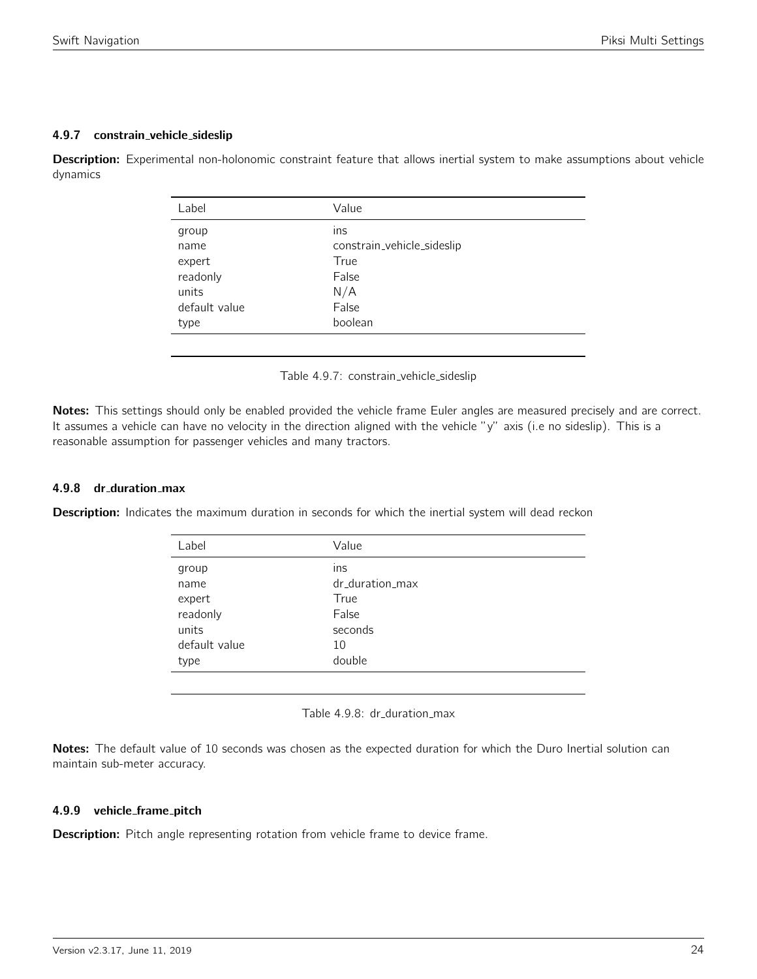#### 4.9.7 constrain vehicle sideslip

<span id="page-23-0"></span>Description: Experimental non-holonomic constraint feature that allows inertial system to make assumptions about vehicle dynamics

| Label         | Value                      |
|---------------|----------------------------|
| group         | ins                        |
| name          | constrain_vehicle_sideslip |
| expert        | True                       |
| readonly      | False                      |
| units         | N/A                        |
| default value | False                      |
| type          | boolean                    |
|               |                            |

Table 4.9.7: constrain\_vehicle\_sideslip

Notes: This settings should only be enabled provided the vehicle frame Euler angles are measured precisely and are correct. It assumes a vehicle can have no velocity in the direction aligned with the vehicle "y" axis (i.e no sideslip). This is a reasonable assumption for passenger vehicles and many tractors.

## 4.9.8 dr duration max

<span id="page-23-1"></span>**Description:** Indicates the maximum duration in seconds for which the inertial system will dead reckon

| Label         | Value           |
|---------------|-----------------|
| group         | ins             |
| name          | dr_duration_max |
| expert        | True            |
| readonly      | False           |
| units         | seconds         |
| default value | 10              |
| type          | double          |
|               |                 |

Table 4.9.8: dr\_duration\_max

Notes: The default value of 10 seconds was chosen as the expected duration for which the Duro Inertial solution can maintain sub-meter accuracy.

#### 4.9.9 vehicle frame pitch

Description: Pitch angle representing rotation from vehicle frame to device frame.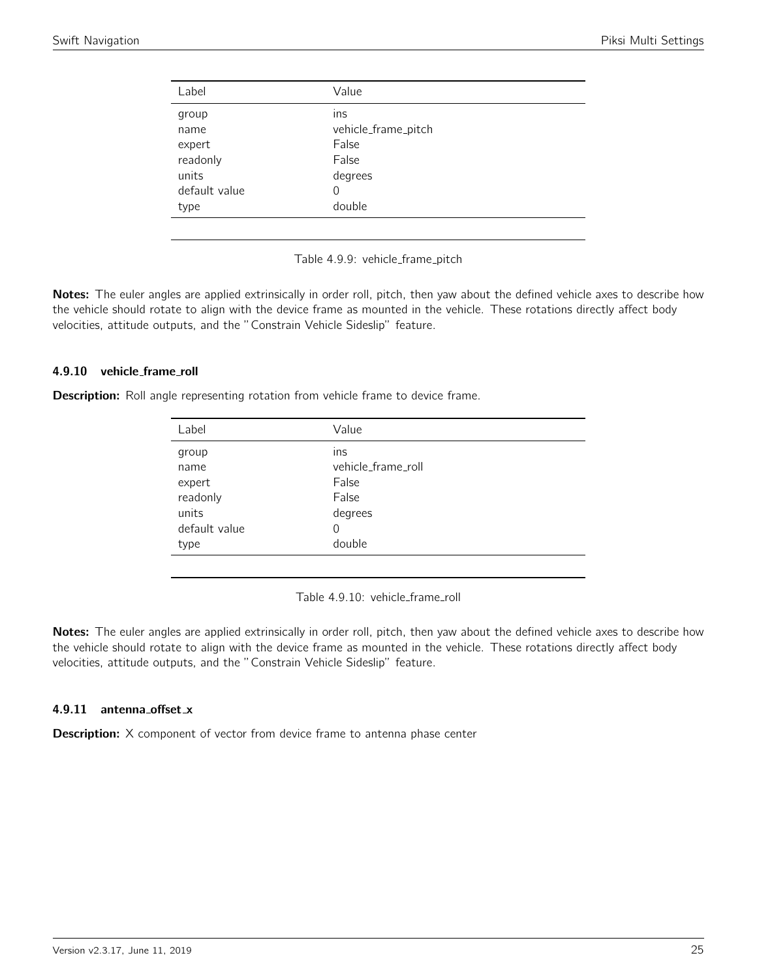<span id="page-24-0"></span>

| Label         | Value               |
|---------------|---------------------|
| group         | ins                 |
| name          | vehicle_frame_pitch |
| expert        | False               |
| readonly      | False               |
| units         | degrees             |
| default value | 0                   |
| type          | double              |
|               |                     |

Table 4.9.9: vehicle\_frame\_pitch

Notes: The euler angles are applied extrinsically in order roll, pitch, then yaw about the defined vehicle axes to describe how the vehicle should rotate to align with the device frame as mounted in the vehicle. These rotations directly affect body velocities, attitude outputs, and the "Constrain Vehicle Sideslip" feature.

#### 4.9.10 vehicle frame roll

<span id="page-24-1"></span>**Description:** Roll angle representing rotation from vehicle frame to device frame.

| Label         | Value              |
|---------------|--------------------|
| group         | ins                |
| name          | vehicle_frame_roll |
| expert        | False              |
| readonly      | False              |
| units         | degrees            |
| default value | 0                  |
| type          | double             |
|               |                    |

Table 4.9.10: vehicle\_frame\_roll

Notes: The euler angles are applied extrinsically in order roll, pitch, then yaw about the defined vehicle axes to describe how the vehicle should rotate to align with the device frame as mounted in the vehicle. These rotations directly affect body velocities, attitude outputs, and the "Constrain Vehicle Sideslip" feature.

#### 4.9.11 antenna offset x

**Description:** X component of vector from device frame to antenna phase center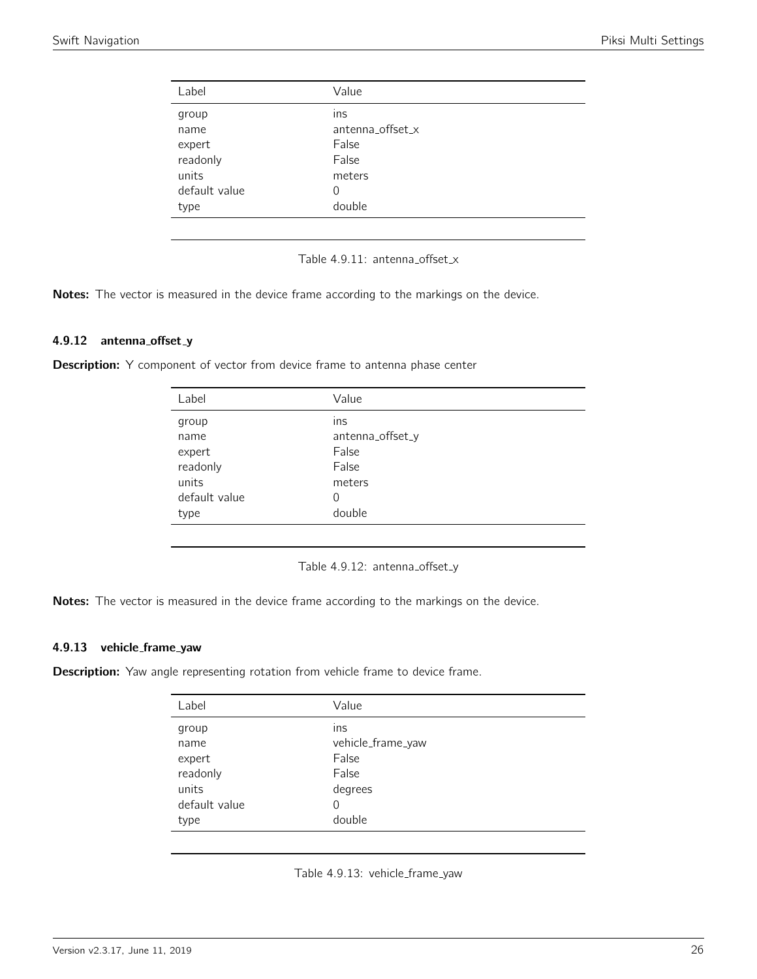<span id="page-25-0"></span>

| Label         | Value            |
|---------------|------------------|
| group         | ins              |
| name          | antenna_offset_x |
| expert        | False            |
| readonly      | False            |
| units         | meters           |
| default value | 0                |
| type          | double           |
|               |                  |

Table 4.9.11: antenna\_offset\_x

Notes: The vector is measured in the device frame according to the markings on the device.

## 4.9.12 antenna\_offset\_y

<span id="page-25-1"></span>**Description:** Y component of vector from device frame to antenna phase center

| Label         | Value            |
|---------------|------------------|
| group         | ins              |
| name          | antenna_offset_y |
| expert        | False            |
| readonly      | False            |
| units         | meters           |
| default value | 0                |
| type          | double           |
|               |                  |

Table 4.9.12: antenna\_offset\_y

Notes: The vector is measured in the device frame according to the markings on the device.

#### 4.9.13 vehicle frame yaw

<span id="page-25-2"></span>**Description:** Yaw angle representing rotation from vehicle frame to device frame.

| Label         | Value             |
|---------------|-------------------|
| group         | ins               |
| name          | vehicle_frame_yaw |
| expert        | False             |
| readonly      | False             |
| units         | degrees           |
| default value | 0                 |
| type          | double            |
|               |                   |

Table 4.9.13: vehicle\_frame\_yaw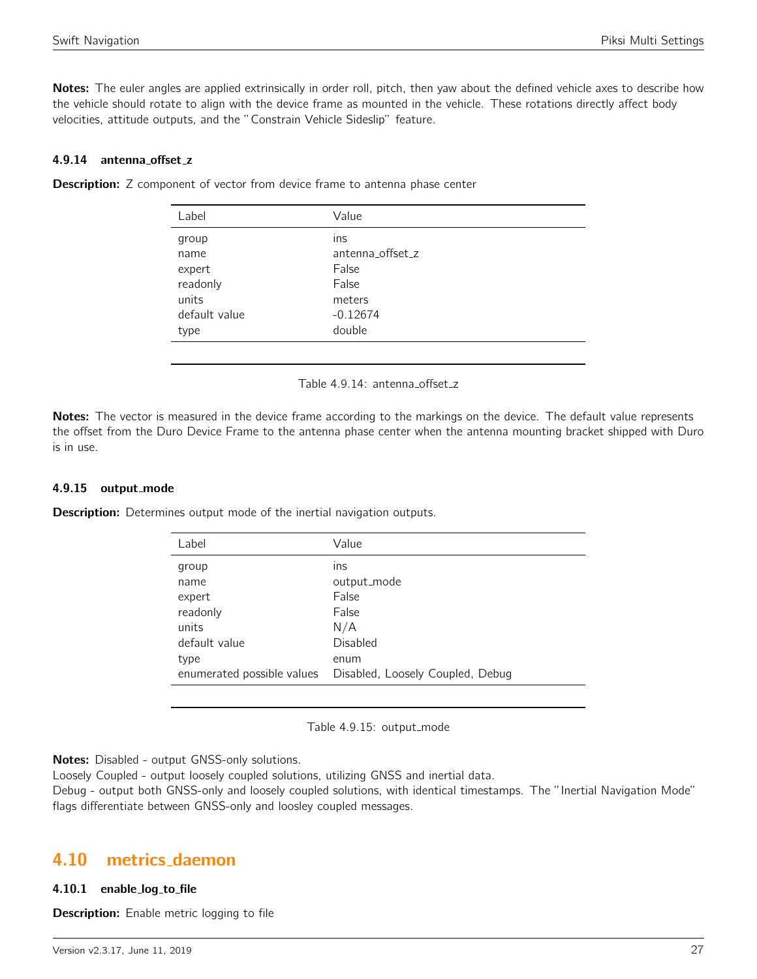Notes: The euler angles are applied extrinsically in order roll, pitch, then yaw about the defined vehicle axes to describe how the vehicle should rotate to align with the device frame as mounted in the vehicle. These rotations directly affect body velocities, attitude outputs, and the "Constrain Vehicle Sideslip" feature.

#### 4.9.14 antenna offset z

| Label         | Value            |
|---------------|------------------|
| group         | ins              |
| name          | antenna_offset_z |
| expert        | False            |
| readonly      | False            |
| units         | meters           |
| default value | $-0.12674$       |
| type          | double           |
|               |                  |

<span id="page-26-0"></span>**Description:** Z component of vector from device frame to antenna phase center

Table 4.9.14: antenna\_offset\_z

Notes: The vector is measured in the device frame according to the markings on the device. The default value represents the offset from the Duro Device Frame to the antenna phase center when the antenna mounting bracket shipped with Duro is in use.

#### 4.9.15 output mode

**Description:** Determines output mode of the inertial navigation outputs.

| Label         | Value                                                        |
|---------------|--------------------------------------------------------------|
| group         | ins                                                          |
| name          | output_mode                                                  |
| expert        | False                                                        |
| readonly      | False                                                        |
| units         | N/A                                                          |
| default value | Disabled                                                     |
| type          | enum                                                         |
|               | enumerated possible values  Disabled, Loosely Coupled, Debug |
|               |                                                              |

Table 4.9.15: output\_mode

Notes: Disabled - output GNSS-only solutions.

Loosely Coupled - output loosely coupled solutions, utilizing GNSS and inertial data.

Debug - output both GNSS-only and loosely coupled solutions, with identical timestamps. The "Inertial Navigation Mode" flags differentiate between GNSS-only and loosley coupled messages.

# <span id="page-26-1"></span>4.10 metrics daemon

#### 4.10.1 enable log to file

**Description:** Enable metric logging to file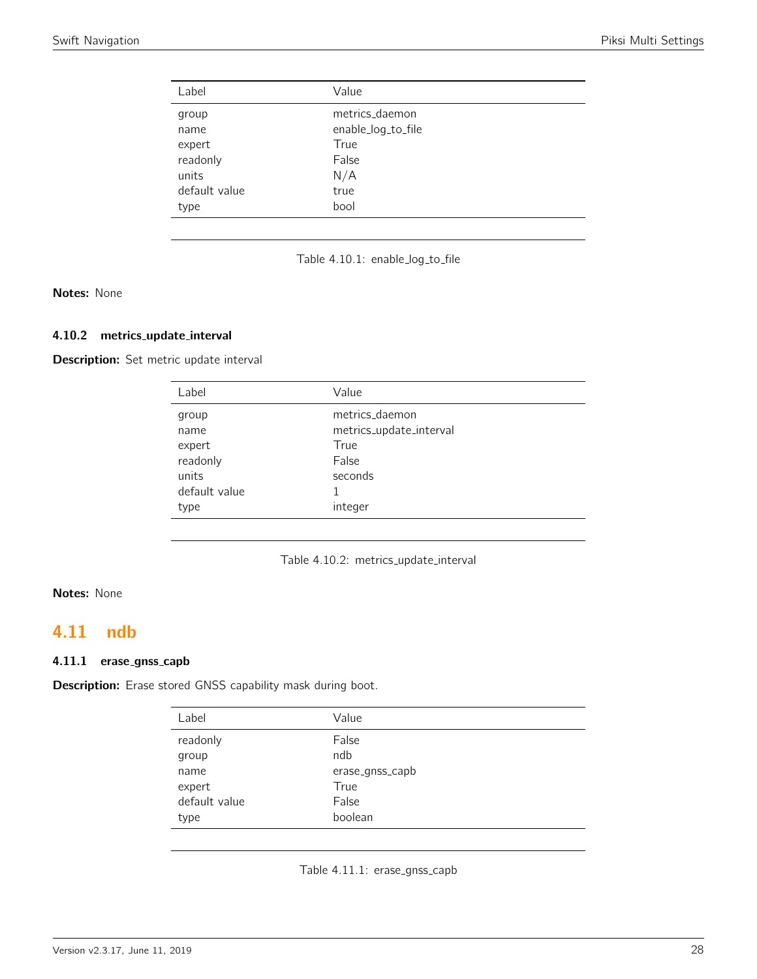<span id="page-27-0"></span>

| Label         | Value              |
|---------------|--------------------|
| group         | metrics_daemon     |
| name          | enable_log_to_file |
| expert        | True               |
| readonly      | False              |
| units         | N/A                |
| default value | true               |
| type          | bool               |

|  |  | Table 4.10.1: enable_log_to_file |
|--|--|----------------------------------|
|--|--|----------------------------------|

Notes: None

#### 4.10.2 metrics update interval

Description: Set metric update interval

| Label         | Value                   |
|---------------|-------------------------|
| group         | metrics_daemon          |
| name          | metrics_update_interval |
| expert        | True                    |
| readonly      | False                   |
| units         | seconds                 |
| default value |                         |
| type          | integer                 |

Table 4.10.2: metrics\_update\_interval

# Notes: None

# <span id="page-27-1"></span>4.11 ndb

## 4.11.1 erase\_gnss\_capb

<span id="page-27-2"></span>Description: Erase stored GNSS capability mask during boot.

| Label         | Value           |
|---------------|-----------------|
| readonly      | False           |
| group         | ndb             |
| name          | erase_gnss_capb |
| expert        | True            |
| default value | False           |
| type          | boolean         |

Table 4.11.1: erase\_gnss\_capb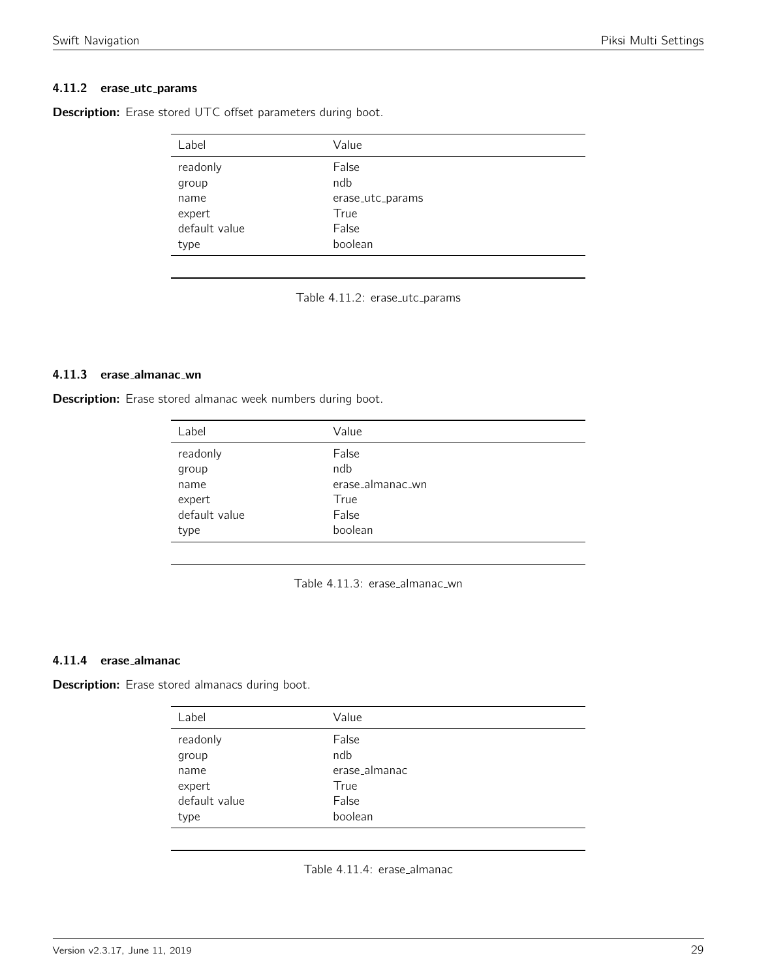#### 4.11.2 erase\_utc\_params

| Label         | Value            |  |
|---------------|------------------|--|
| readonly      | False            |  |
| group         | ndb              |  |
| name          | erase_utc_params |  |
| expert        | True             |  |
| default value | False            |  |
| type          | boolean          |  |

<span id="page-28-0"></span>Description: Erase stored UTC offset parameters during boot.

Table 4.11.2: erase\_utc\_params

#### 4.11.3 erase almanac wn

<span id="page-28-1"></span>Description: Erase stored almanac week numbers during boot.

| Label         | Value            |
|---------------|------------------|
| readonly      | False            |
| group         | ndb              |
| name          | erase_almanac_wn |
| expert        | True             |
| default value | False            |
| type          | boolean          |

| Table 4.11.3: erase_almanac_wn |  |
|--------------------------------|--|
|--------------------------------|--|

#### 4.11.4 erase almanac

<span id="page-28-2"></span>Description: Erase stored almanacs during boot.

| Label         | Value         |
|---------------|---------------|
| readonly      | False         |
| group         | ndb           |
| name          | erase_almanac |
| expert        | True          |
| default value | False         |
| type          | boolean       |

Table 4.11.4: erase\_almanac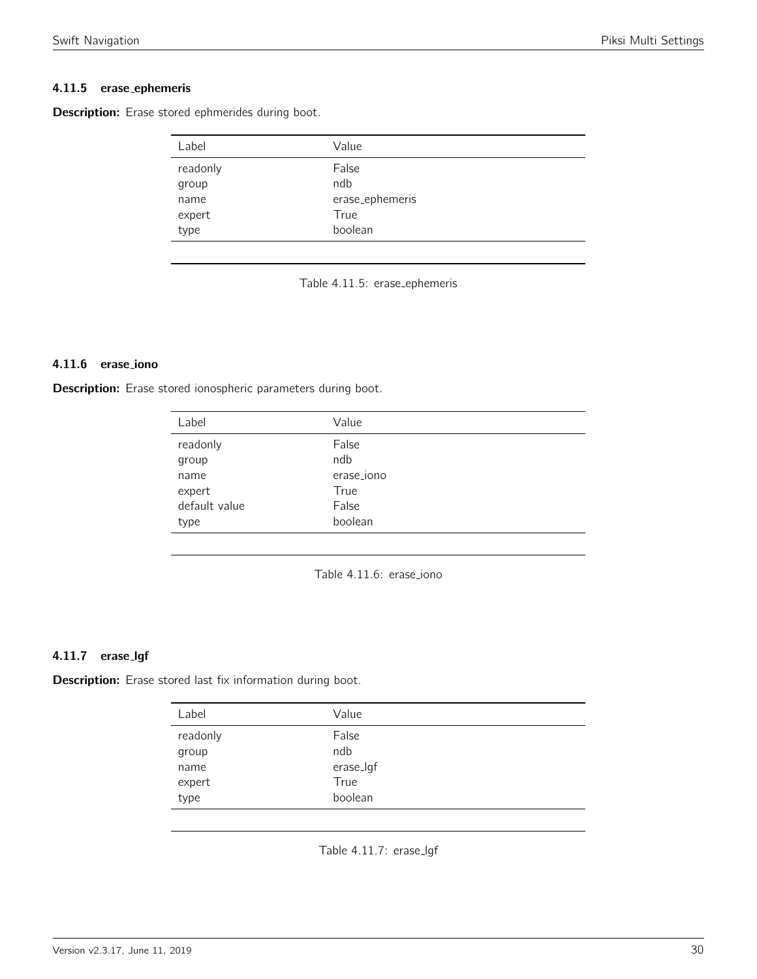# 4.11.5 erase ephemeris

<span id="page-29-0"></span>Description: Erase stored ephmerides during boot.

| Label    | Value           |
|----------|-----------------|
| readonly | False           |
| group    | ndb             |
| name     | erase_ephemeris |
| expert   | True            |
| type     | boolean         |

Table 4.11.5: erase ephemeris

## 4.11.6 erase iono

<span id="page-29-1"></span>Description: Erase stored ionospheric parameters during boot.

| Label         | Value      |
|---------------|------------|
| readonly      | False      |
| group         | ndb        |
| name          | erase_iono |
| expert        | True       |
| default value | False      |
| type          | boolean    |
|               |            |

Table 4.11.6: erase\_iono

#### 4.11.7 erase lgf

<span id="page-29-2"></span>Description: Erase stored last fix information during boot.

| Label             | Value           |
|-------------------|-----------------|
| readonly<br>group | False<br>ndb    |
| name              | erase_lgf       |
| expert<br>type    | True<br>boolean |
|                   |                 |

Table 4.11.7: erase\_lgf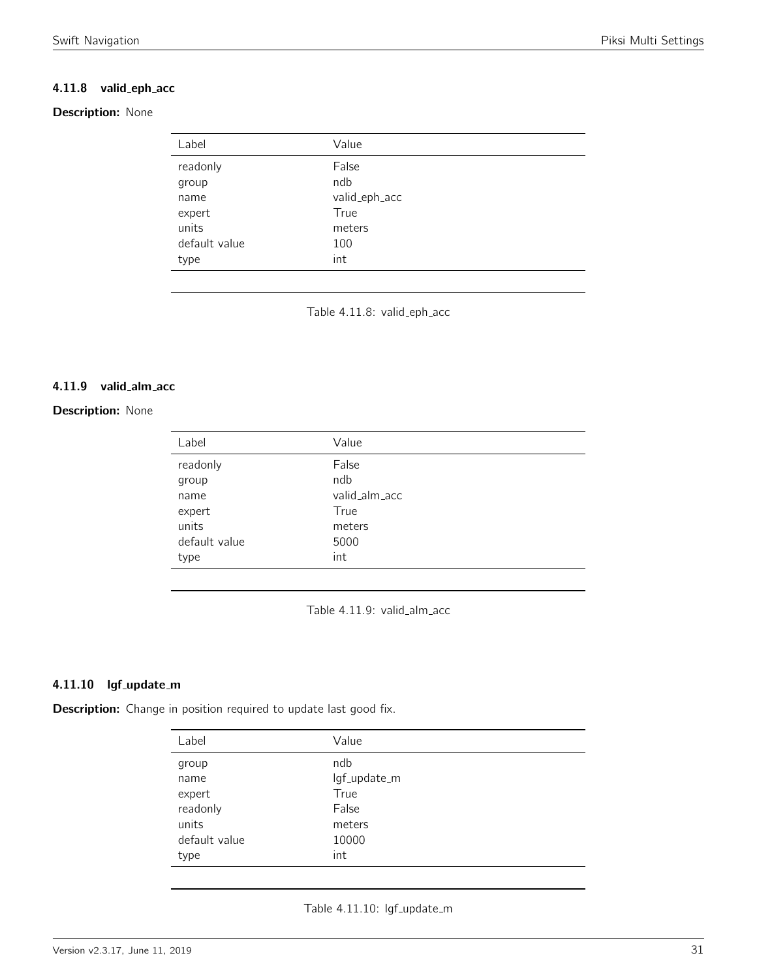# 4.11.8 valid\_eph\_acc

# <span id="page-30-0"></span>Description: None

| Label         | Value         |
|---------------|---------------|
| readonly      | False         |
| group         | ndb           |
| name          | valid_eph_acc |
| expert        | True          |
| units         | meters        |
| default value | 100           |
| type          | int           |

Table 4.11.8: valid\_eph\_acc

#### 4.11.9 valid alm acc

## <span id="page-30-1"></span>**Description: None**

| Label         | Value         |
|---------------|---------------|
| readonly      | False         |
| group         | ndb           |
| name          | valid_alm_acc |
| expert        | True          |
| units         | meters        |
| default value | 5000          |
| type          | int           |

Table 4.11.9: valid\_alm\_acc

## 4.11.10 lgf\_update\_m

<span id="page-30-2"></span>Description: Change in position required to update last good fix.

| Label         | Value        |
|---------------|--------------|
| group         | ndb          |
| name          | lgf_update_m |
| expert        | True         |
| readonly      | False        |
| units         | meters       |
| default value | 10000        |
| type          | int          |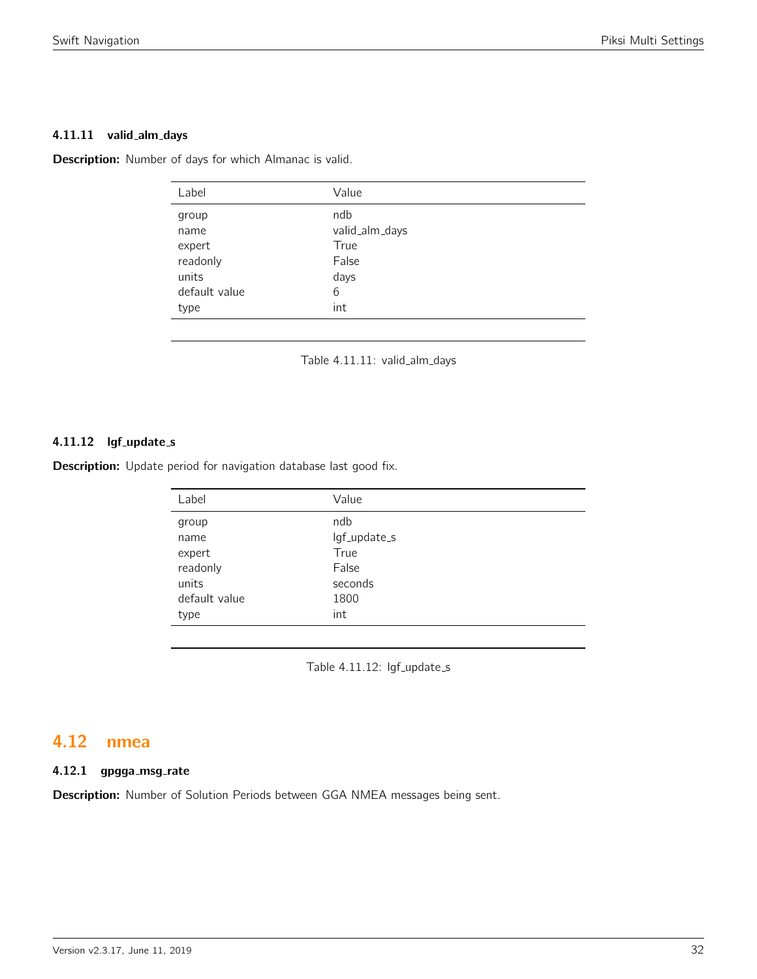#### 4.11.11 valid\_alm\_days

<span id="page-31-0"></span>Description: Number of days for which Almanac is valid.

| Label                                                                 | Value                                                      |
|-----------------------------------------------------------------------|------------------------------------------------------------|
| group<br>name<br>expert<br>readonly<br>units<br>default value<br>type | ndb<br>valid_alm_days<br>True<br>False<br>days<br>6<br>int |
|                                                                       |                                                            |

Table 4.11.11: valid\_alm\_days

# 4.11.12 lgf\_update\_s

Description: Update period for navigation database last good fix.

| Label         | Value        |
|---------------|--------------|
| group         | ndb          |
| name          | lgf_update_s |
| expert        | True         |
| readonly      | False        |
| units         | seconds      |
| default value | 1800         |
| type          | int          |
|               |              |

Table 4.11.12: lgf\_update\_s

# <span id="page-31-1"></span>4.12 nmea

# 4.12.1 gpgga\_msg\_rate

Description: Number of Solution Periods between GGA NMEA messages being sent.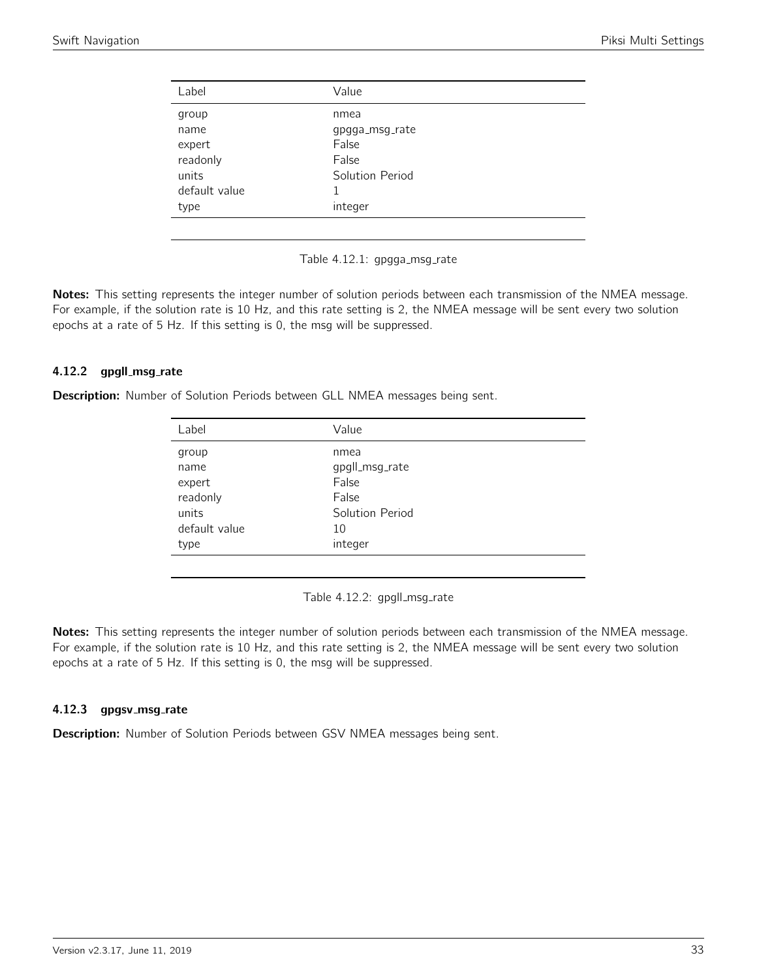<span id="page-32-0"></span>

| Label         | Value           |  |
|---------------|-----------------|--|
| group         | nmea            |  |
| name          | gpgga_msg_rate  |  |
| expert        | False           |  |
| readonly      | False           |  |
| units         | Solution Period |  |
| default value |                 |  |
| type          | integer         |  |
|               |                 |  |

Table 4.12.1: gpgga\_msg\_rate

Notes: This setting represents the integer number of solution periods between each transmission of the NMEA message. For example, if the solution rate is 10 Hz, and this rate setting is 2, the NMEA message will be sent every two solution epochs at a rate of 5 Hz. If this setting is 0, the msg will be suppressed.

#### 4.12.2 gpgll\_msg\_rate

<span id="page-32-1"></span>Description: Number of Solution Periods between GLL NMEA messages being sent.

| Label         | Value           |
|---------------|-----------------|
| group         | nmea            |
| name          | gpgll_msg_rate  |
| expert        | False           |
| readonly      | False           |
| units         | Solution Period |
| default value | 10              |
| type          | integer         |
|               |                 |

Table 4.12.2: gpgll\_msg\_rate

Notes: This setting represents the integer number of solution periods between each transmission of the NMEA message. For example, if the solution rate is 10 Hz, and this rate setting is 2, the NMEA message will be sent every two solution epochs at a rate of 5 Hz. If this setting is 0, the msg will be suppressed.

#### 4.12.3 gpgsv\_msg\_rate

Description: Number of Solution Periods between GSV NMEA messages being sent.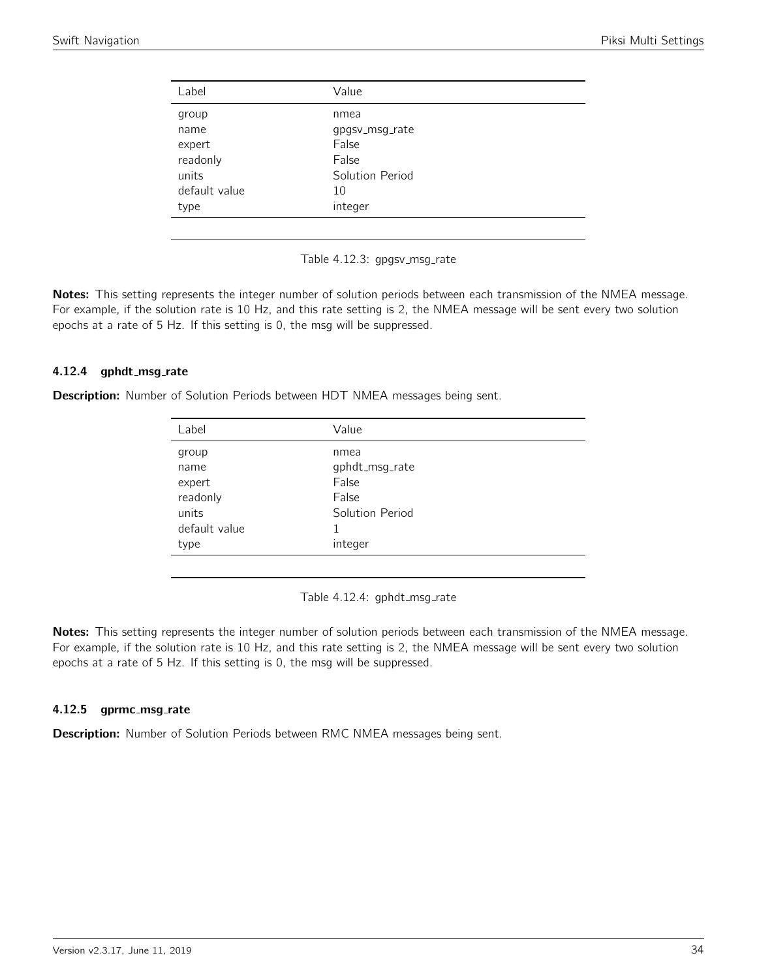<span id="page-33-0"></span>

| Label         | Value           |
|---------------|-----------------|
| group         | nmea            |
| name          | gpgsv_msg_rate  |
| expert        | False           |
| readonly      | False           |
| units         | Solution Period |
| default value | 10              |
| type          | integer         |
|               |                 |

Table 4.12.3: gpgsv\_msg\_rate

Notes: This setting represents the integer number of solution periods between each transmission of the NMEA message. For example, if the solution rate is 10 Hz, and this rate setting is 2, the NMEA message will be sent every two solution epochs at a rate of 5 Hz. If this setting is 0, the msg will be suppressed.

#### 4.12.4 gphdt\_msg\_rate

<span id="page-33-1"></span>Description: Number of Solution Periods between HDT NMEA messages being sent.

| Label         | Value           |  |
|---------------|-----------------|--|
| group         | nmea            |  |
| name          | gphdt_msg_rate  |  |
| expert        | False           |  |
| readonly      | False           |  |
| units         | Solution Period |  |
| default value | 1               |  |
| type          | integer         |  |
|               |                 |  |

Table 4.12.4: gphdt\_msg\_rate

Notes: This setting represents the integer number of solution periods between each transmission of the NMEA message. For example, if the solution rate is 10 Hz, and this rate setting is 2, the NMEA message will be sent every two solution epochs at a rate of 5 Hz. If this setting is 0, the msg will be suppressed.

#### 4.12.5 gprmc\_msg\_rate

Description: Number of Solution Periods between RMC NMEA messages being sent.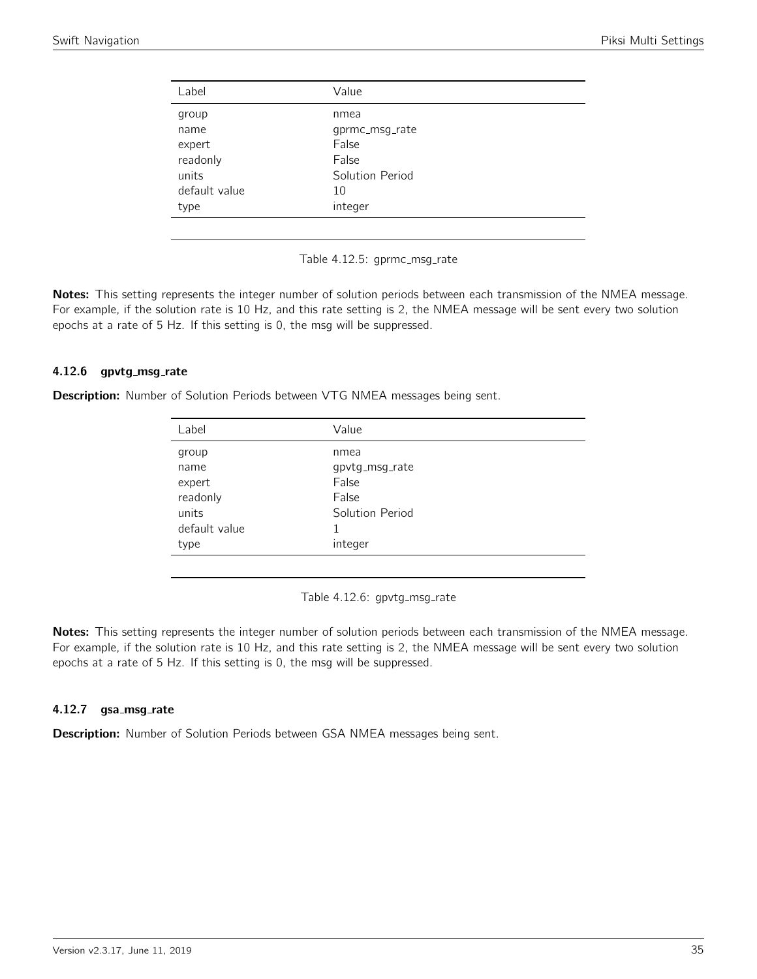<span id="page-34-0"></span>

| Label         | Value           |
|---------------|-----------------|
| group         | nmea            |
| name          | gprmc_msg_rate  |
| expert        | False           |
| readonly      | False           |
| units         | Solution Period |
| default value | 10              |
| type          | integer         |
|               |                 |

Table 4.12.5: gprmc\_msg\_rate

Notes: This setting represents the integer number of solution periods between each transmission of the NMEA message. For example, if the solution rate is 10 Hz, and this rate setting is 2, the NMEA message will be sent every two solution epochs at a rate of 5 Hz. If this setting is 0, the msg will be suppressed.

#### 4.12.6 gpvtg\_msg\_rate

<span id="page-34-1"></span>Description: Number of Solution Periods between VTG NMEA messages being sent.

| Label         | Value           |  |
|---------------|-----------------|--|
| group         | nmea            |  |
| name          | gpvtg_msg_rate  |  |
| expert        | False           |  |
| readonly      | False           |  |
| units         | Solution Period |  |
| default value | 1               |  |
| type          | integer         |  |
|               |                 |  |

Table 4.12.6: gpvtg\_msg\_rate

Notes: This setting represents the integer number of solution periods between each transmission of the NMEA message. For example, if the solution rate is 10 Hz, and this rate setting is 2, the NMEA message will be sent every two solution epochs at a rate of 5 Hz. If this setting is 0, the msg will be suppressed.

#### 4.12.7 gsa\_msg\_rate

Description: Number of Solution Periods between GSA NMEA messages being sent.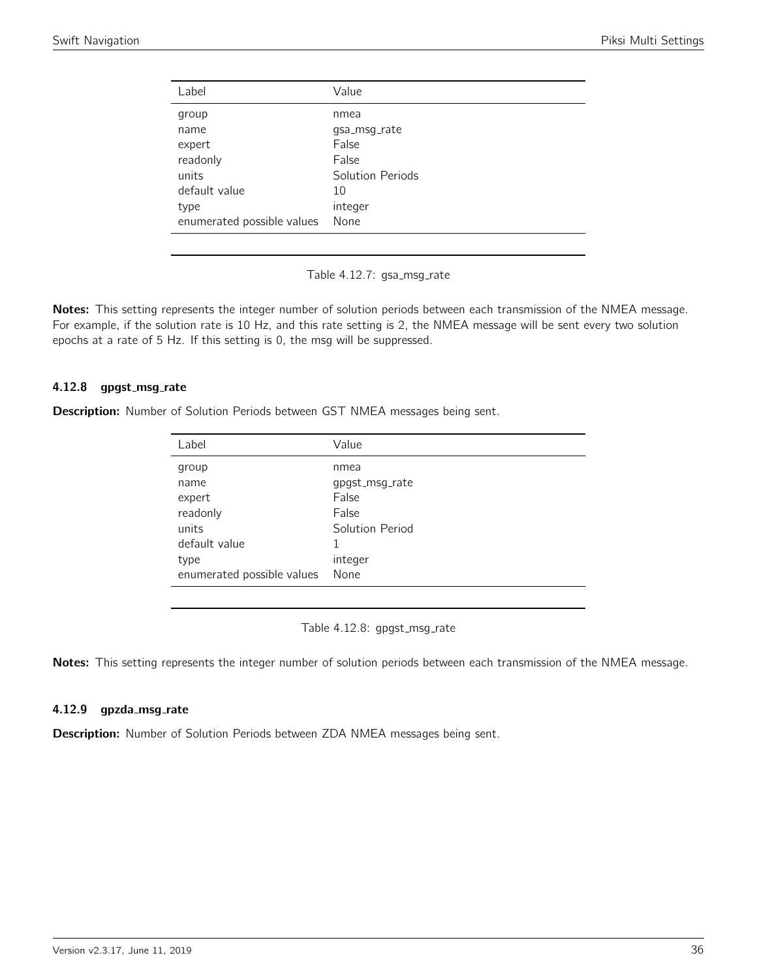<span id="page-35-0"></span>

| Label                      | Value            |
|----------------------------|------------------|
| group                      | nmea             |
| name                       | qsa_msq_rate     |
| expert                     | False            |
| readonly                   | False            |
| units                      | Solution Periods |
| default value              | 10               |
| type                       | integer          |
| enumerated possible values | None             |

Table 4.12.7: gsa\_msg\_rate

Notes: This setting represents the integer number of solution periods between each transmission of the NMEA message. For example, if the solution rate is 10 Hz, and this rate setting is 2, the NMEA message will be sent every two solution epochs at a rate of 5 Hz. If this setting is 0, the msg will be suppressed.

### 4.12.8 gpgst\_msg\_rate

<span id="page-35-1"></span>Description: Number of Solution Periods between GST NMEA messages being sent.

| Label                      | Value           |
|----------------------------|-----------------|
| group                      | nmea            |
| name                       | qpgst_msg_rate  |
| expert                     | False           |
| readonly                   | False           |
| units                      | Solution Period |
| default value              | 1               |
| type                       | integer         |
| enumerated possible values | None            |

Table 4.12.8: gpgst\_msg\_rate

Notes: This setting represents the integer number of solution periods between each transmission of the NMEA message.

#### 4.12.9 gpzda\_msg\_rate

Description: Number of Solution Periods between ZDA NMEA messages being sent.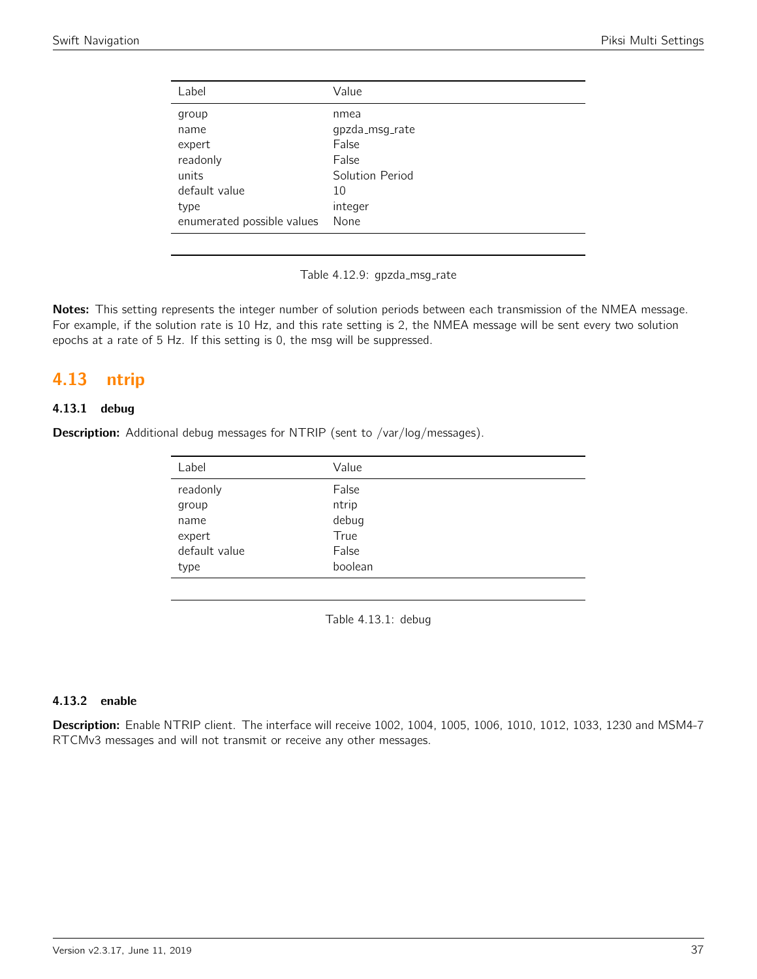| Label                      | Value           |
|----------------------------|-----------------|
| group                      | nmea            |
| name                       | gpzda_msg_rate  |
| expert                     | False           |
| readonly                   | False           |
| units                      | Solution Period |
| default value              | 10              |
| type                       | integer         |
| enumerated possible values | None            |

Table 4.12.9: gpzda\_msg\_rate

Notes: This setting represents the integer number of solution periods between each transmission of the NMEA message. For example, if the solution rate is 10 Hz, and this rate setting is 2, the NMEA message will be sent every two solution epochs at a rate of 5 Hz. If this setting is 0, the msg will be suppressed.

## 4.13 ntrip

## 4.13.1 debug

**Description:** Additional debug messages for NTRIP (sent to /var/log/messages).

| Value   |
|---------|
| False   |
| ntrip   |
| debug   |
| True    |
| False   |
| boolean |
|         |

Table 4.13.1: debug

#### 4.13.2 enable

Description: Enable NTRIP client. The interface will receive 1002, 1004, 1005, 1006, 1010, 1012, 1033, 1230 and MSM4-7 RTCMv3 messages and will not transmit or receive any other messages.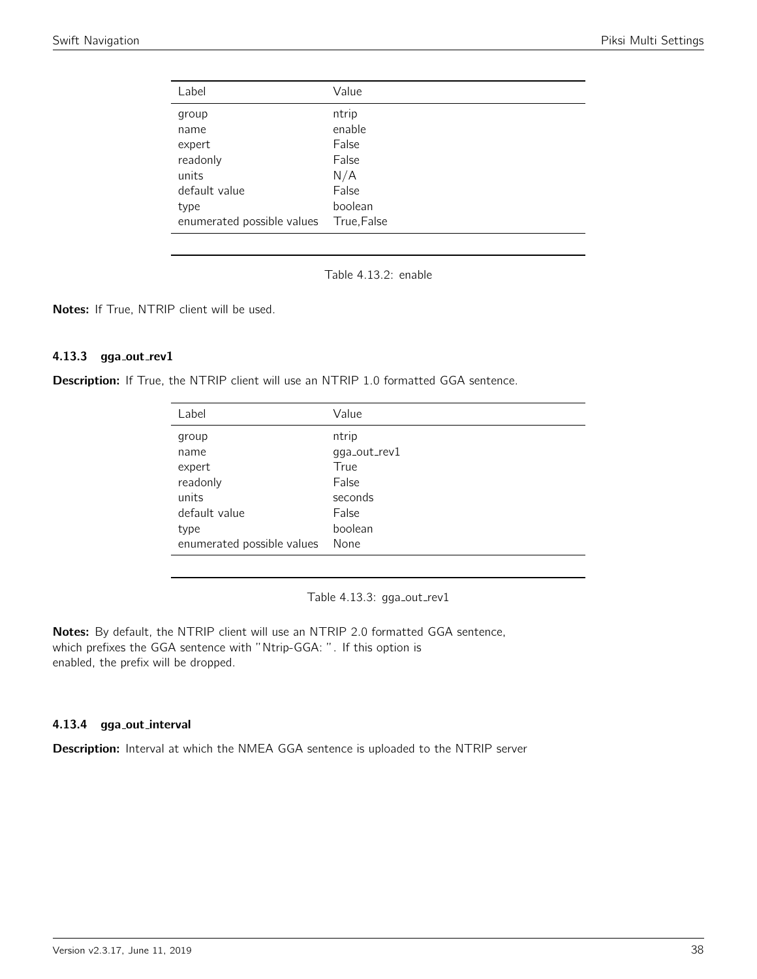| Label                      | Value       |
|----------------------------|-------------|
| group                      | ntrip       |
| name                       | enable      |
| expert                     | False       |
| readonly                   | False       |
| units                      | N/A         |
| default value              | False       |
| type                       | boolean     |
| enumerated possible values | True, False |

Table 4.13.2: enable

Notes: If True, NTRIP client will be used.

#### 4.13.3 gga\_out\_rev1

Description: If True, the NTRIP client will use an NTRIP 1.0 formatted GGA sentence.

| Value        |
|--------------|
| ntrip        |
| gga_out_rev1 |
| True         |
| False        |
| seconds      |
| False        |
| boolean      |
| None         |
|              |

Table 4.13.3: gga\_out\_rev1

Notes: By default, the NTRIP client will use an NTRIP 2.0 formatted GGA sentence, which prefixes the GGA sentence with "Ntrip-GGA: ". If this option is enabled, the prefix will be dropped.

#### 4.13.4 gga out interval

Description: Interval at which the NMEA GGA sentence is uploaded to the NTRIP server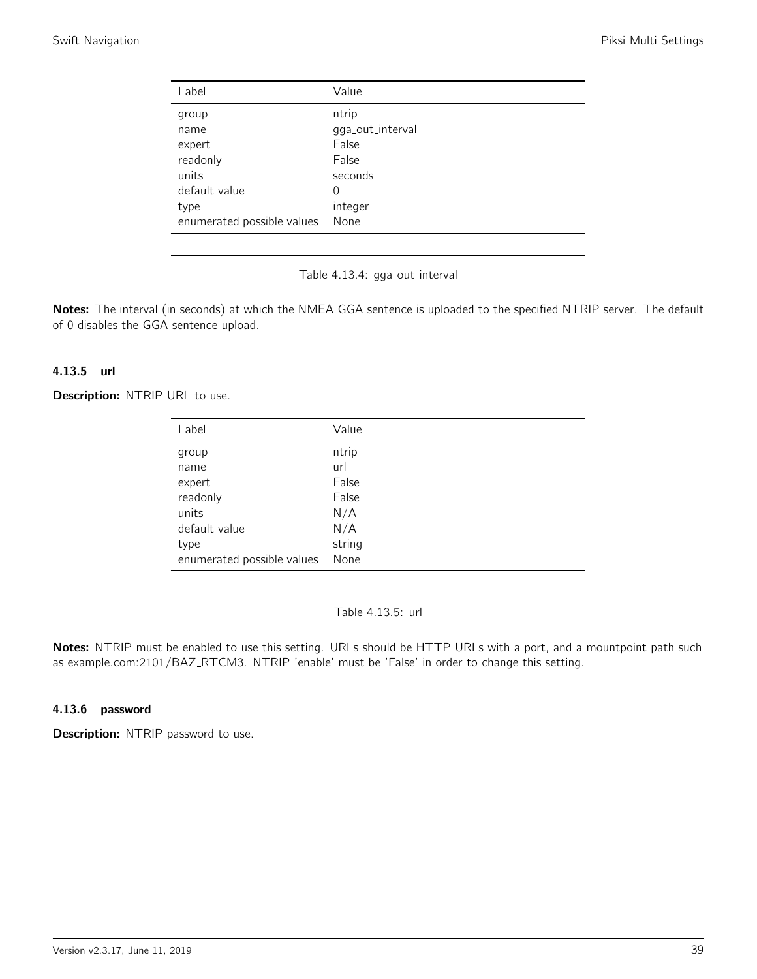| Value            |
|------------------|
| ntrip            |
| gga_out_interval |
| False            |
| False            |
| seconds          |
| 0                |
| integer          |
| None             |
|                  |

Table 4.13.4: gga\_out\_interval

Notes: The interval (in seconds) at which the NMEA GGA sentence is uploaded to the specified NTRIP server. The default of 0 disables the GGA sentence upload.

#### 4.13.5 url

Description: NTRIP URL to use.

| Label                      | Value  |
|----------------------------|--------|
| group                      | ntrip  |
| name                       | url    |
| expert                     | False  |
| readonly                   | False  |
| units                      | N/A    |
| default value              | N/A    |
| type                       | string |
| enumerated possible values | None   |

Table 4.13.5: url

Notes: NTRIP must be enabled to use this setting. URLs should be HTTP URLs with a port, and a mountpoint path such as example.com:2101/BAZ\_RTCM3. NTRIP 'enable' must be 'False' in order to change this setting.

#### 4.13.6 password

Description: NTRIP password to use.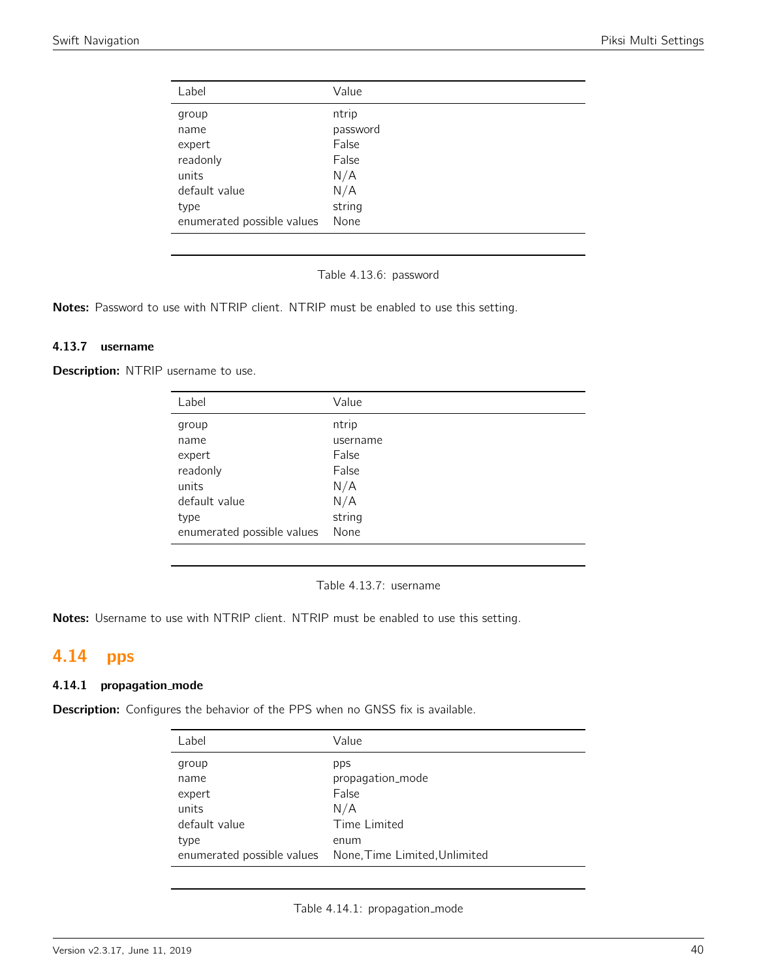| Label                      | Value    |
|----------------------------|----------|
| group                      | ntrip    |
| name                       | password |
| expert                     | False    |
| readonly                   | False    |
| units                      | N/A      |
| default value              | N/A      |
| type                       | string   |
| enumerated possible values | None     |

Table 4.13.6: password

Notes: Password to use with NTRIP client. NTRIP must be enabled to use this setting.

## 4.13.7 username

Description: NTRIP username to use.

| Label                      | Value    |
|----------------------------|----------|
| group                      | ntrip    |
| name                       | username |
| expert                     | False    |
| readonly                   | False    |
| units                      | N/A      |
| default value              | N/A      |
| type                       | string   |
| enumerated possible values | None     |
|                            |          |

Table 4.13.7: username

Notes: Username to use with NTRIP client. NTRIP must be enabled to use this setting.

# 4.14 pps

#### 4.14.1 propagation mode

Description: Configures the behavior of the PPS when no GNSS fix is available.

| Label         | Value                                                    |
|---------------|----------------------------------------------------------|
| group         | pps                                                      |
| name          | propagation_mode                                         |
| expert        | False                                                    |
| units         | N/A                                                      |
| default value | Time Limited                                             |
| type          | enum                                                     |
|               | enumerated possible values None, Time Limited, Unlimited |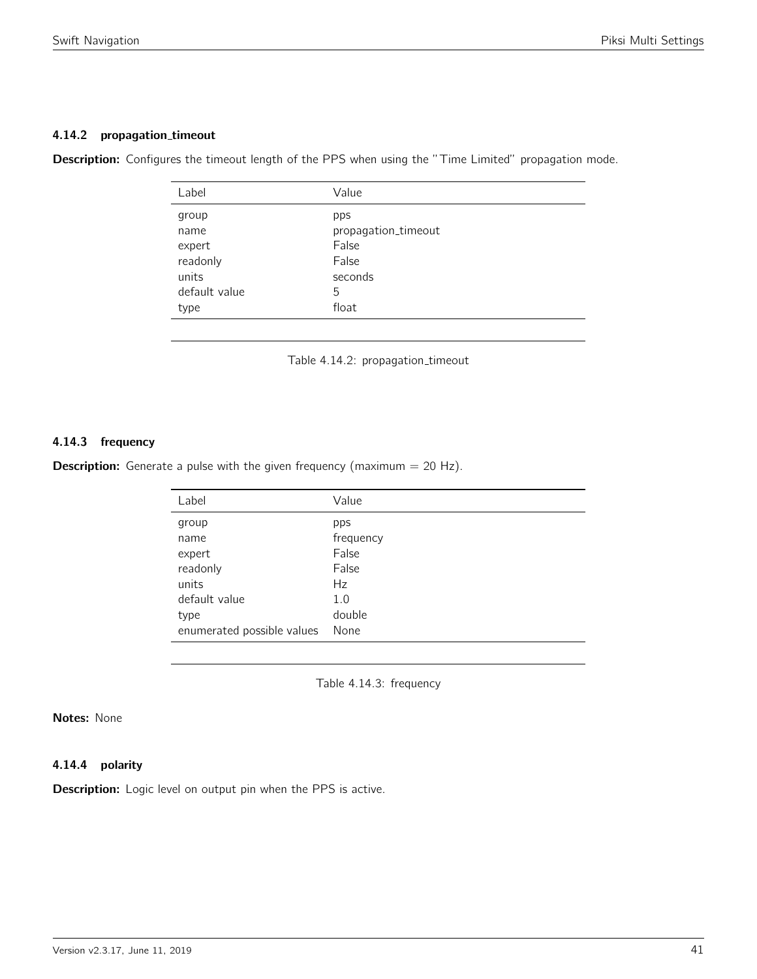#### 4.14.2 propagation\_timeout

**Description:** Configures the timeout length of the PPS when using the "Time Limited" propagation mode.

| Label         | Value               |
|---------------|---------------------|
| group         | pps                 |
| name          | propagation_timeout |
| expert        | False               |
| readonly      | False               |
| units         | seconds             |
| default value | 5                   |
| type          | float               |
|               |                     |

Table 4.14.2: propagation\_timeout

## 4.14.3 frequency

**Description:** Generate a pulse with the given frequency (maximum  $= 20$  Hz).

| Value     |
|-----------|
| pps       |
| frequency |
| False     |
| False     |
| Hz        |
| 1.0       |
| double    |
| None      |
|           |

Table 4.14.3: frequency

## Notes: None

## 4.14.4 polarity

**Description:** Logic level on output pin when the PPS is active.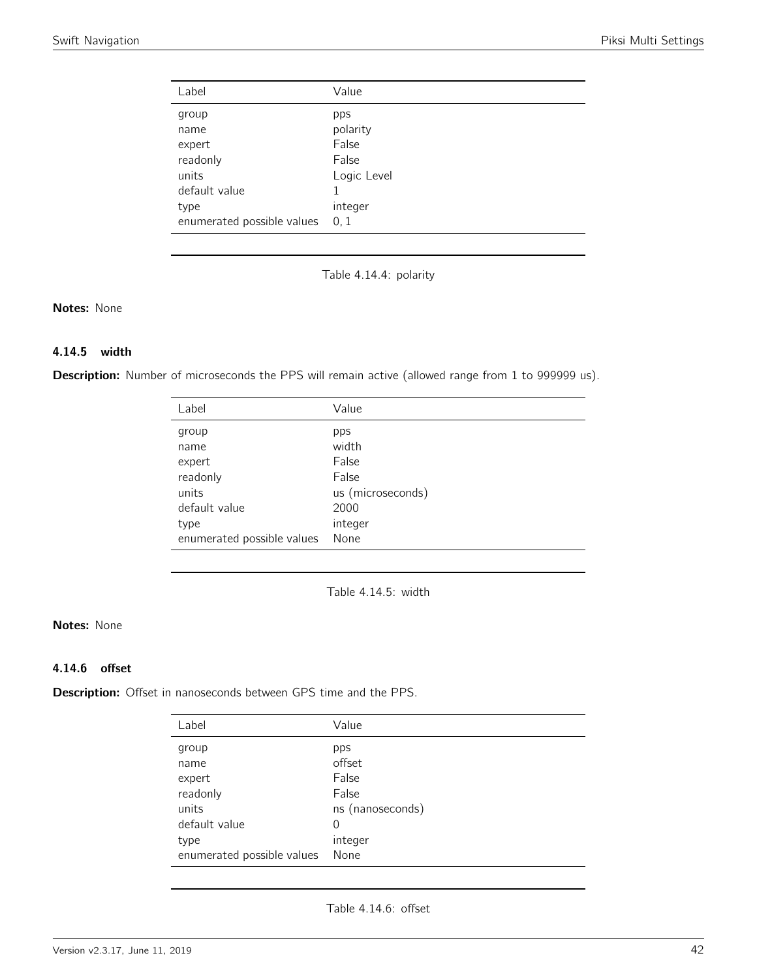| Label                                               | Value                                            |
|-----------------------------------------------------|--------------------------------------------------|
| group<br>name<br>expert<br>readonly<br>units        | pps<br>polarity<br>False<br>False<br>Logic Level |
| default value<br>type<br>enumerated possible values | integer<br>0, 1                                  |

Table 4.14.4: polarity

## Notes: None

## 4.14.5 width

Description: Number of microseconds the PPS will remain active (allowed range from 1 to 999999 us).

| Label                      | Value             |
|----------------------------|-------------------|
| group                      | pps               |
| name                       | width             |
| expert                     | False             |
| readonly                   | False             |
| units                      | us (microseconds) |
| default value              | 2000              |
| type                       | integer           |
| enumerated possible values | None              |

Table 4.14.5: width

## Notes: None

## 4.14.6 offset

Description: Offset in nanoseconds between GPS time and the PPS.

| Label                      | Value            |
|----------------------------|------------------|
| group                      | pps              |
| name                       | offset           |
| expert                     | False            |
| readonly                   | False            |
| units                      | ns (nanoseconds) |
| default value              | 0                |
| type                       | integer          |
| enumerated possible values | None             |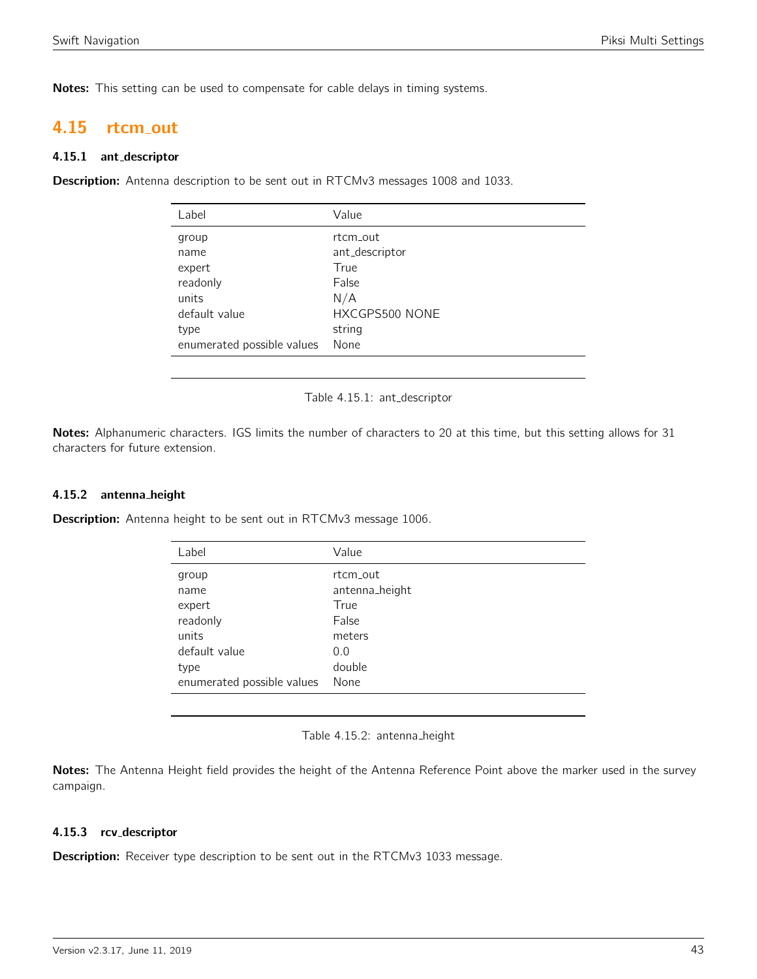Notes: This setting can be used to compensate for cable delays in timing systems.

## 4.15 rtcm out

#### 4.15.1 ant descriptor

Description: Antenna description to be sent out in RTCMv3 messages 1008 and 1033.

| Label                      | Value          |
|----------------------------|----------------|
| group                      | rtcm_out       |
| name                       | ant_descriptor |
| expert                     | True           |
| readonly                   | False          |
| units                      | N/A            |
| default value              | HXCGPS500 NONE |
| type                       | string         |
| enumerated possible values | None           |

Table 4.15.1: ant\_descriptor

Notes: Alphanumeric characters. IGS limits the number of characters to 20 at this time, but this setting allows for 31 characters for future extension.

#### 4.15.2 antenna height

Description: Antenna height to be sent out in RTCMv3 message 1006.

| Value          |
|----------------|
| rtcm_out       |
| antenna_height |
| True           |
| False          |
| meters         |
| 0.0            |
| double         |
| None           |
|                |



Notes: The Antenna Height field provides the height of the Antenna Reference Point above the marker used in the survey campaign.

## 4.15.3 rcv descriptor

Description: Receiver type description to be sent out in the RTCMv3 1033 message.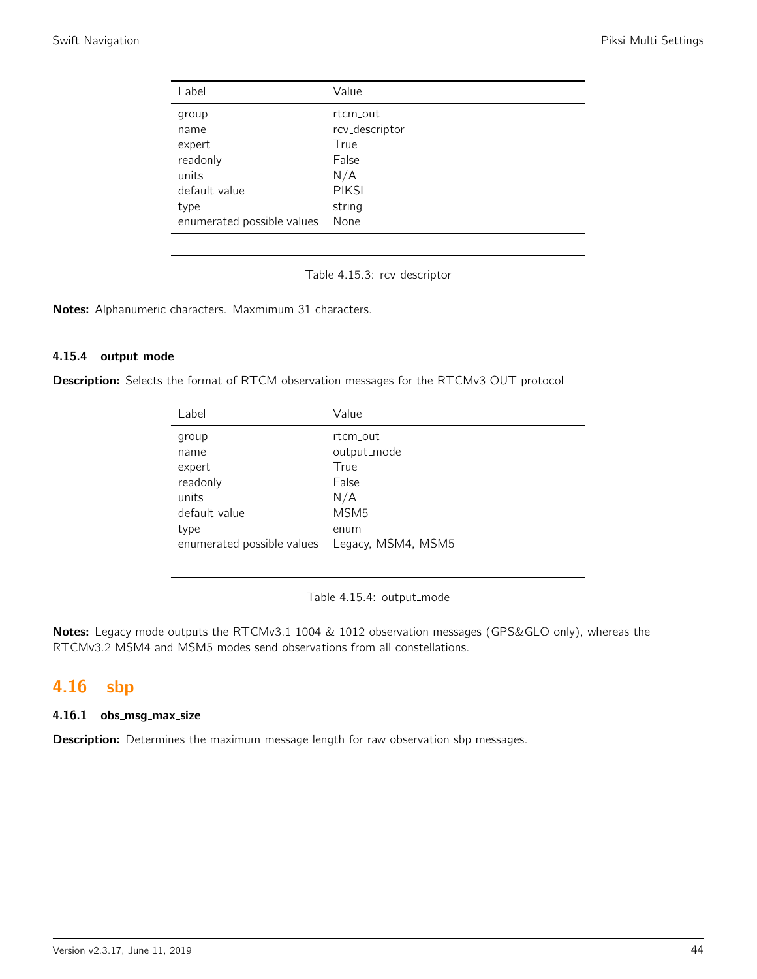| Label                      | Value          |
|----------------------------|----------------|
| group                      | rt.cm_out      |
| name                       | rcv_descriptor |
| expert                     | True           |
| readonly                   | False          |
| units                      | N/A            |
| default value              | <b>PIKSI</b>   |
| type                       | string         |
| enumerated possible values | None           |

Table 4.15.3: rcv descriptor

Notes: Alphanumeric characters. Maxmimum 31 characters.

#### 4.15.4 output mode

Description: Selects the format of RTCM observation messages for the RTCMv3 OUT protocol

| Label                      | Value              |
|----------------------------|--------------------|
| group                      | rt.cm_out          |
| name                       | output_mode        |
| expert                     | True               |
| readonly                   | False              |
| units                      | N/A                |
| default value              | MSM <sub>5</sub>   |
| type                       | enum               |
| enumerated possible values | Legacy, MSM4, MSM5 |

Table 4.15.4: output\_mode

Notes: Legacy mode outputs the RTCMv3.1 1004 & 1012 observation messages (GPS&GLO only), whereas the RTCMv3.2 MSM4 and MSM5 modes send observations from all constellations.

# 4.16 sbp

#### 4.16.1 obs\_msg\_max\_size

**Description:** Determines the maximum message length for raw observation sbp messages.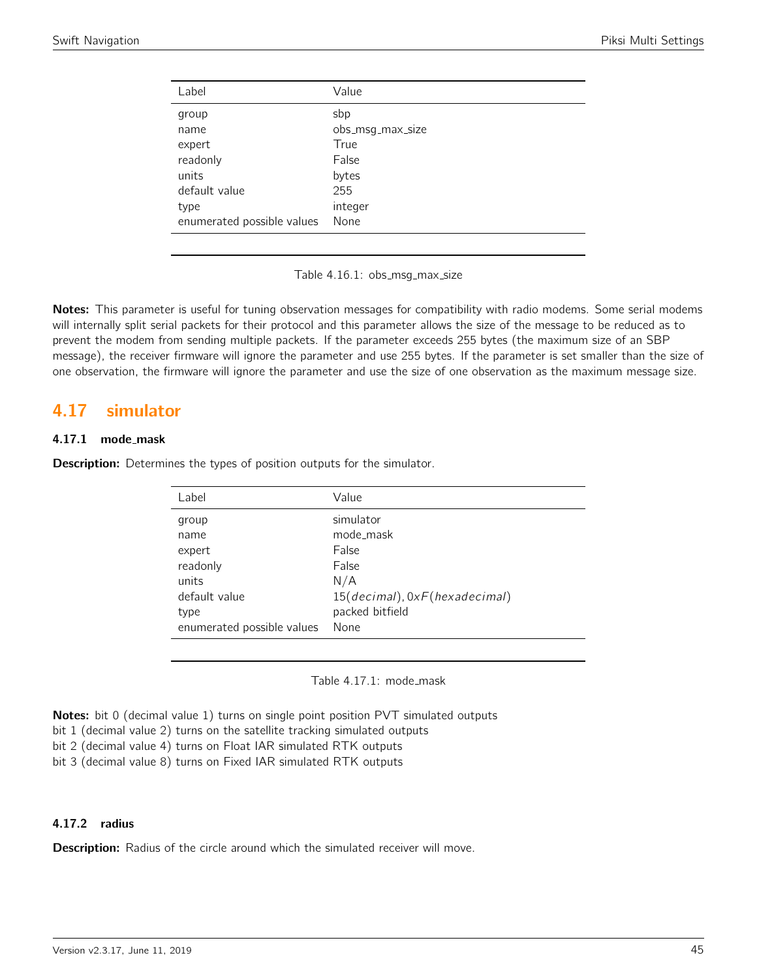| Value            |
|------------------|
| sbp              |
| obs_msg_max_size |
| True             |
| False            |
| bytes            |
| 255              |
| integer          |
| None             |
|                  |

Table 4.16.1: obs\_msg\_max\_size

Notes: This parameter is useful for tuning observation messages for compatibility with radio modems. Some serial modems will internally split serial packets for their protocol and this parameter allows the size of the message to be reduced as to prevent the modem from sending multiple packets. If the parameter exceeds 255 bytes (the maximum size of an SBP message), the receiver firmware will ignore the parameter and use 255 bytes. If the parameter is set smaller than the size of one observation, the firmware will ignore the parameter and use the size of one observation as the maximum message size.

## 4.17 simulator

#### 4.17.1 mode\_mask

**Description:** Determines the types of position outputs for the simulator.

| Label                      | Value                         |
|----------------------------|-------------------------------|
| group                      | simulator                     |
| name                       | mode_mask                     |
| expert                     | False                         |
| readonly                   | False                         |
| units                      | N/A                           |
| default value              | 15(decimal), 0xF(hexadecimal) |
| type                       | packed bitfield               |
| enumerated possible values | None                          |
|                            |                               |

Table 4.17.1: mode\_mask

**Notes:** bit 0 (decimal value 1) turns on single point position PVT simulated outputs

bit 1 (decimal value 2) turns on the satellite tracking simulated outputs

bit 2 (decimal value 4) turns on Float IAR simulated RTK outputs

bit 3 (decimal value 8) turns on Fixed IAR simulated RTK outputs

#### 4.17.2 radius

**Description:** Radius of the circle around which the simulated receiver will move.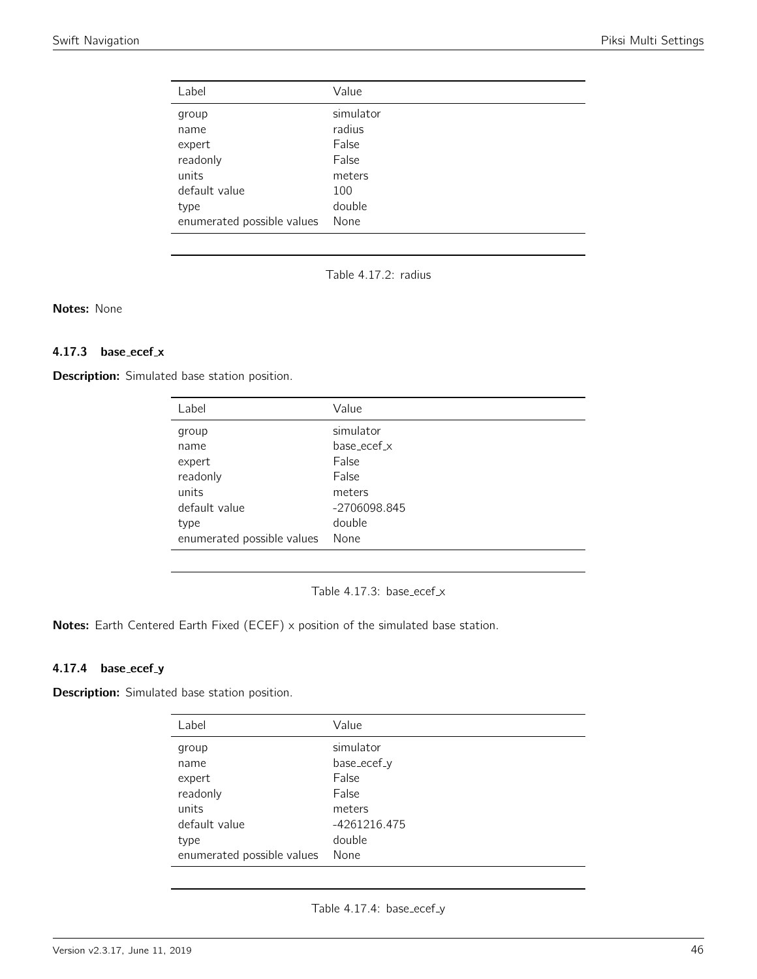| Label                      | Value     |
|----------------------------|-----------|
| group                      | simulator |
| name                       | radius    |
| expert                     | False     |
| readonly                   | False     |
| units                      | meters    |
| default value              | 100       |
| type                       | double    |
| enumerated possible values | None      |

Table 4.17.2: radius

Notes: None

## 4.17.3 base\_ecef\_x

Description: Simulated base station position.

| Label                      | Value        |
|----------------------------|--------------|
| group                      | simulator    |
| name                       | base ecef x  |
| expert                     | False        |
| readonly                   | False        |
| units                      | meters       |
| default value              | -2706098.845 |
| type                       | double       |
| enumerated possible values | None         |

Table 4.17.3: base\_ecef\_ $x$ 

Notes: Earth Centered Earth Fixed (ECEF) x position of the simulated base station.

## 4.17.4 base\_ecef\_y

Description: Simulated base station position.

| Label                      | Value        |
|----------------------------|--------------|
| group                      | simulator    |
| name                       | base_ecef_y  |
| expert                     | False        |
| readonly                   | False        |
| units                      | meters       |
| default value              | -4261216.475 |
| type                       | double       |
| enumerated possible values | None         |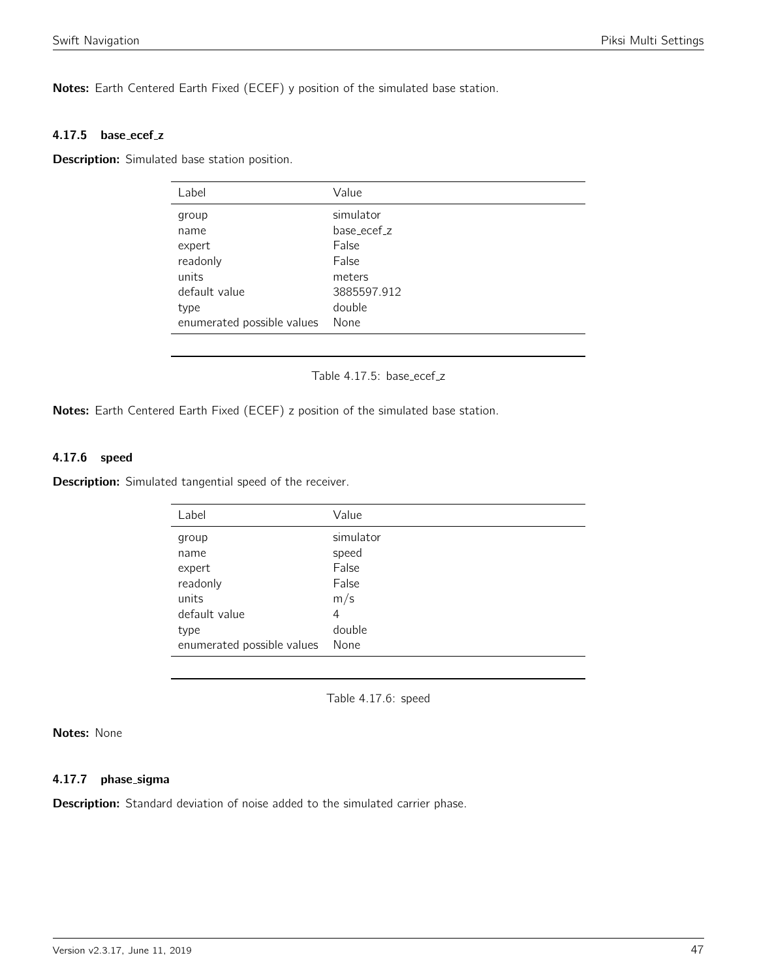Notes: Earth Centered Earth Fixed (ECEF) y position of the simulated base station.

#### 4.17.5 base\_ecef\_z

Description: Simulated base station position.

| Label                      | Value       |
|----------------------------|-------------|
| group                      | simulator   |
| name                       | base ecef z |
| expert                     | False       |
| readonly                   | False       |
| units                      | meters      |
| default value              | 3885597.912 |
| type                       | double      |
| enumerated possible values | None        |

### Table 4.17.5: base\_ecef\_z

Notes: Earth Centered Earth Fixed (ECEF) z position of the simulated base station.

## 4.17.6 speed

Description: Simulated tangential speed of the receiver.

| Label                      | Value     |
|----------------------------|-----------|
| group                      | simulator |
| name                       | speed     |
| expert                     | False     |
| readonly                   | False     |
| units                      | m/s       |
| default value              | 4         |
| type                       | double    |
| enumerated possible values | None      |

Table 4.17.6: speed

#### Notes: None

#### 4.17.7 phase sigma

**Description:** Standard deviation of noise added to the simulated carrier phase.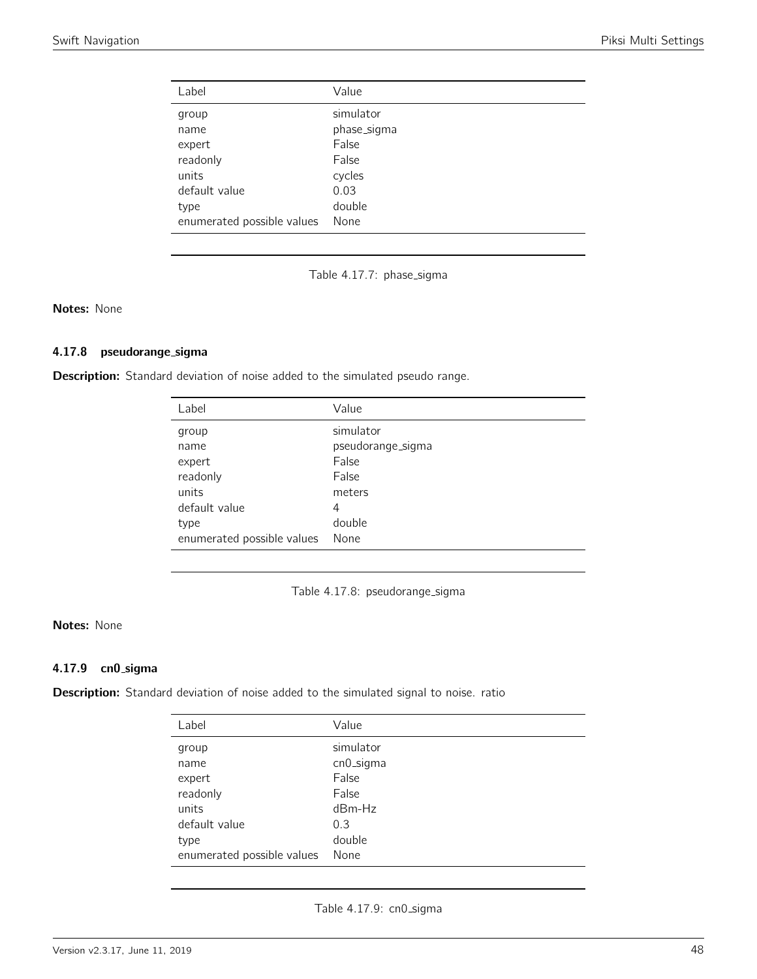| Label                      | Value       |
|----------------------------|-------------|
| group                      | simulator   |
| name                       | phase_sigma |
| expert                     | False       |
| readonly                   | False       |
| units                      | cycles      |
| default value              | 0.03        |
| type                       | double      |
| enumerated possible values | None        |

Table 4.17.7: phase\_sigma

Notes: None

#### 4.17.8 pseudorange sigma

Description: Standard deviation of noise added to the simulated pseudo range.

| Label                      | Value             |
|----------------------------|-------------------|
| group                      | simulator         |
| name                       | pseudorange_sigma |
| expert                     | False             |
| readonly                   | False             |
| units                      | meters            |
| default value              | 4                 |
| type                       | double            |
| enumerated possible values | None              |

Table 4.17.8: pseudorange\_sigma

## Notes: None

## 4.17.9 cn0 sigma

Description: Standard deviation of noise added to the simulated signal to noise. ratio

| Label                      | Value     |
|----------------------------|-----------|
| group                      | simulator |
| name                       | cn0_sigma |
| expert                     | False     |
| readonly                   | False     |
| units                      | $dBm-Hz$  |
| default value              | 0.3       |
| type                       | double    |
| enumerated possible values | None      |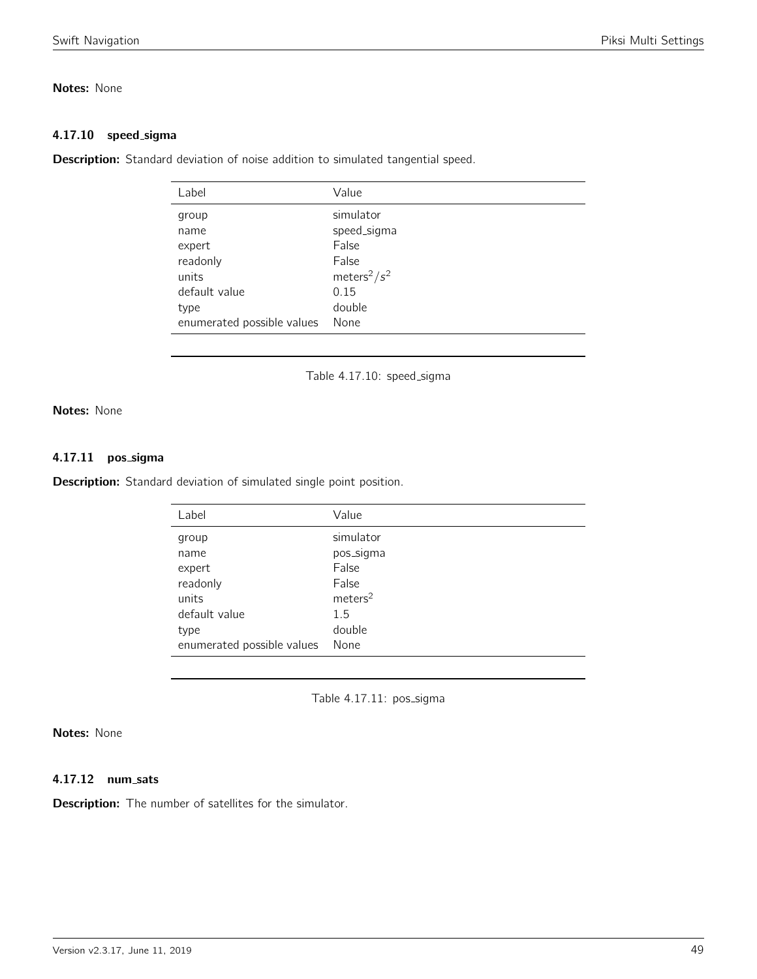## Notes: None

#### 4.17.10 speed\_sigma

**Description:** Standard deviation of noise addition to simulated tangential speed.

| Label                      | Value                       |
|----------------------------|-----------------------------|
| group                      | simulator                   |
| name                       | speed_sigma                 |
| expert                     | False                       |
| readonly                   | False                       |
| units                      | meters <sup>2</sup> / $s^2$ |
| default value              | 0.15                        |
| type                       | double                      |
| enumerated possible values | None                        |
|                            |                             |

Table 4.17.10: speed\_sigma

## Notes: None

#### 4.17.11 pos\_sigma

Description: Standard deviation of simulated single point position.

| Label                      | Value               |
|----------------------------|---------------------|
| group                      | simulator           |
| name                       | pos_sigma           |
| expert                     | False               |
| readonly                   | False               |
| units                      | meters <sup>2</sup> |
| default value              | 1.5                 |
| type                       | double              |
| enumerated possible values | None                |

Table 4.17.11: pos\_sigma

## Notes: None

## 4.17.12 num sats

**Description:** The number of satellites for the simulator.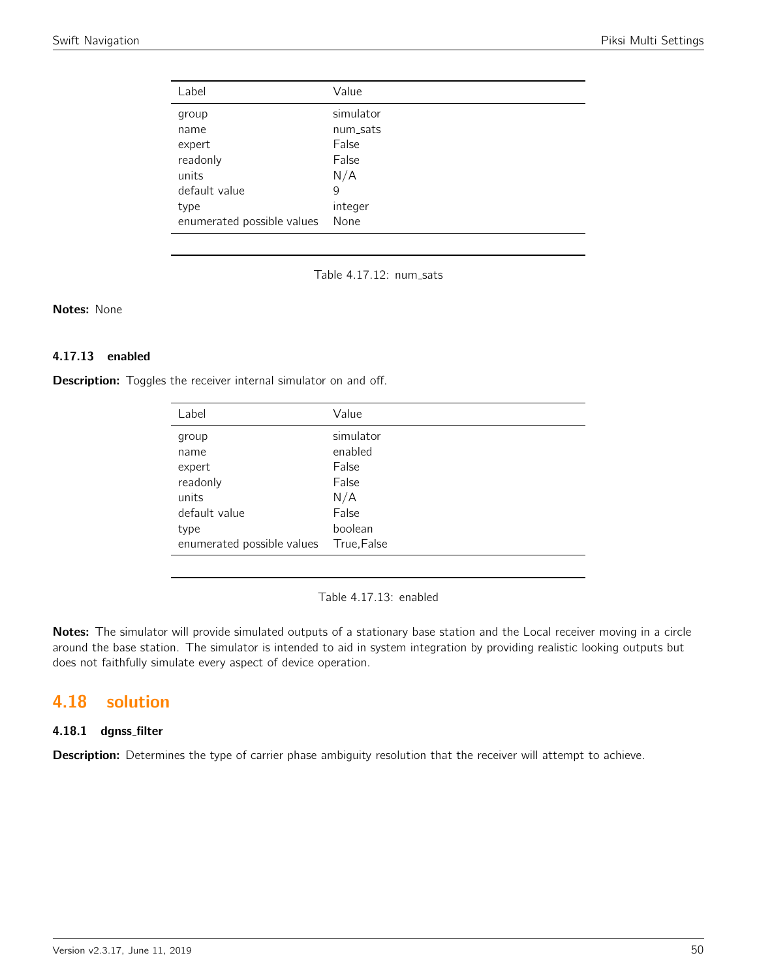| Label                      | Value     |
|----------------------------|-----------|
| group                      | simulator |
| name                       | num_sats  |
| expert                     | False     |
| readonly                   | False     |
| units                      | N/A       |
| default value              | 9         |
| type                       | integer   |
| enumerated possible values | None      |

Table 4.17.12: num\_sats

## Notes: None

#### 4.17.13 enabled

Description: Toggles the receiver internal simulator on and off.

| Label                      | Value      |
|----------------------------|------------|
| group                      | simulator  |
| name                       | enabled    |
| expert                     | False      |
| readonly                   | False      |
| units                      | N/A        |
| default value              | False      |
| type                       | boolean    |
| enumerated possible values | True,False |

Table 4.17.13: enabled

Notes: The simulator will provide simulated outputs of a stationary base station and the Local receiver moving in a circle around the base station. The simulator is intended to aid in system integration by providing realistic looking outputs but does not faithfully simulate every aspect of device operation.

# 4.18 solution

## 4.18.1 dgnss filter

Description: Determines the type of carrier phase ambiguity resolution that the receiver will attempt to achieve.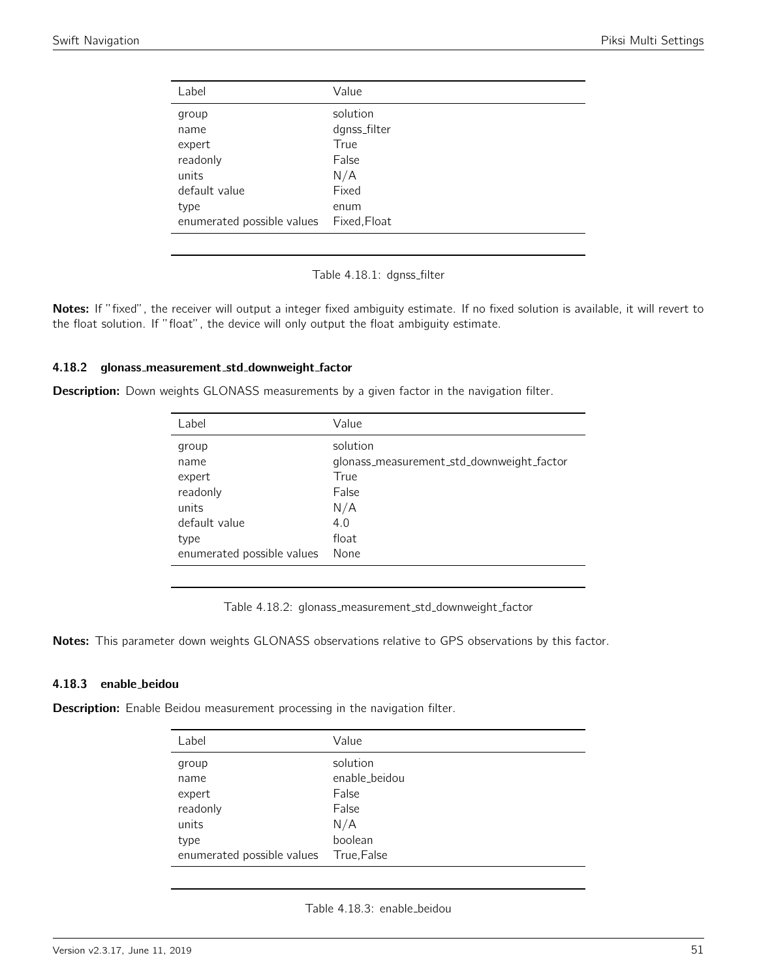| Label                      | Value        |
|----------------------------|--------------|
| group                      | solution     |
| name                       | dgnss_filter |
| expert                     | True         |
| readonly                   | False        |
| units                      | N/A          |
| default value              | Fixed        |
| type                       | enum         |
| enumerated possible values | Fixed, Float |

Table 4.18.1: dgnss\_filter

Notes: If "fixed", the receiver will output a integer fixed ambiguity estimate. If no fixed solution is available, it will revert to the float solution. If "float", the device will only output the float ambiguity estimate.

#### 4.18.2 glonass\_measurement\_std\_downweight\_factor

**Description:** Down weights GLONASS measurements by a given factor in the navigation filter.

| Value                                     |
|-------------------------------------------|
| solution                                  |
| glonass_measurement_std_downweight_factor |
| True                                      |
| False                                     |
| N/A                                       |
| 4.0                                       |
| float                                     |
| None                                      |
|                                           |

Table 4.18.2: glonass\_measurement\_std\_downweight\_factor

Notes: This parameter down weights GLONASS observations relative to GPS observations by this factor.

#### 4.18.3 enable beidou

**Description:** Enable Beidou measurement processing in the navigation filter.

| Label                      | Value         |
|----------------------------|---------------|
| group                      | solution      |
| name                       | enable_beidou |
| expert                     | False         |
| readonly                   | False         |
| units                      | N/A           |
| type                       | boolean       |
| enumerated possible values | True, False   |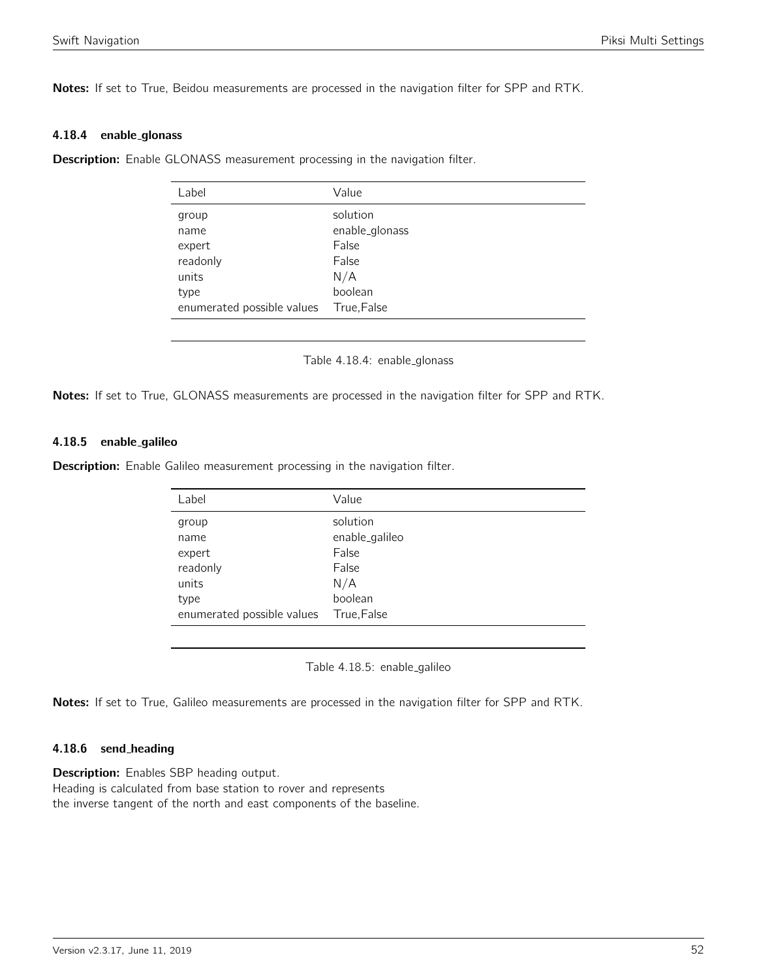Notes: If set to True, Beidou measurements are processed in the navigation filter for SPP and RTK.

#### 4.18.4 enable glonass

**Description:** Enable GLONASS measurement processing in the navigation filter.

| Label                                                                              | Value                                                                         |
|------------------------------------------------------------------------------------|-------------------------------------------------------------------------------|
| group<br>name<br>expert<br>readonly<br>units<br>type<br>enumerated possible values | solution<br>enable_glonass<br>False<br>False<br>N/A<br>boolean<br>True, False |
|                                                                                    |                                                                               |

Table 4.18.4: enable\_glonass

Notes: If set to True, GLONASS measurements are processed in the navigation filter for SPP and RTK.

#### 4.18.5 enable galileo

**Description:** Enable Galileo measurement processing in the navigation filter.

| Label                      | Value                   |
|----------------------------|-------------------------|
| group                      | solution                |
| name<br>expert             | enable_galileo<br>False |
| readonly                   | False                   |
| units                      | N/A                     |
| type                       | boolean                 |
| enumerated possible values | True, False             |

Table 4.18.5: enable galileo

Notes: If set to True, Galileo measurements are processed in the navigation filter for SPP and RTK.

#### 4.18.6 send heading

**Description:** Enables SBP heading output. Heading is calculated from base station to rover and represents the inverse tangent of the north and east components of the baseline.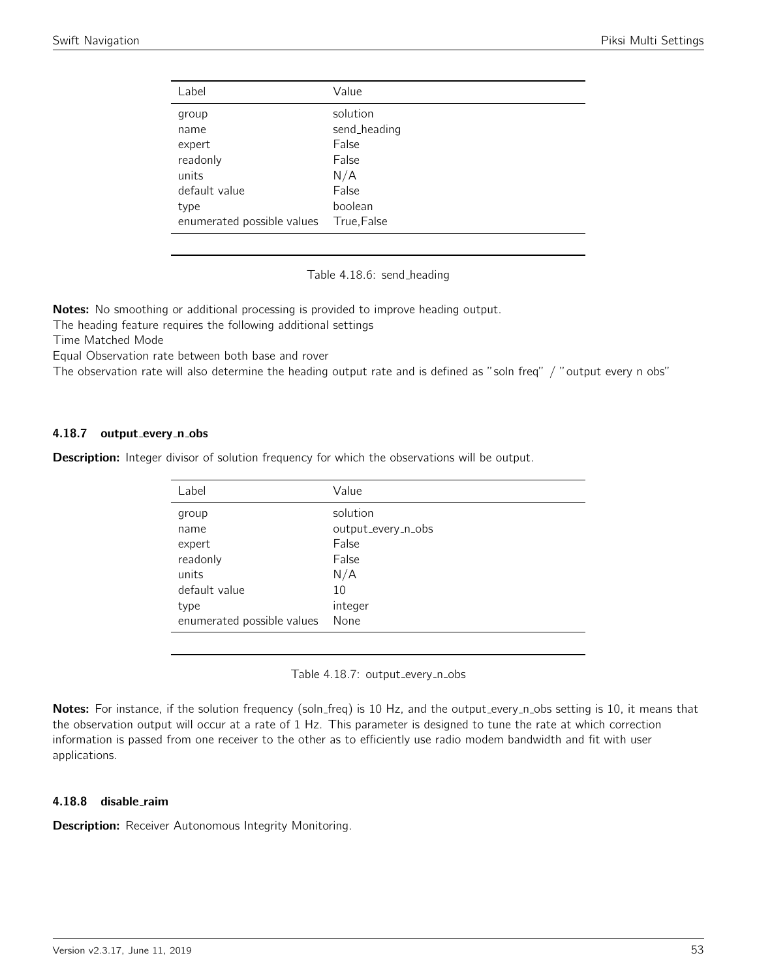| Label                      | Value        |
|----------------------------|--------------|
| group                      | solution     |
| name                       | send_heading |
| expert                     | False        |
| readonly                   | False        |
| units                      | N/A          |
| default value              | False        |
| type                       | boolean      |
| enumerated possible values | True, False  |

Table 4.18.6: send\_heading

Notes: No smoothing or additional processing is provided to improve heading output.

The heading feature requires the following additional settings

Time Matched Mode

Equal Observation rate between both base and rover

The observation rate will also determine the heading output rate and is defined as "soln freq" / "output every n obs"

#### 4.18.7 output\_every\_n\_obs

**Description:** Integer divisor of solution frequency for which the observations will be output.

| Label                      | Value              |
|----------------------------|--------------------|
| group                      | solution           |
| name                       | output_every_n_obs |
| expert                     | False              |
| readonly                   | False              |
| units                      | N/A                |
| default value              | 10                 |
| type                       | integer            |
| enumerated possible values | None               |

Table 4.18.7: output\_every\_n\_obs

Notes: For instance, if the solution frequency (soln\_freq) is 10 Hz, and the output\_every\_n\_obs setting is 10, it means that the observation output will occur at a rate of 1 Hz. This parameter is designed to tune the rate at which correction information is passed from one receiver to the other as to efficiently use radio modem bandwidth and fit with user applications.

#### 4.18.8 disable raim

**Description:** Receiver Autonomous Integrity Monitoring.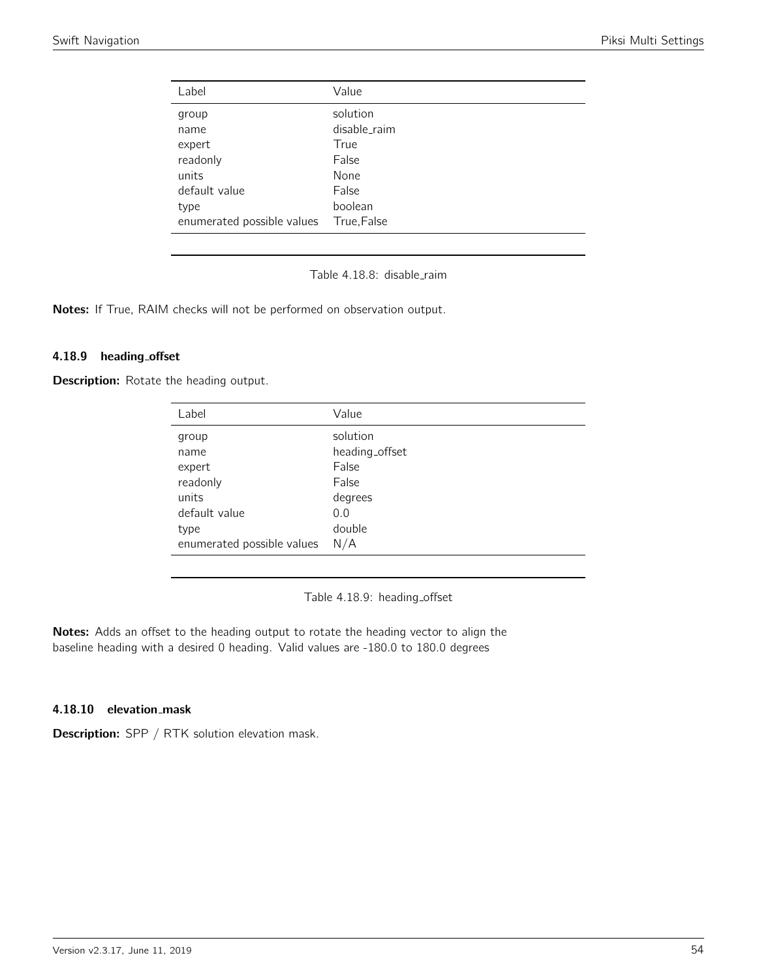| Label                      | Value        |
|----------------------------|--------------|
| group                      | solution     |
| name                       | disable_raim |
| expert                     | True         |
| readonly                   | False        |
| units                      | None         |
| default value              | False        |
| type                       | boolean      |
| enumerated possible values | True, False  |

Table 4.18.8: disable raim

Notes: If True, RAIM checks will not be performed on observation output.

#### 4.18.9 heading offset

Description: Rotate the heading output.

| Label                      | Value          |
|----------------------------|----------------|
| group                      | solution       |
| name                       | heading_offset |
| expert                     | False          |
| readonly                   | False          |
| units                      | degrees        |
| default value              | 0.0            |
| type                       | double         |
| enumerated possible values | N/A            |

Table 4.18.9: heading\_offset

Notes: Adds an offset to the heading output to rotate the heading vector to align the baseline heading with a desired 0 heading. Valid values are -180.0 to 180.0 degrees

## 4.18.10 elevation mask

Description: SPP / RTK solution elevation mask.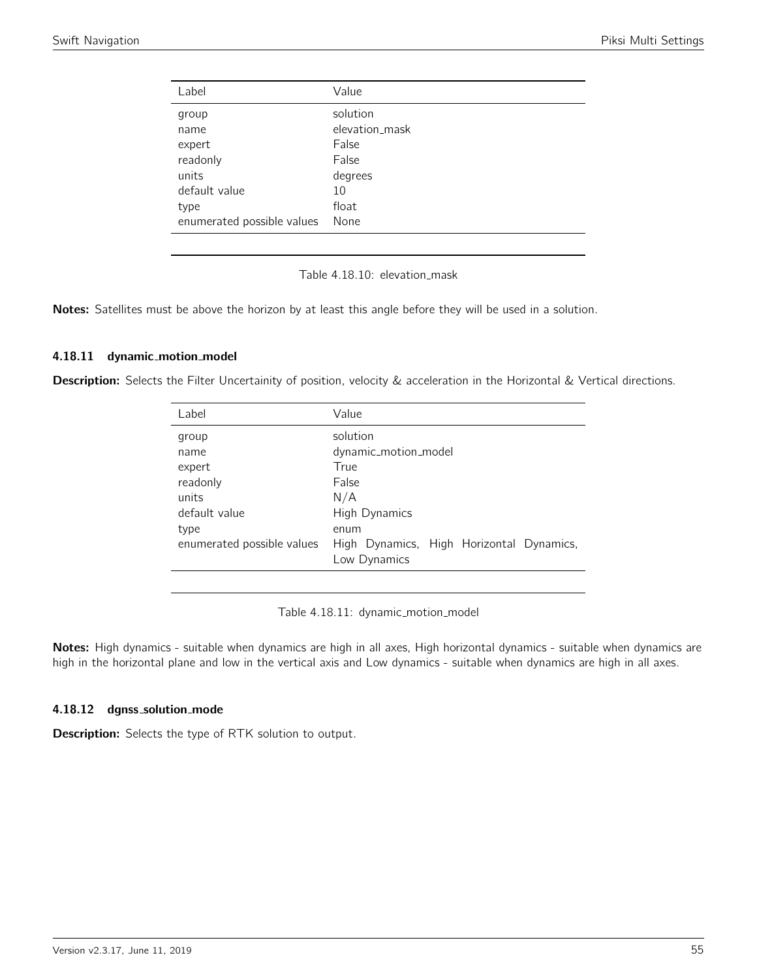| Value          |
|----------------|
| solution       |
| elevation_mask |
| False          |
| False          |
| degrees        |
| 10             |
| float          |
| None           |
|                |

Table 4.18.10: elevation\_mask

Notes: Satellites must be above the horizon by at least this angle before they will be used in a solution.

#### 4.18.11 dynamic\_motion\_model

Description: Selects the Filter Uncertainity of position, velocity & acceleration in the Horizontal & Vertical directions.

| Label                      | Value                                    |
|----------------------------|------------------------------------------|
| group                      | solution                                 |
| name                       | dynamic_motion_model                     |
| expert                     | True                                     |
| readonly                   | False                                    |
| units                      | N/A                                      |
| default value              | High Dynamics                            |
| type                       | enum                                     |
| enumerated possible values | High Dynamics, High Horizontal Dynamics, |
|                            | Low Dynamics                             |
|                            |                                          |

Table 4.18.11: dynamic\_motion\_model

Notes: High dynamics - suitable when dynamics are high in all axes, High horizontal dynamics - suitable when dynamics are high in the horizontal plane and low in the vertical axis and Low dynamics - suitable when dynamics are high in all axes.

#### 4.18.12 dgnss\_solution\_mode

Description: Selects the type of RTK solution to output.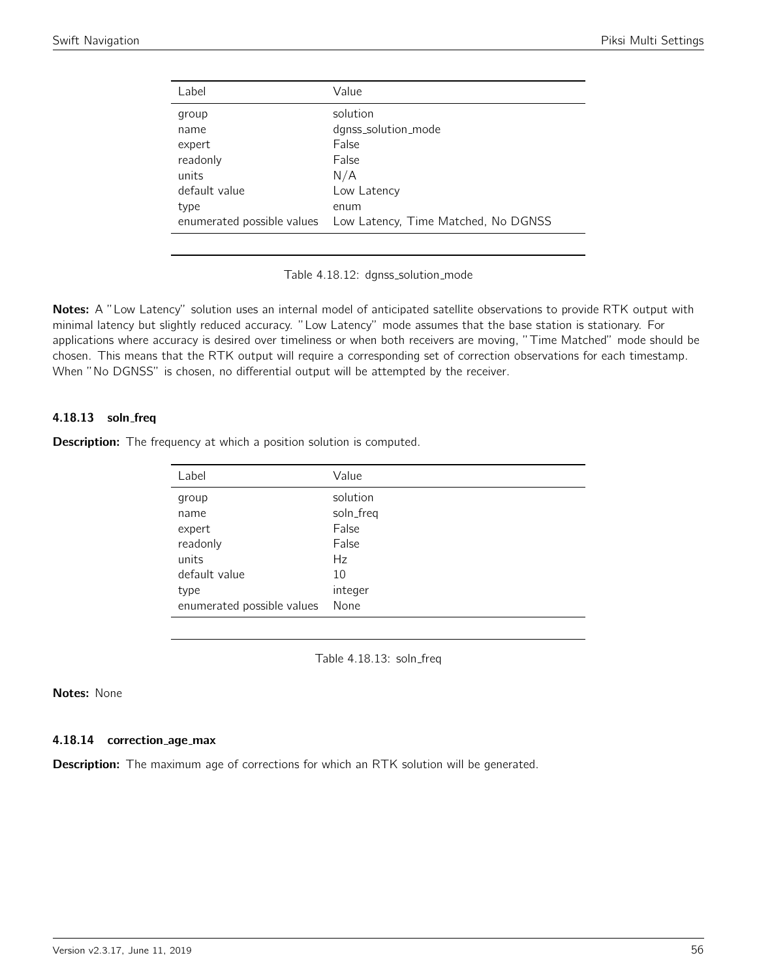| Label                      | Value                               |
|----------------------------|-------------------------------------|
| group                      | solution                            |
| name                       | dgnss_solution_mode                 |
| expert                     | False                               |
| readonly                   | False                               |
| units                      | N/A                                 |
| default value              | Low Latency                         |
| type                       | enum                                |
| enumerated possible values | Low Latency, Time Matched, No DGNSS |
|                            |                                     |

Table 4.18.12: dgnss\_solution\_mode

Notes: A "Low Latency" solution uses an internal model of anticipated satellite observations to provide RTK output with minimal latency but slightly reduced accuracy. "Low Latency" mode assumes that the base station is stationary. For applications where accuracy is desired over timeliness or when both receivers are moving, "Time Matched" mode should be chosen. This means that the RTK output will require a corresponding set of correction observations for each timestamp. When "No DGNSS" is chosen, no differential output will be attempted by the receiver.

## 4.18.13 soln freq

**Description:** The frequency at which a position solution is computed.

| Label                      | Value     |
|----------------------------|-----------|
| group                      | solution  |
| name                       | soln_freq |
| expert                     | False     |
| readonly                   | False     |
| units                      | Hz        |
| default value              | 10        |
| type                       | integer   |
| enumerated possible values | None      |

Table 4.18.13: soln\_freq

## Notes: None

#### 4.18.14 correction age max

**Description:** The maximum age of corrections for which an RTK solution will be generated.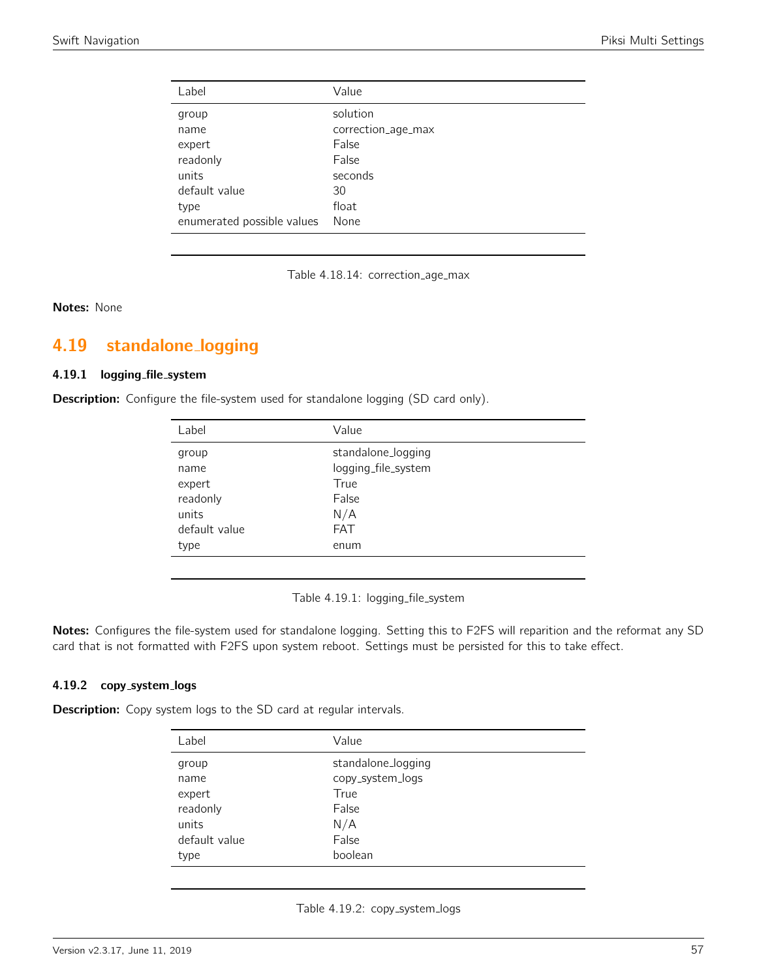| Label                      | Value              |
|----------------------------|--------------------|
| group                      | solution           |
| name                       | correction_age_max |
| expert                     | False              |
| readonly                   | False              |
| units                      | seconds            |
| default value              | 30                 |
| type                       | float              |
| enumerated possible values | None               |

Table 4.18.14: correction\_age\_max

Notes: None

# 4.19 standalone logging

## 4.19.1 logging file system

**Description:** Configure the file-system used for standalone logging (SD card only).

| Label         | Value               |
|---------------|---------------------|
| group         | standalone_logging  |
| name          | logging_file_system |
| expert        | True                |
| readonly      | False               |
| units         | N/A                 |
| default value | <b>FAT</b>          |
| type          | enum                |
|               |                     |

Table 4.19.1: logging\_file\_system

Notes: Configures the file-system used for standalone logging. Setting this to F2FS will reparition and the reformat any SD card that is not formatted with F2FS upon system reboot. Settings must be persisted for this to take effect.

#### 4.19.2 copy\_system\_logs

**Description:** Copy system logs to the SD card at regular intervals.

| Label         | Value              |
|---------------|--------------------|
| group         | standalone_logging |
| name          | copy_system_logs   |
| expert        | True               |
| readonly      | False              |
| units         | N/A                |
| default value | False              |
| type          | boolean            |

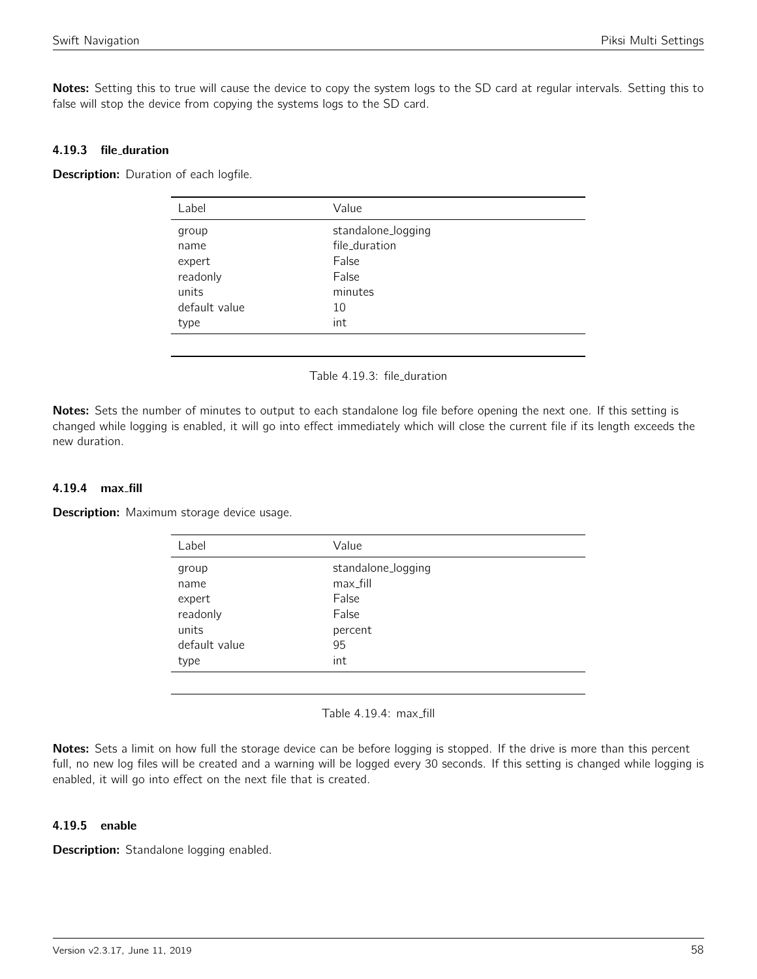Notes: Setting this to true will cause the device to copy the system logs to the SD card at regular intervals. Setting this to false will stop the device from copying the systems logs to the SD card.

## 4.19.3 file duration

**Description:** Duration of each logfile.

| Label         | Value              |
|---------------|--------------------|
| group         | standalone_logging |
| name          | file_duration      |
| expert        | False              |
| readonly      | False              |
| units         | minutes            |
| default value | 10                 |
| type          | int                |
|               |                    |

#### Table 4.19.3: file duration

Notes: Sets the number of minutes to output to each standalone log file before opening the next one. If this setting is changed while logging is enabled, it will go into effect immediately which will close the current file if its length exceeds the new duration.

## 4.19.4 max fill

**Description:** Maximum storage device usage.

| Label         | Value              |
|---------------|--------------------|
| group         | standalone_logging |
| name          | max_fill           |
| expert        | False              |
| readonly      | False              |
| units         | percent            |
| default value | 95                 |
| type          | int                |
|               |                    |

Table 4.19.4: max\_fill

Notes: Sets a limit on how full the storage device can be before logging is stopped. If the drive is more than this percent full, no new log files will be created and a warning will be logged every 30 seconds. If this setting is changed while logging is enabled, it will go into effect on the next file that is created.

#### 4.19.5 enable

Description: Standalone logging enabled.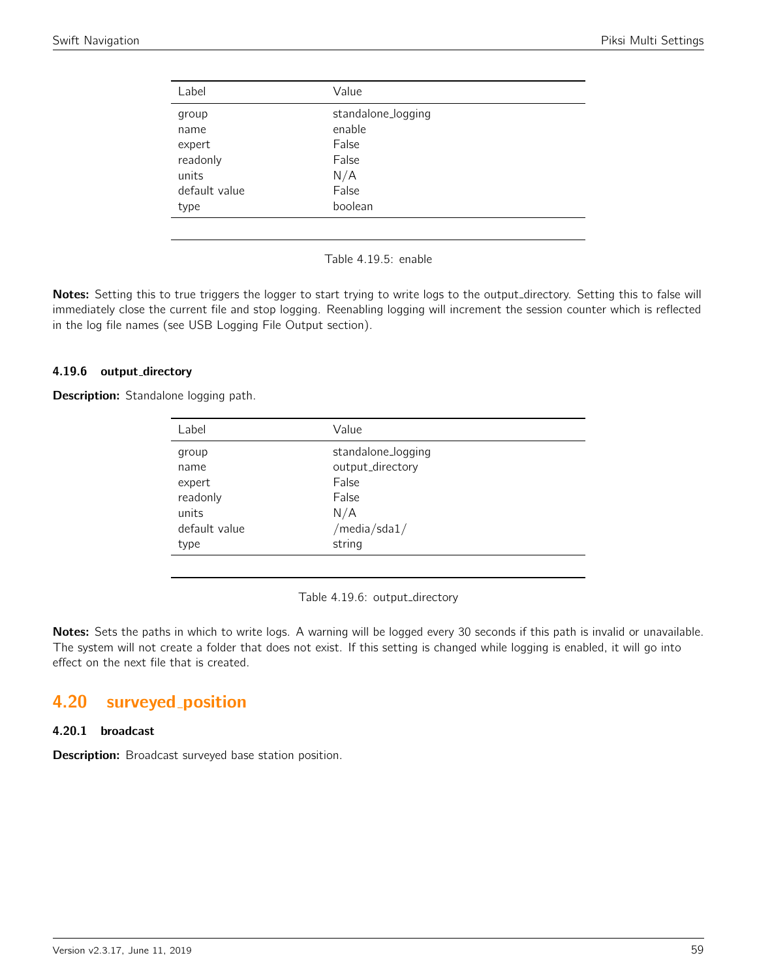| Label         | Value              |
|---------------|--------------------|
| group         | standalone_logging |
| name          | enable             |
| expert        | False              |
| readonly      | False              |
| units         | N/A                |
| default value | False              |
| type          | boolean            |
|               |                    |

Table 4.19.5: enable

Notes: Setting this to true triggers the logger to start trying to write logs to the output\_directory. Setting this to false will immediately close the current file and stop logging. Reenabling logging will increment the session counter which is reflected in the log file names (see USB Logging File Output section).

#### 4.19.6 output\_directory

Description: Standalone logging path.

| Label         | Value              |
|---------------|--------------------|
| group         | standalone_logging |
| name          | output_directory   |
| expert        | False              |
| readonly      | False              |
| units         | N/A                |
| default value | /media/sda1/       |
| type          | string             |
|               |                    |

Table 4.19.6: output\_directory

Notes: Sets the paths in which to write logs. A warning will be logged every 30 seconds if this path is invalid or unavailable. The system will not create a folder that does not exist. If this setting is changed while logging is enabled, it will go into effect on the next file that is created.

# 4.20 surveyed position

## 4.20.1 broadcast

**Description:** Broadcast surveyed base station position.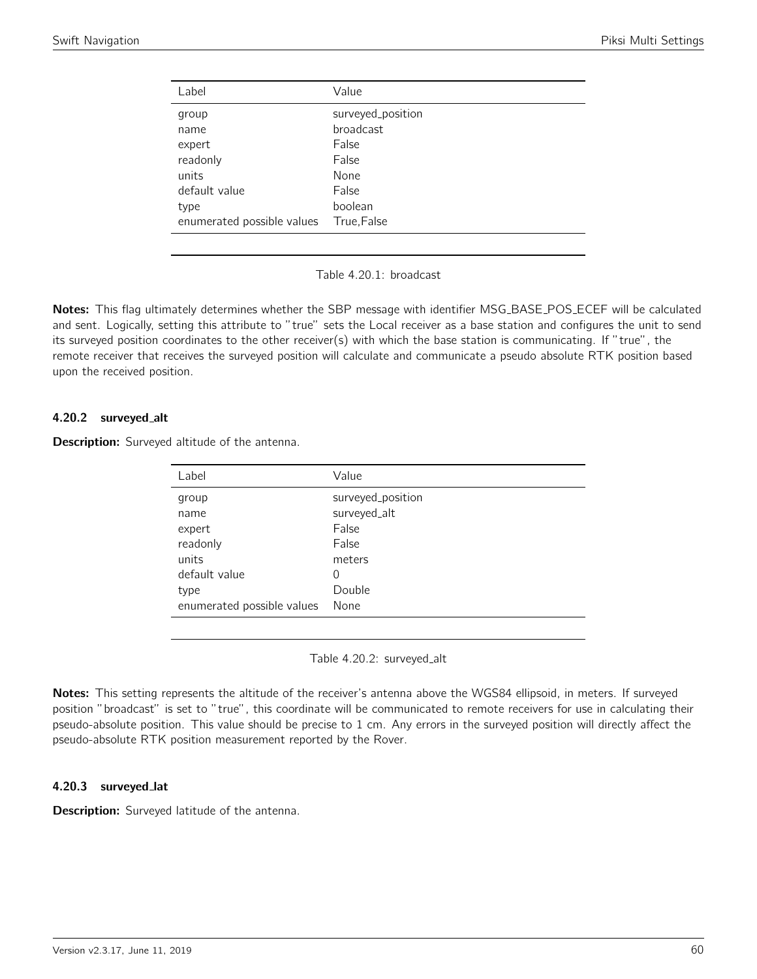| Label                      | Value             |
|----------------------------|-------------------|
| group                      | surveyed_position |
| name                       | broadcast         |
| expert                     | False             |
| readonly                   | False             |
| units                      | None              |
| default value              | False             |
| type                       | boolean           |
| enumerated possible values | True, False       |

Table 4.20.1: broadcast

Notes: This flag ultimately determines whether the SBP message with identifier MSG\_BASE\_POS\_ECEF will be calculated and sent. Logically, setting this attribute to "true" sets the Local receiver as a base station and configures the unit to send its surveyed position coordinates to the other receiver(s) with which the base station is communicating. If "true", the remote receiver that receives the surveyed position will calculate and communicate a pseudo absolute RTK position based upon the received position.

## 4.20.2 surveyed alt

Description: Surveyed altitude of the antenna.

| Label                      | Value             |
|----------------------------|-------------------|
| group                      | surveyed_position |
| name                       | surveyed_alt      |
| expert                     | False             |
| readonly                   | False             |
| units                      | meters            |
| default value              | 0                 |
| type                       | Double            |
| enumerated possible values | None              |
|                            |                   |

Table 4.20.2: surveyed\_alt

Notes: This setting represents the altitude of the receiver's antenna above the WGS84 ellipsoid, in meters. If surveyed position "broadcast" is set to "true", this coordinate will be communicated to remote receivers for use in calculating their pseudo-absolute position. This value should be precise to 1 cm. Any errors in the surveyed position will directly affect the pseudo-absolute RTK position measurement reported by the Rover.

#### 4.20.3 surveyed lat

Description: Surveyed latitude of the antenna.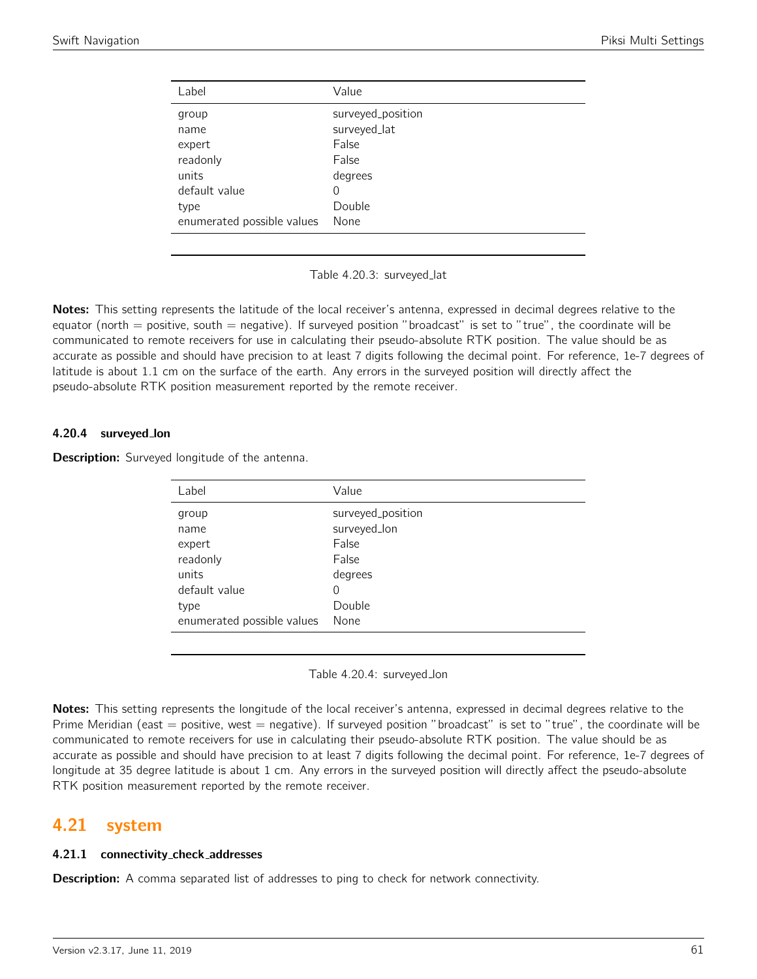| Label                      | Value             |
|----------------------------|-------------------|
| group                      | surveyed_position |
| name                       | surveyed_lat      |
| expert                     | False             |
| readonly                   | False             |
| units                      | degrees           |
| default value              | 0                 |
| type                       | Double            |
| enumerated possible values | None              |

Table 4.20.3: surveyed lat

Notes: This setting represents the latitude of the local receiver's antenna, expressed in decimal degrees relative to the equator (north  $=$  positive, south  $=$  negative). If surveyed position "broadcast" is set to "true", the coordinate will be communicated to remote receivers for use in calculating their pseudo-absolute RTK position. The value should be as accurate as possible and should have precision to at least 7 digits following the decimal point. For reference, 1e-7 degrees of latitude is about 1.1 cm on the surface of the earth. Any errors in the surveyed position will directly affect the pseudo-absolute RTK position measurement reported by the remote receiver.

#### 4.20.4 surveyed lon

**Description:** Surveyed longitude of the antenna.

| Label                      | Value             |
|----------------------------|-------------------|
| group                      | surveyed_position |
| name                       | surveyed_lon      |
| expert                     | False             |
| readonly                   | False             |
| units                      | degrees           |
| default value              | 0                 |
| type                       | Double            |
| enumerated possible values | None              |

Table 4.20.4: surveyed lon

Notes: This setting represents the longitude of the local receiver's antenna, expressed in decimal degrees relative to the Prime Meridian (east = positive, west = negative). If surveyed position "broadcast" is set to "true", the coordinate will be communicated to remote receivers for use in calculating their pseudo-absolute RTK position. The value should be as accurate as possible and should have precision to at least 7 digits following the decimal point. For reference, 1e-7 degrees of longitude at 35 degree latitude is about 1 cm. Any errors in the surveyed position will directly affect the pseudo-absolute RTK position measurement reported by the remote receiver.

## 4.21 system

## 4.21.1 connectivity check addresses

**Description:** A comma separated list of addresses to ping to check for network connectivity.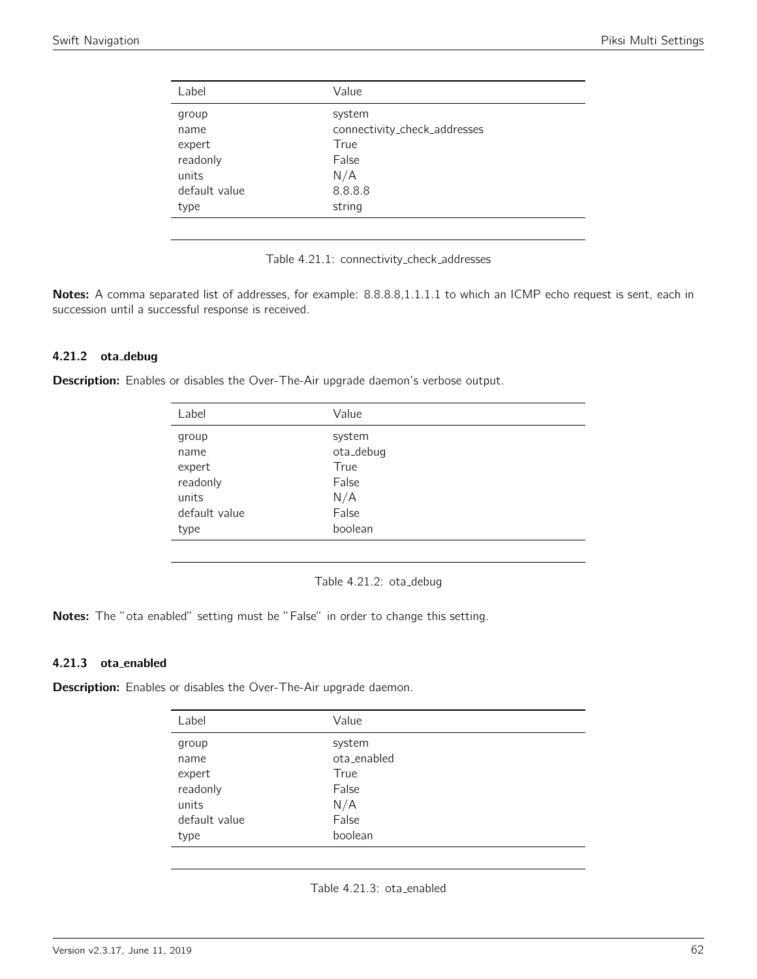| Label         | Value                        |
|---------------|------------------------------|
| group         | system                       |
| name          | connectivity_check_addresses |
| expert        | True                         |
| readonly      | False                        |
| units         | N/A                          |
| default value | 8.8.8.8                      |
| type          | string                       |
|               |                              |

Table 4.21.1: connectivity check addresses

Notes: A comma separated list of addresses, for example: 8.8.8.8,1.1.1.1 to which an ICMP echo request is sent, each in succession until a successful response is received.

#### 4.21.2 ota debug

Description: Enables or disables the Over-The-Air upgrade daemon's verbose output.

| Label         | Value     |
|---------------|-----------|
| group         | system    |
| name          | ota_debug |
| expert        | True      |
| readonly      | False     |
| units         | N/A       |
| default value | False     |
| type          | boolean   |
|               |           |

Table 4.21.2: ota\_debug

Notes: The "ota enabled" setting must be "False" in order to change this setting.

#### 4.21.3 ota enabled

**Description:** Enables or disables the Over-The-Air upgrade daemon.

| Label         | Value       |
|---------------|-------------|
| group         | system      |
| name          | ota enabled |
| expert        | True        |
| readonly      | False       |
| units         | N/A         |
| default value | False       |
| type          | boolean     |

Table 4.21.3: ota\_enabled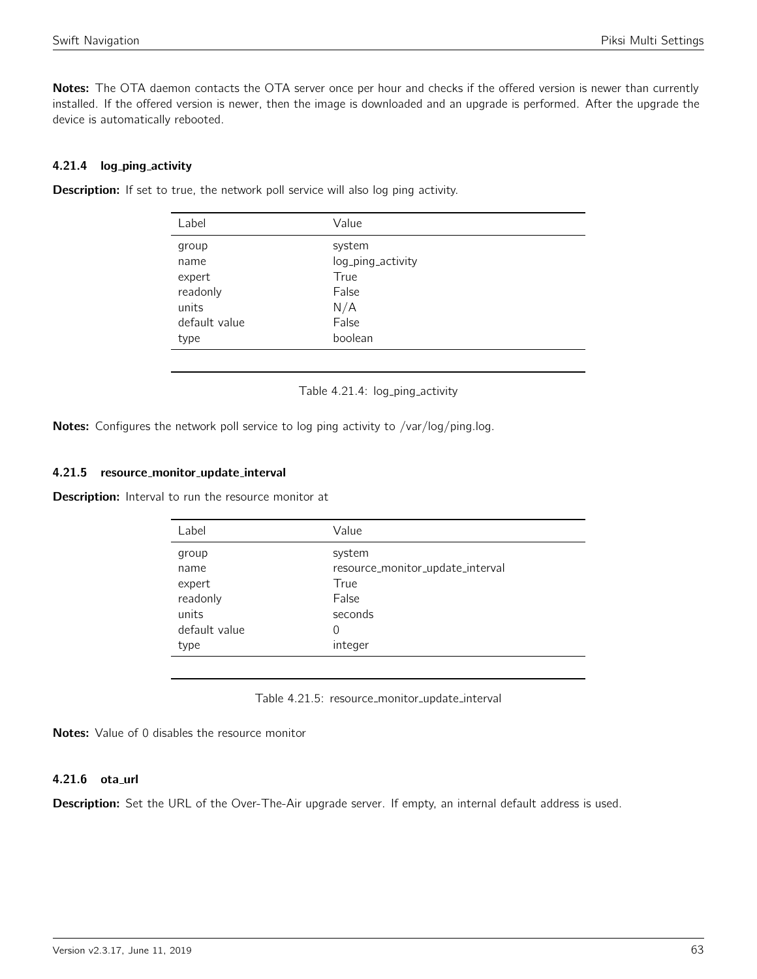Notes: The OTA daemon contacts the OTA server once per hour and checks if the offered version is newer than currently installed. If the offered version is newer, then the image is downloaded and an upgrade is performed. After the upgrade the device is automatically rebooted.

## 4.21.4 log ping activity

| <b>Description:</b> If set to true, the network poll service will also log ping activity. |  |
|-------------------------------------------------------------------------------------------|--|
|-------------------------------------------------------------------------------------------|--|

| Label         | Value             |
|---------------|-------------------|
| group         | system            |
| name          | log_ping_activity |
| expert        | True              |
| readonly      | False             |
| units         | N/A               |
| default value | False             |
| type          | boolean           |
|               |                   |

Table 4.21.4: log\_ping\_activity

Notes: Configures the network poll service to log ping activity to /var/log/ping.log.

## 4.21.5 resource monitor update interval

Description: Interval to run the resource monitor at

| Value                            |
|----------------------------------|
| system                           |
| resource_monitor_update_interval |
| True                             |
| False                            |
| seconds                          |
| 0                                |
| integer                          |
|                                  |

Table 4.21.5: resource\_monitor\_update\_interval

Notes: Value of 0 disables the resource monitor

#### 4.21.6 ota\_url

Description: Set the URL of the Over-The-Air upgrade server. If empty, an internal default address is used.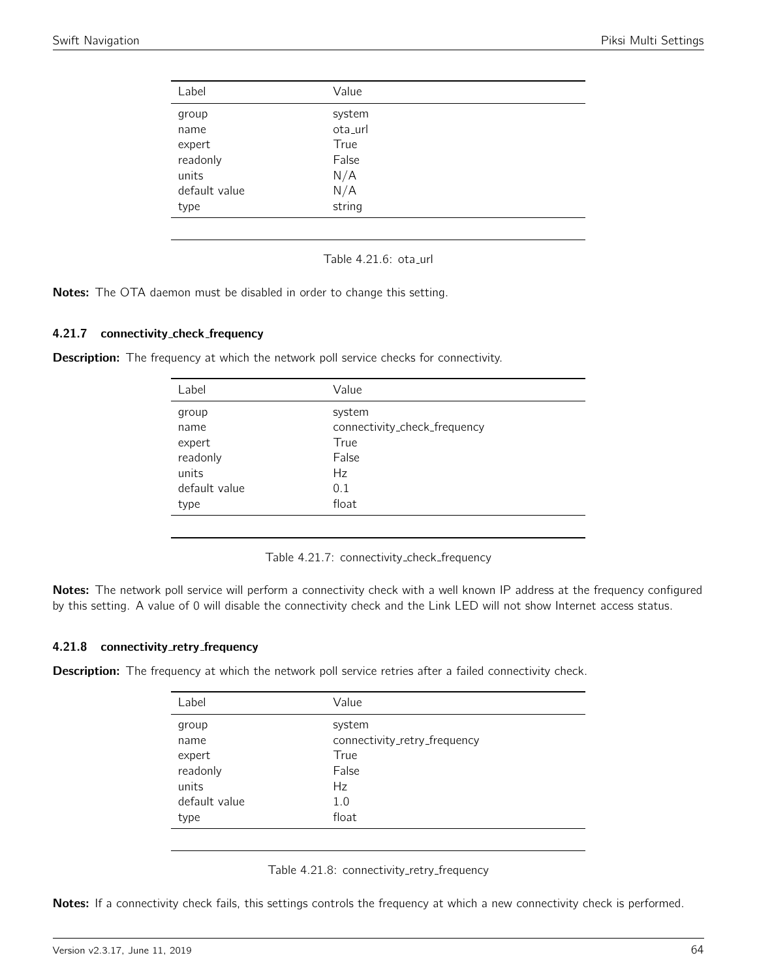| Label         | Value   |  |
|---------------|---------|--|
| group         | system  |  |
| name          | ota_url |  |
| expert        | True    |  |
| readonly      | False   |  |
| units         | N/A     |  |
| default value | N/A     |  |
| type          | string  |  |
|               |         |  |

Table  $4.21.6$ : ota\_url

Notes: The OTA daemon must be disabled in order to change this setting.

#### 4.21.7 connectivity check frequency

**Description:** The frequency at which the network poll service checks for connectivity.

| Label         | Value                        |
|---------------|------------------------------|
| group         | system                       |
| name          | connectivity_check_frequency |
| expert        | True                         |
| readonly      | False                        |
| units         | Hz                           |
| default value | 0.1                          |
| type          | float                        |
|               |                              |

Table 4.21.7: connectivity check frequency

Notes: The network poll service will perform a connectivity check with a well known IP address at the frequency configured by this setting. A value of 0 will disable the connectivity check and the Link LED will not show Internet access status.

#### 4.21.8 connectivity\_retry\_frequency

**Description:** The frequency at which the network poll service retries after a failed connectivity check.

| Label         | Value                        |
|---------------|------------------------------|
| group         | system                       |
| name          | connectivity_retry_frequency |
| expert        | True                         |
| readonly      | False                        |
| units         | Hz                           |
| default value | 1.0                          |
| type          | float                        |
|               |                              |

| Table 4.21.8: connectivity_retry_frequency |  |
|--------------------------------------------|--|
|                                            |  |

Notes: If a connectivity check fails, this settings controls the frequency at which a new connectivity check is performed.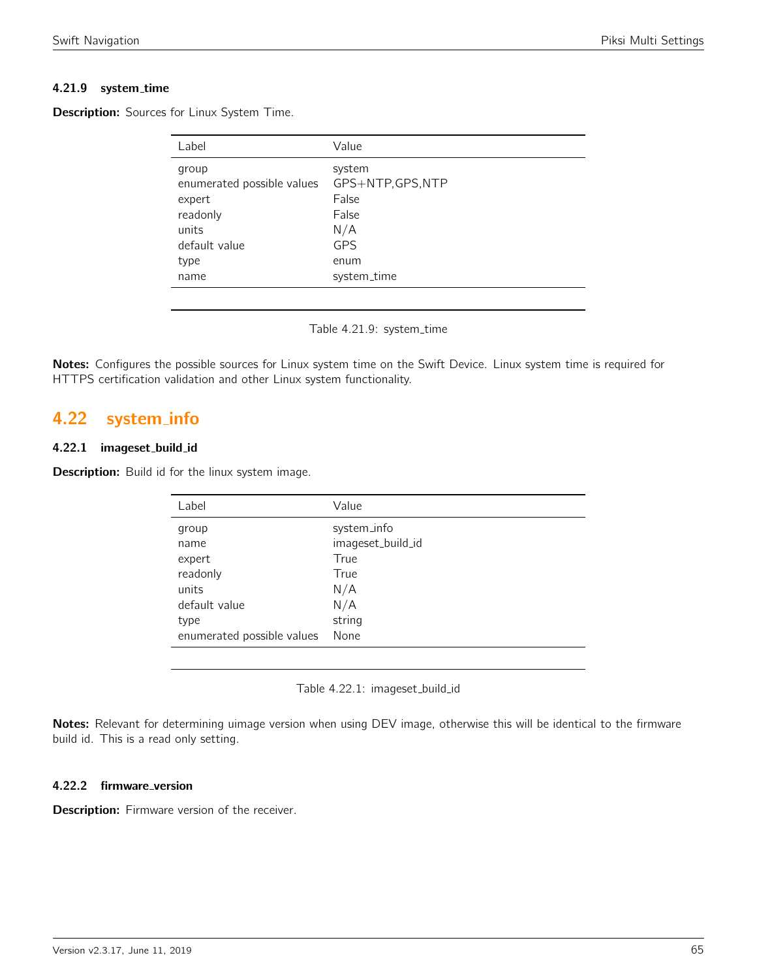## 4.21.9 system time

**Description:** Sources for Linux System Time.

| Label                                                                                               | Value                                                                                     |
|-----------------------------------------------------------------------------------------------------|-------------------------------------------------------------------------------------------|
| group<br>enumerated possible values<br>expert<br>readonly<br>units<br>default value<br>type<br>name | system<br>GPS+NTP, GPS, NTP<br>False<br>False<br>N/A<br><b>GPS</b><br>enum<br>system_time |
|                                                                                                     |                                                                                           |

Table 4.21.9: system\_time

Notes: Configures the possible sources for Linux system time on the Swift Device. Linux system time is required for HTTPS certification validation and other Linux system functionality.

## 4.22 system info

#### 4.22.1 imageset build id

Description: Build id for the linux system image.

| system_info       |
|-------------------|
| imageset_build_id |
| True              |
| True              |
| N/A               |
| N/A               |
| string            |
| None              |
|                   |

Table 4.22.1: imageset build id

Notes: Relevant for determining uimage version when using DEV image, otherwise this will be identical to the firmware build id. This is a read only setting.

#### 4.22.2 firmware\_version

Description: Firmware version of the receiver.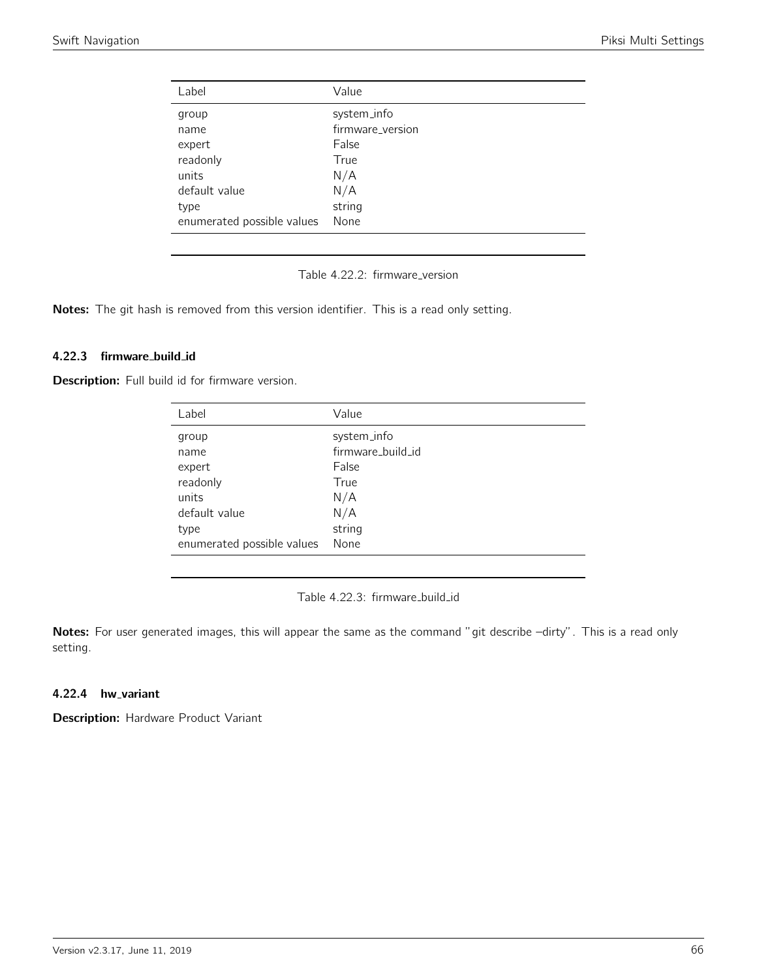| Label                      | Value            |
|----------------------------|------------------|
| group                      | system_info      |
| name                       | firmware_version |
| expert                     | False            |
| readonly                   | True             |
| units                      | N/A              |
| default value              | N/A              |
| type                       | string           |
| enumerated possible values | None             |
|                            |                  |

Table 4.22.2: firmware\_version

Notes: The git hash is removed from this version identifier. This is a read only setting.

#### 4.22.3 firmware build id

Description: Full build id for firmware version.

| Value             |
|-------------------|
| system_info       |
| firmware_build_id |
| False             |
| True              |
| N/A               |
| N/A               |
| string            |
| None              |
|                   |

Table 4.22.3: firmware\_build\_id

Notes: For user generated images, this will appear the same as the command "git describe -dirty". This is a read only setting.

## 4.22.4 hw\_variant

Description: Hardware Product Variant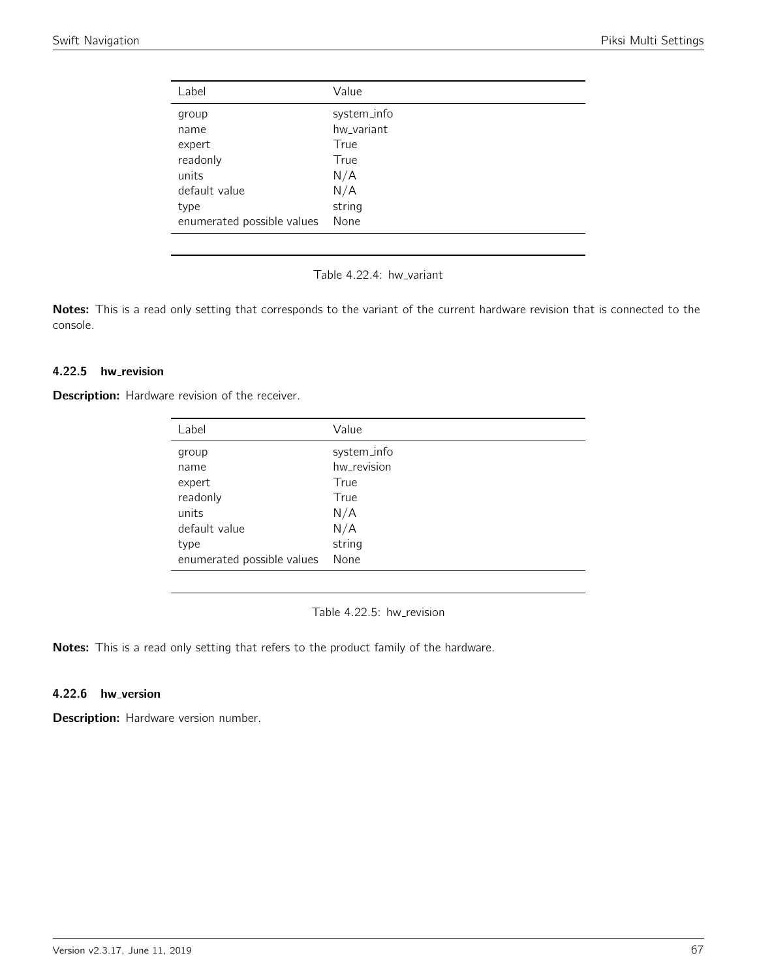| Value       |
|-------------|
| system_info |
| hw_variant  |
| True        |
| True        |
| N/A         |
| N/A         |
| string      |
| None        |
|             |

Table 4.22.4: hw\_variant

Notes: This is a read only setting that corresponds to the variant of the current hardware revision that is connected to the console.

## 4.22.5 hw\_revision

Description: Hardware revision of the receiver.

| Label                      | Value       |
|----------------------------|-------------|
| group                      | system_info |
| name                       | hw_revision |
| expert                     | True        |
| readonly                   | True        |
| units                      | N/A         |
| default value              | N/A         |
| type                       | string      |
| enumerated possible values | None        |

Table 4.22.5: hw\_revision

Notes: This is a read only setting that refers to the product family of the hardware.

## 4.22.6 hw\_version

Description: Hardware version number.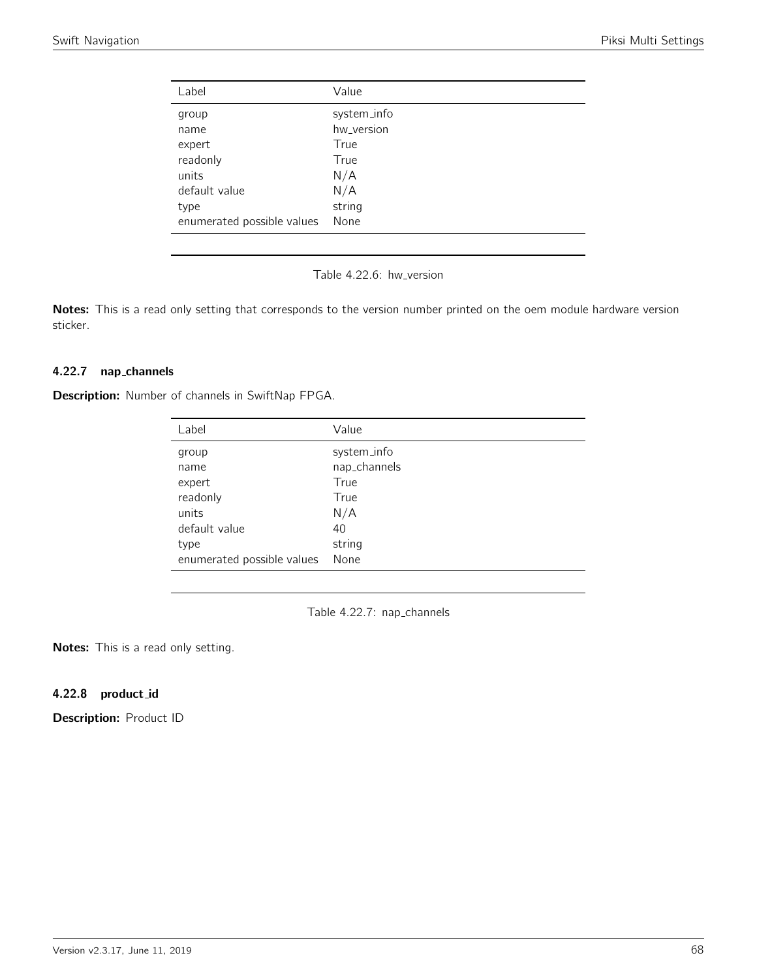| Label                      | Value       |
|----------------------------|-------------|
| group                      | system_info |
| name                       | hw_version  |
| expert                     | True        |
| readonly                   | True        |
| units                      | N/A         |
| default value              | N/A         |
| type                       | string      |
| enumerated possible values | None        |

Table 4.22.6: hw\_version

Notes: This is a read only setting that corresponds to the version number printed on the oem module hardware version sticker.

## 4.22.7 nap channels

Description: Number of channels in SwiftNap FPGA.

| Label                      | Value        |
|----------------------------|--------------|
| group                      | system_info  |
| name                       | nap_channels |
| expert                     | True         |
| readonly                   | True         |
| units                      | N/A          |
| default value              | 40           |
| type                       | string       |
| enumerated possible values | None         |

Table 4.22.7: nap\_channels

Notes: This is a read only setting.

## 4.22.8 product id

Description: Product ID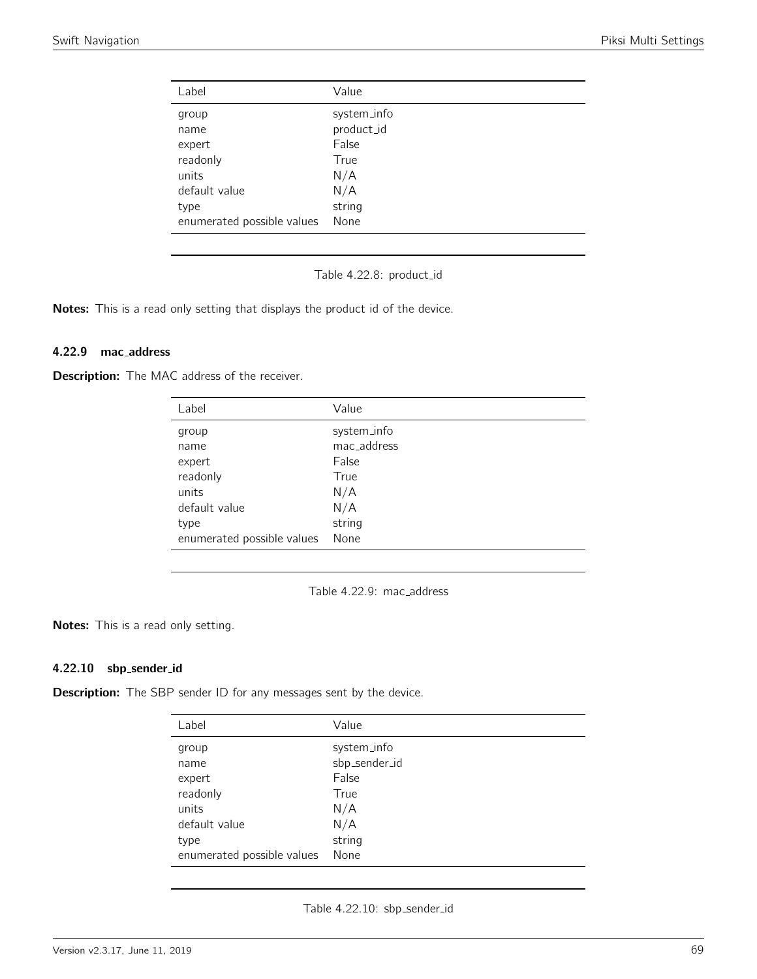| Label                      | Value       |
|----------------------------|-------------|
| group                      | system_info |
| name                       | product_id  |
| expert                     | False       |
| readonly                   | True        |
| units                      | N/A         |
| default value              | N/A         |
| type                       | string      |
| enumerated possible values | None        |

Table 4.22.8: product id

Notes: This is a read only setting that displays the product id of the device.

#### 4.22.9 mac address

**Description:** The MAC address of the receiver.

| Label                      | Value       |
|----------------------------|-------------|
| group                      | system_info |
| name                       | mac address |
| expert                     | False       |
| readonly                   | True        |
| units                      | N/A         |
| default value              | N/A         |
| type                       | string      |
| enumerated possible values | None        |

Table 4.22.9: mac\_address

Notes: This is a read only setting.

#### 4.22.10 sbp sender id

**Description:** The SBP sender ID for any messages sent by the device.

| Label                      | Value         |
|----------------------------|---------------|
| group                      | system_info   |
| name                       | sbp_sender_id |
| expert                     | False         |
| readonly                   | True          |
| units                      | N/A           |
| default value              | N/A           |
| type                       | string        |
| enumerated possible values | None          |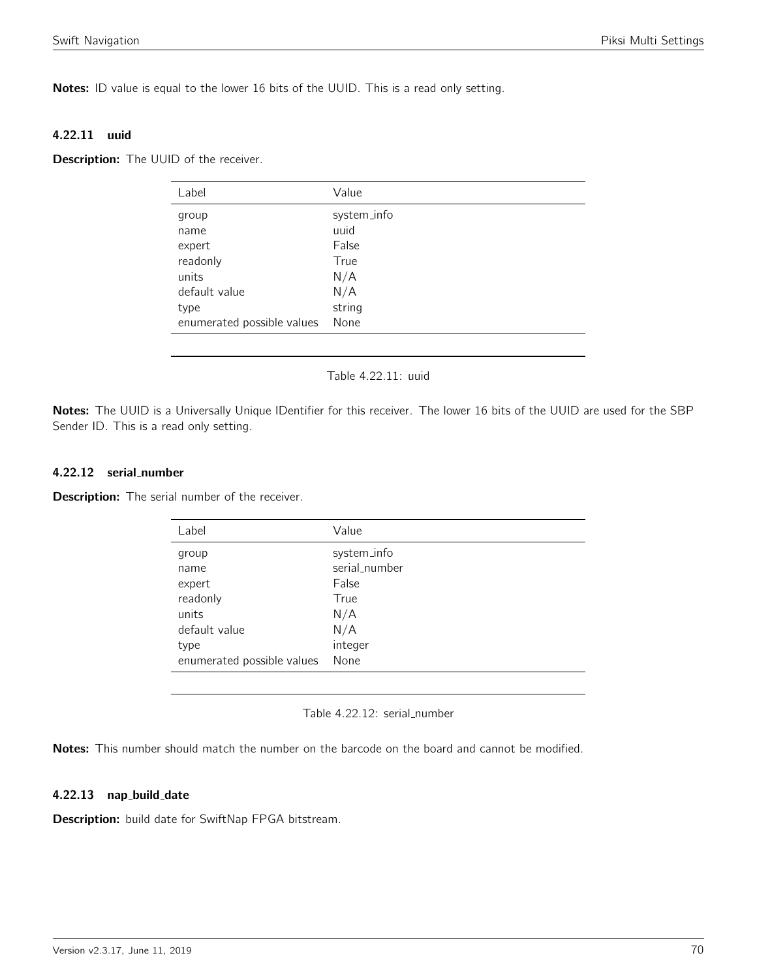Notes: ID value is equal to the lower 16 bits of the UUID. This is a read only setting.

#### 4.22.11 uuid

**Description:** The UUID of the receiver.

| Label                      | Value       |
|----------------------------|-------------|
| group                      | system_info |
| name                       | uuid        |
| expert                     | False       |
| readonly                   | True        |
| units                      | N/A         |
| default value              | N/A         |
| type                       | string      |
| enumerated possible values | None        |

#### Table 4.22.11: uuid

Notes: The UUID is a Universally Unique IDentifier for this receiver. The lower 16 bits of the UUID are used for the SBP Sender ID. This is a read only setting.

#### 4.22.12 serial number

**Description:** The serial number of the receiver.

| Label                      | Value         |
|----------------------------|---------------|
| group                      | system_info   |
| name                       | serial_number |
| expert                     | False         |
| readonly                   | True          |
| units                      | N/A           |
| default value              | N/A           |
| type                       | integer       |
| enumerated possible values | None          |

## Table 4.22.12: serial\_number

Notes: This number should match the number on the barcode on the board and cannot be modified.

## 4.22.13 nap build date

Description: build date for SwiftNap FPGA bitstream.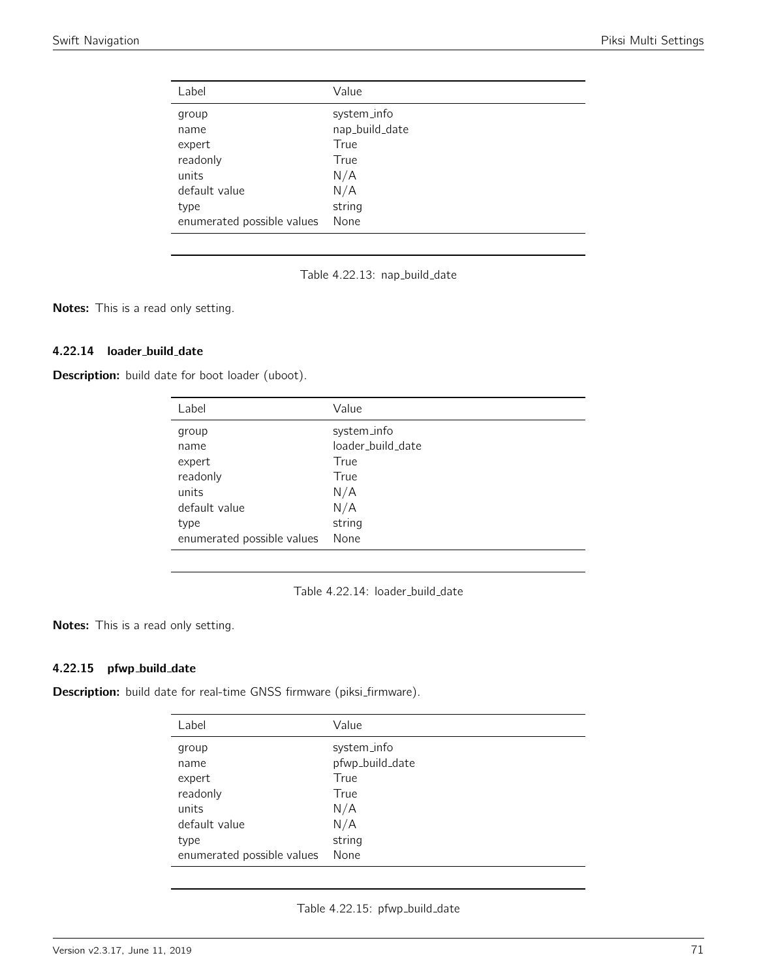| Label                      | Value          |
|----------------------------|----------------|
| group                      | system_info    |
| name                       | nap_build_date |
| expert                     | True           |
| readonly                   | True           |
| units                      | N/A            |
| default value              | N/A            |
| type                       | string         |
| enumerated possible values | None           |

Table 4.22.13: nap\_build\_date

Notes: This is a read only setting.

## 4.22.14 loader\_build\_date

Description: build date for boot loader (uboot).

| Label                      | Value             |
|----------------------------|-------------------|
| group                      | system_info       |
| name                       | loader_build_date |
| expert                     | True              |
| readonly                   | True              |
| units                      | N/A               |
| default value              | N/A               |
| type                       | string            |
| enumerated possible values | None              |

Table 4.22.14: loader\_build\_date

Notes: This is a read only setting.

## 4.22.15 pfwp\_build\_date

Description: build date for real-time GNSS firmware (piksi\_firmware).

| Label                      | Value           |
|----------------------------|-----------------|
| group                      | system_info     |
| name                       | pfwp_build_date |
| expert                     | True            |
| readonly                   | True            |
| units                      | N/A             |
| default value              | N/A             |
| type                       | string          |
| enumerated possible values | None            |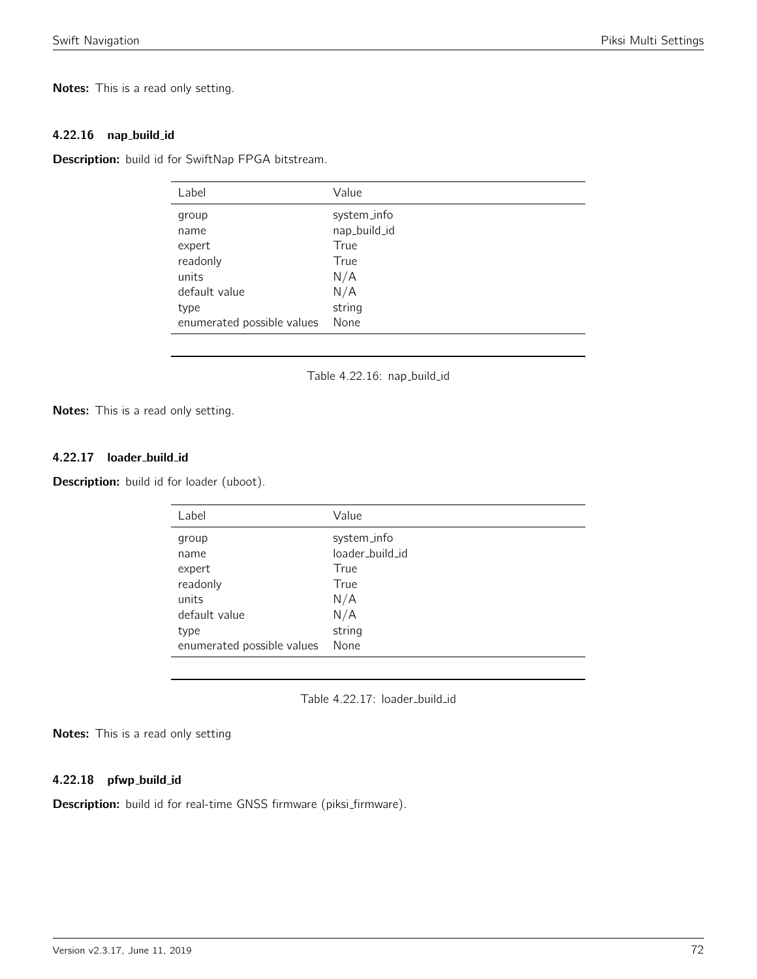Notes: This is a read only setting.

#### 4.22.16 nap build id

Description: build id for SwiftNap FPGA bitstream.

| Label                      | Value        |
|----------------------------|--------------|
| group                      | system_info  |
| name                       | nap_build_id |
| expert                     | True         |
| readonly                   | True         |
| units                      | N/A          |
| default value              | N/A          |
| type                       | string       |
| enumerated possible values | None         |
|                            |              |

Table 4.22.16: nap\_build\_id

Notes: This is a read only setting.

## 4.22.17 loader build id

Description: build id for loader (uboot).

| Label                      | Value           |
|----------------------------|-----------------|
| group                      | system_info     |
| name                       | loader_build_id |
| expert                     | True            |
| readonly                   | True            |
| units                      | N/A             |
| default value              | N/A             |
| type                       | string          |
| enumerated possible values | None            |

Table 4.22.17: loader\_build\_id

Notes: This is a read only setting

#### 4.22.18 pfwp\_build\_id

Description: build id for real-time GNSS firmware (piksi\_firmware).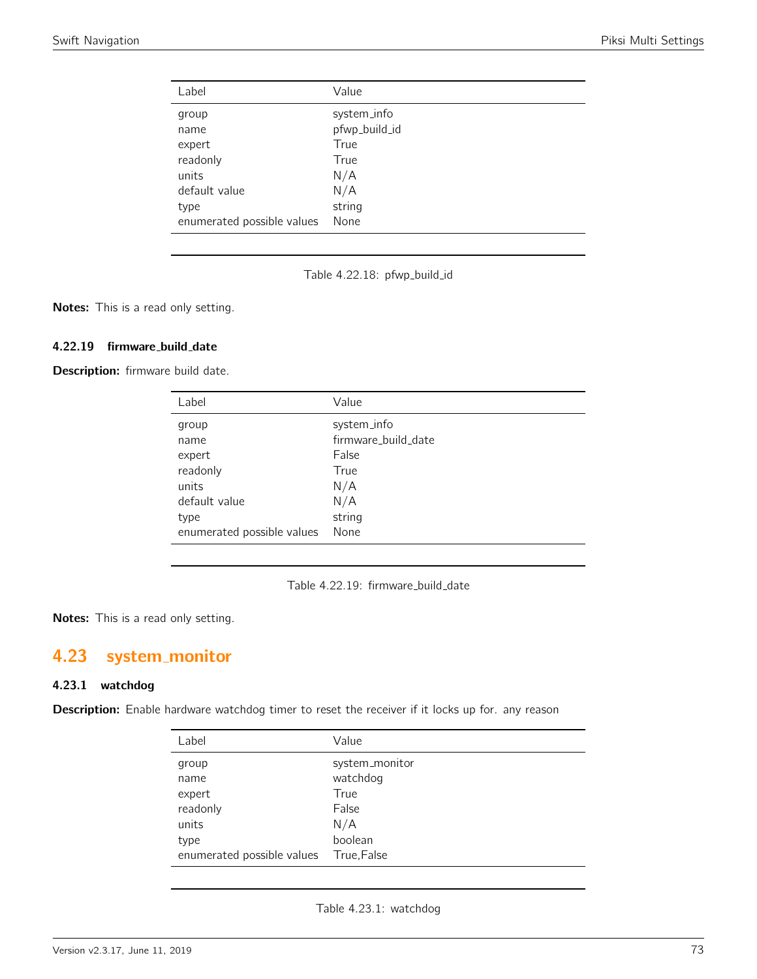| Label                      | Value         |
|----------------------------|---------------|
| group                      | system_info   |
| name                       | pfwp_build_id |
| expert                     | True          |
| readonly                   | True          |
| units                      | N/A           |
| default value              | N/A           |
| type                       | string        |
| enumerated possible values | None          |

Table 4.22.18: pfwp\_build\_id

Notes: This is a read only setting.

#### 4.22.19 firmware\_build\_date

Description: firmware build date.

| Label                      | Value               |
|----------------------------|---------------------|
| group                      | system_info         |
| name                       | firmware_build_date |
| expert                     | False               |
| readonly                   | True                |
| units                      | N/A                 |
| default value              | N/A                 |
| type                       | string              |
| enumerated possible values | None                |
|                            |                     |

Table 4.22.19: firmware\_build\_date

Notes: This is a read only setting.

# 4.23 system monitor

#### 4.23.1 watchdog

Description: Enable hardware watchdog timer to reset the receiver if it locks up for. any reason

| Label                      | Value          |
|----------------------------|----------------|
| group                      | system_monitor |
| name                       | watchdog       |
| expert                     | True           |
| readonly                   | False          |
| units                      | N/A            |
| type                       | boolean        |
| enumerated possible values | True,False     |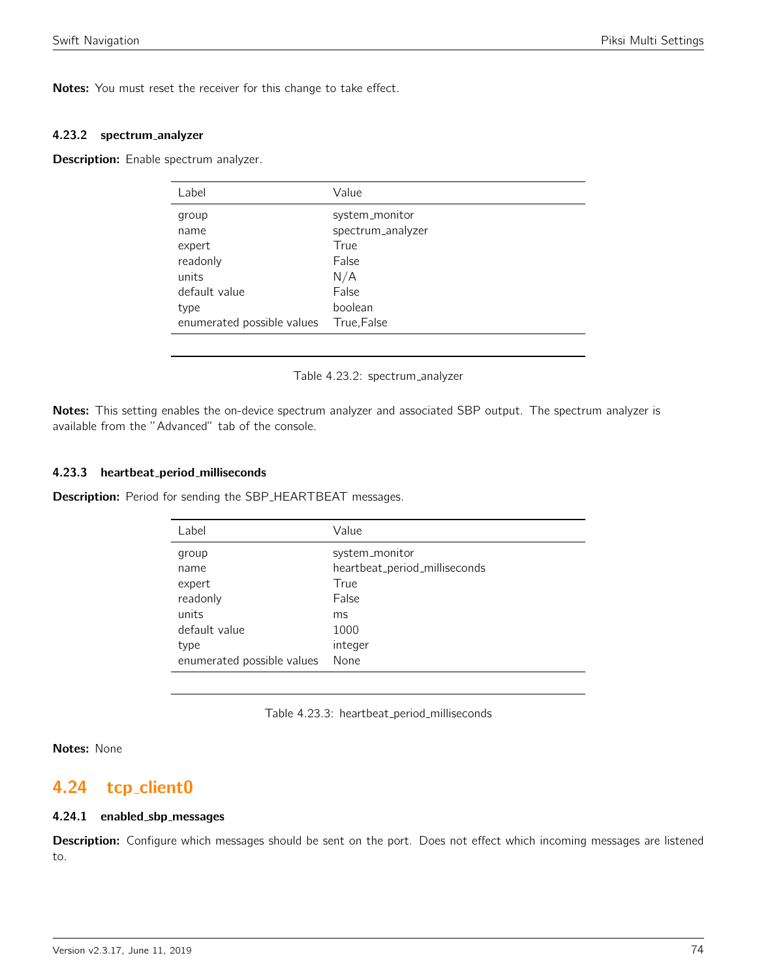Notes: You must reset the receiver for this change to take effect.

#### 4.23.2 spectrum analyzer

Description: Enable spectrum analyzer.

| Label                      | Value             |
|----------------------------|-------------------|
| group                      | system_monitor    |
| name                       | spectrum_analyzer |
| expert                     | True              |
| readonly                   | False             |
| units                      | N/A               |
| default value              | False             |
| type                       | boolean           |
| enumerated possible values | True, False       |

Table 4.23.2: spectrum analyzer

Notes: This setting enables the on-device spectrum analyzer and associated SBP output. The spectrum analyzer is available from the "Advanced" tab of the console.

#### 4.23.3 heartbeat period milliseconds

**Description:** Period for sending the SBP\_HEARTBEAT messages.

| Label                      | Value                         |
|----------------------------|-------------------------------|
| group                      | system_monitor                |
| name                       | heartbeat_period_milliseconds |
| expert                     | True                          |
| readonly                   | False                         |
| units                      | ms                            |
| default value              | 1000                          |
| type                       | integer                       |
| enumerated possible values | None                          |

Table 4.23.3: heartbeat\_period\_milliseconds

Notes: None

## 4.24 tcp\_client0

#### 4.24.1 enabled sbp messages

Description: Configure which messages should be sent on the port. Does not effect which incoming messages are listened to.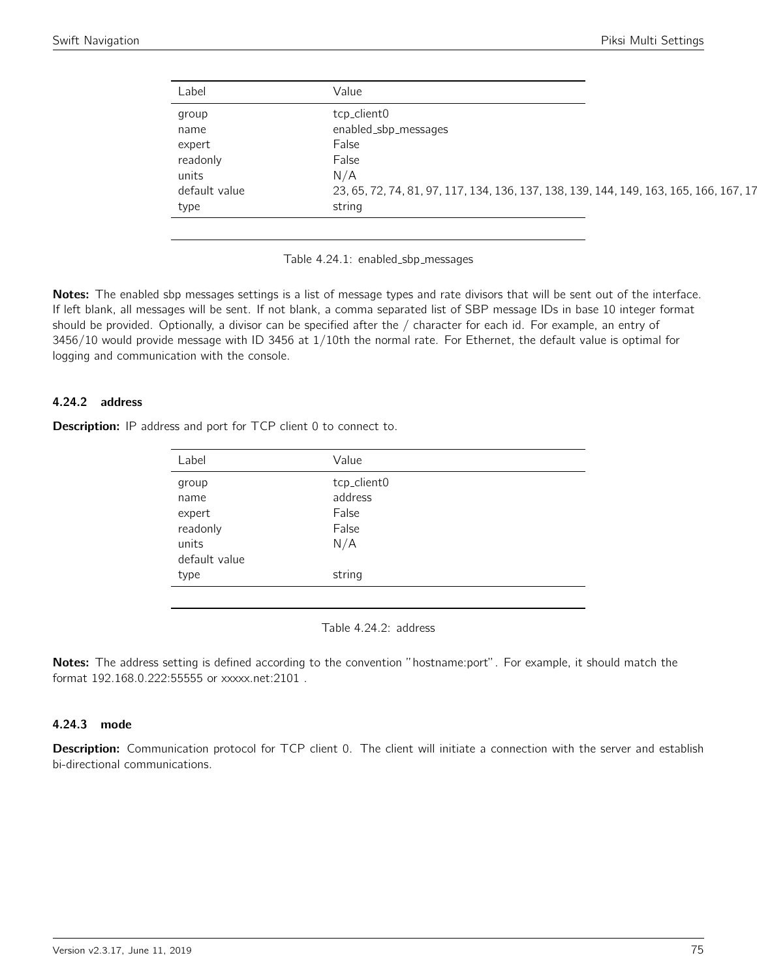| Label         | Value                                                                                  |
|---------------|----------------------------------------------------------------------------------------|
| group         | tcp_client0                                                                            |
| name          | enabled_sbp_messages                                                                   |
| expert        | False                                                                                  |
| readonly      | False                                                                                  |
| units         | N/A                                                                                    |
| default value | 23, 65, 72, 74, 81, 97, 117, 134, 136, 137, 138, 139, 144, 149, 163, 165, 166, 167, 17 |
| type          | string                                                                                 |

Table 4.24.1: enabled\_sbp\_messages

Notes: The enabled sbp messages settings is a list of message types and rate divisors that will be sent out of the interface. If left blank, all messages will be sent. If not blank, a comma separated list of SBP message IDs in base 10 integer format should be provided. Optionally, a divisor can be specified after the / character for each id. For example, an entry of 3456/10 would provide message with ID 3456 at 1/10th the normal rate. For Ethernet, the default value is optimal for logging and communication with the console.

#### 4.24.2 address

Description: IP address and port for TCP client 0 to connect to.

| Label         | Value       |
|---------------|-------------|
| group         | tcp_client0 |
| name          | address     |
| expert        | False       |
| readonly      | False       |
| units         | N/A         |
| default value |             |
| type          | string      |
|               |             |

Table 4.24.2: address

Notes: The address setting is defined according to the convention "hostname:port". For example, it should match the format 192.168.0.222:55555 or xxxxx.net:2101 .

#### 4.24.3 mode

Description: Communication protocol for TCP client 0. The client will initiate a connection with the server and establish bi-directional communications.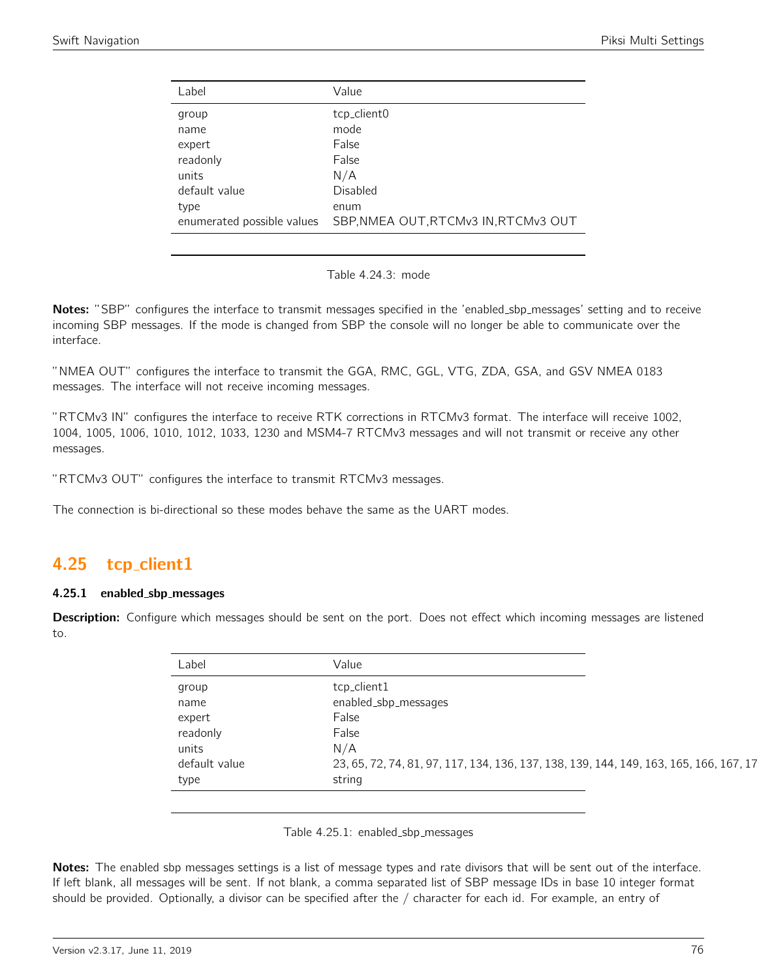| Label                      | Value                                |
|----------------------------|--------------------------------------|
| group                      | tcp_client0                          |
| name                       | mode                                 |
| expert                     | False                                |
| readonly                   | False                                |
| units                      | N/A                                  |
| default value              | Disabled                             |
| type                       | enum                                 |
| enumerated possible values | SBP, NMEA OUT, RTCMv3 IN, RTCMv3 OUT |
|                            |                                      |

| Table 4.24.3: mode |  |
|--------------------|--|
|--------------------|--|

Notes: "SBP" configures the interface to transmit messages specified in the 'enabled\_sbp\_messages' setting and to receive incoming SBP messages. If the mode is changed from SBP the console will no longer be able to communicate over the interface.

"NMEA OUT" configures the interface to transmit the GGA, RMC, GGL, VTG, ZDA, GSA, and GSV NMEA 0183 messages. The interface will not receive incoming messages.

"RTCMv3 IN" configures the interface to receive RTK corrections in RTCMv3 format. The interface will receive 1002, 1004, 1005, 1006, 1010, 1012, 1033, 1230 and MSM4-7 RTCMv3 messages and will not transmit or receive any other messages.

"RTCMv3 OUT" configures the interface to transmit RTCMv3 messages.

The connection is bi-directional so these modes behave the same as the UART modes.

## 4.25 tcp client1

#### 4.25.1 enabled sbp messages

Description: Configure which messages should be sent on the port. Does not effect which incoming messages are listened to.

| Label         | Value                                                                                  |
|---------------|----------------------------------------------------------------------------------------|
| group         | tcp_client1                                                                            |
| name          | enabled_sbp_messages                                                                   |
| expert        | False                                                                                  |
| readonly      | False                                                                                  |
| units         | N/A                                                                                    |
| default value | 23, 65, 72, 74, 81, 97, 117, 134, 136, 137, 138, 139, 144, 149, 163, 165, 166, 167, 17 |
| type          | string                                                                                 |

Table 4.25.1: enabled\_sbp\_messages

Notes: The enabled sbp messages settings is a list of message types and rate divisors that will be sent out of the interface. If left blank, all messages will be sent. If not blank, a comma separated list of SBP message IDs in base 10 integer format should be provided. Optionally, a divisor can be specified after the / character for each id. For example, an entry of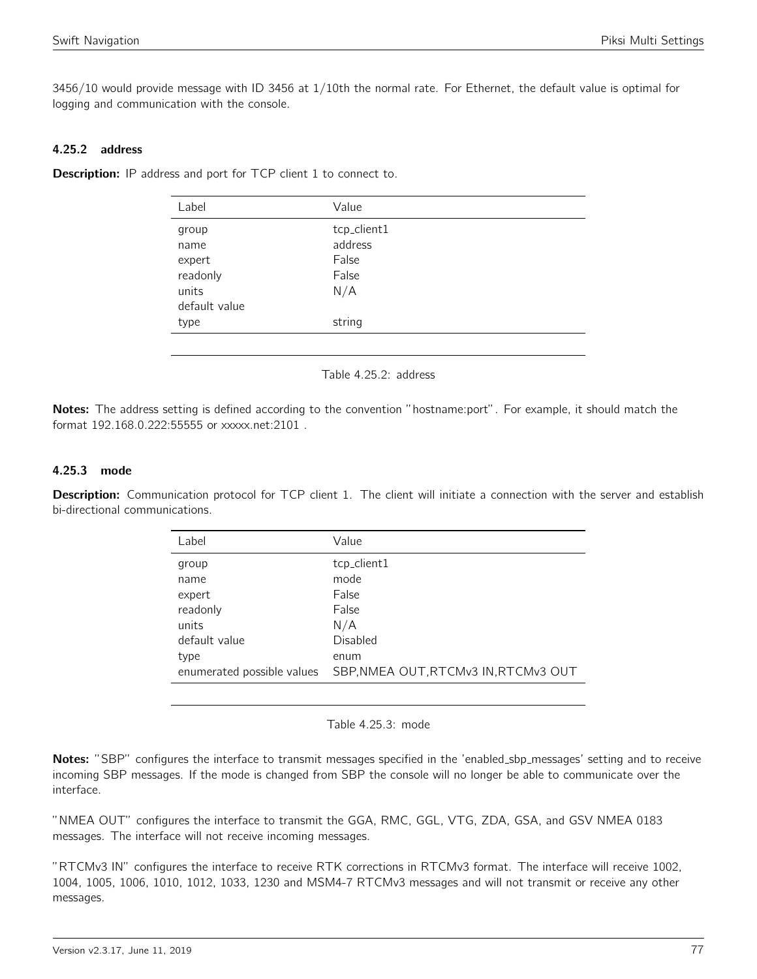3456/10 would provide message with ID 3456 at 1/10th the normal rate. For Ethernet, the default value is optimal for logging and communication with the console.

## 4.25.2 address

**Description:** IP address and port for TCP client 1 to connect to.

| Label         | Value       |  |
|---------------|-------------|--|
| group         | tcp_client1 |  |
| name          | address     |  |
| expert        | False       |  |
| readonly      | False       |  |
| units         | N/A         |  |
| default value |             |  |
| type          | string      |  |
|               |             |  |

Table 4.25.2: address

Notes: The address setting is defined according to the convention "hostname:port". For example, it should match the format 192.168.0.222:55555 or xxxxx.net:2101 .

### 4.25.3 mode

Description: Communication protocol for TCP client 1. The client will initiate a connection with the server and establish bi-directional communications.

| Label                      | Value                                |
|----------------------------|--------------------------------------|
| group                      | tcp_client1                          |
| name                       | mode                                 |
| expert                     | False                                |
| readonly                   | False                                |
| units                      | N/A                                  |
| default value              | Disabled                             |
| type                       | enum                                 |
| enumerated possible values | SBP, NMEA OUT, RTCMv3 IN, RTCMv3 OUT |
|                            |                                      |

Table 4.25.3: mode

Notes: "SBP" configures the interface to transmit messages specified in the 'enabled\_sbp\_messages' setting and to receive incoming SBP messages. If the mode is changed from SBP the console will no longer be able to communicate over the interface.

"NMEA OUT" configures the interface to transmit the GGA, RMC, GGL, VTG, ZDA, GSA, and GSV NMEA 0183 messages. The interface will not receive incoming messages.

"RTCMv3 IN" configures the interface to receive RTK corrections in RTCMv3 format. The interface will receive 1002, 1004, 1005, 1006, 1010, 1012, 1033, 1230 and MSM4-7 RTCMv3 messages and will not transmit or receive any other messages.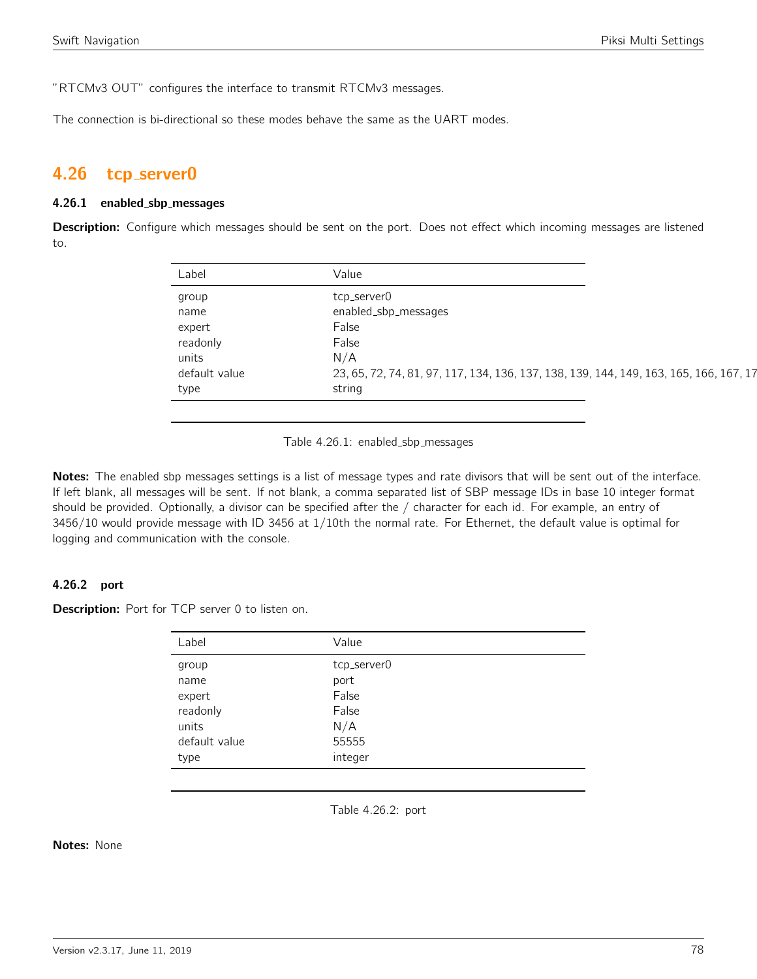"RTCMv3 OUT" configures the interface to transmit RTCMv3 messages.

The connection is bi-directional so these modes behave the same as the UART modes.

## 4.26 tcp server0

#### 4.26.1 enabled sbp messages

Description: Configure which messages should be sent on the port. Does not effect which incoming messages are listened to.

| Label         | Value                                                                                  |
|---------------|----------------------------------------------------------------------------------------|
| group         | tcp_server0                                                                            |
| name          | enabled_sbp_messages                                                                   |
| expert        | False                                                                                  |
| readonly      | False                                                                                  |
| units         | N/A                                                                                    |
| default value | 23, 65, 72, 74, 81, 97, 117, 134, 136, 137, 138, 139, 144, 149, 163, 165, 166, 167, 17 |
| type          | string                                                                                 |

Table 4.26.1: enabled\_sbp\_messages

Notes: The enabled sbp messages settings is a list of message types and rate divisors that will be sent out of the interface. If left blank, all messages will be sent. If not blank, a comma separated list of SBP message IDs in base 10 integer format should be provided. Optionally, a divisor can be specified after the / character for each id. For example, an entry of 3456/10 would provide message with ID 3456 at 1/10th the normal rate. For Ethernet, the default value is optimal for logging and communication with the console.

### 4.26.2 port

**Description:** Port for TCP server 0 to listen on.

| Label         | Value       |
|---------------|-------------|
| group         | tcp_server0 |
| name          | port        |
| expert        | False       |
| readonly      | False       |
| units         | N/A         |
| default value | 55555       |
| type          | integer     |

Table 4.26.2: port

Notes: None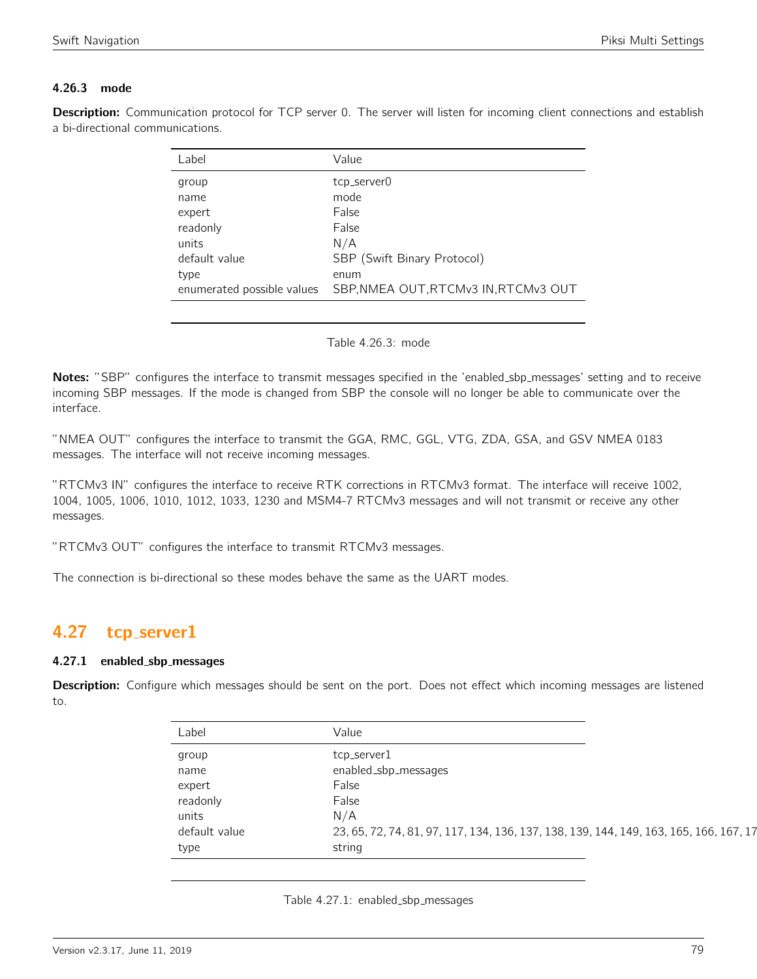## 4.26.3 mode

Description: Communication protocol for TCP server 0. The server will listen for incoming client connections and establish a bi-directional communications.

| Label                      | Value                                |
|----------------------------|--------------------------------------|
| group                      | tcp_server0                          |
| name                       | mode                                 |
| expert                     | False                                |
| readonly                   | False                                |
| units                      | N/A                                  |
| default value              | SBP (Swift Binary Protocol)          |
| type                       | enum                                 |
| enumerated possible values | SBP, NMEA OUT, RTCMv3 IN, RTCMv3 OUT |

#### Table 4.26.3: mode

Notes: "SBP" configures the interface to transmit messages specified in the 'enabled\_sbp\_messages' setting and to receive incoming SBP messages. If the mode is changed from SBP the console will no longer be able to communicate over the interface.

"NMEA OUT" configures the interface to transmit the GGA, RMC, GGL, VTG, ZDA, GSA, and GSV NMEA 0183 messages. The interface will not receive incoming messages.

"RTCMv3 IN" configures the interface to receive RTK corrections in RTCMv3 format. The interface will receive 1002, 1004, 1005, 1006, 1010, 1012, 1033, 1230 and MSM4-7 RTCMv3 messages and will not transmit or receive any other messages.

"RTCMv3 OUT" configures the interface to transmit RTCMv3 messages.

The connection is bi-directional so these modes behave the same as the UART modes.

## 4.27 tcp\_server1

#### 4.27.1 enabled sbp messages

Description: Configure which messages should be sent on the port. Does not effect which incoming messages are listened to.

| Label         | Value                                                                                  |
|---------------|----------------------------------------------------------------------------------------|
| group         | tcp_server1                                                                            |
| name          | enabled_sbp_messages                                                                   |
| expert        | False                                                                                  |
| readonly      | False                                                                                  |
| units         | N/A                                                                                    |
| default value | 23, 65, 72, 74, 81, 97, 117, 134, 136, 137, 138, 139, 144, 149, 163, 165, 166, 167, 17 |
| type          | string                                                                                 |

Table 4.27.1: enabled sbp messages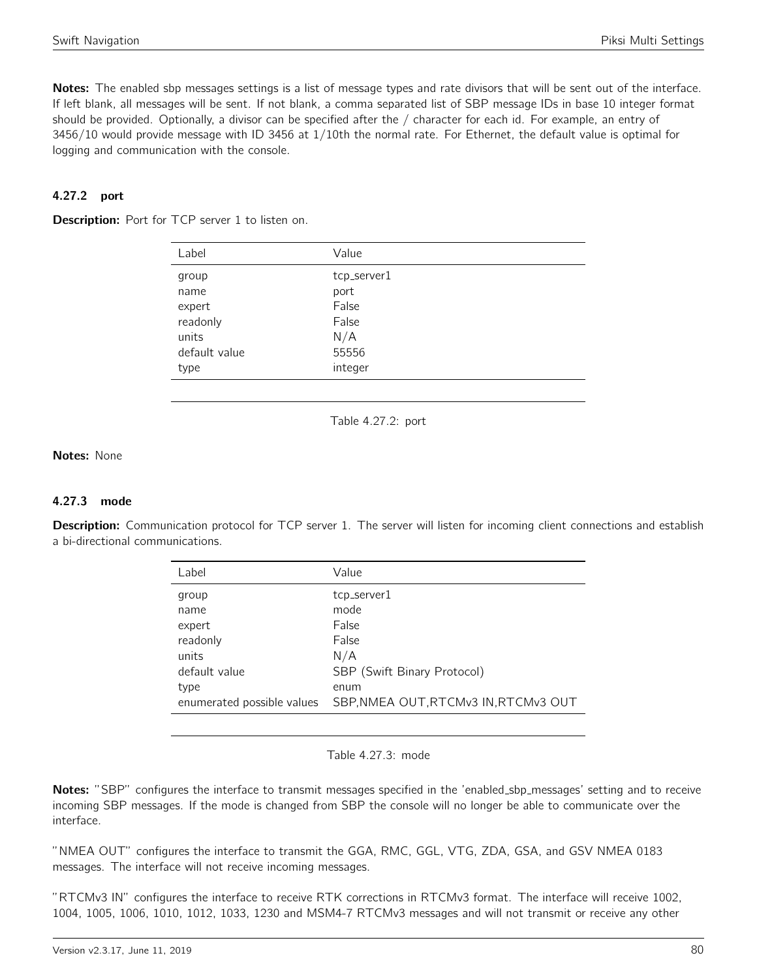Notes: The enabled sbp messages settings is a list of message types and rate divisors that will be sent out of the interface. If left blank, all messages will be sent. If not blank, a comma separated list of SBP message IDs in base 10 integer format should be provided. Optionally, a divisor can be specified after the / character for each id. For example, an entry of 3456/10 would provide message with ID 3456 at 1/10th the normal rate. For Ethernet, the default value is optimal for logging and communication with the console.

### 4.27.2 port

**Description:** Port for TCP server 1 to listen on.

| Label         | Value       |
|---------------|-------------|
| group         | tcp_server1 |
| name          | port        |
| expert        | False       |
| readonly      | False       |
| units         | N/A         |
| default value | 55556       |
| type          | integer     |

Table 4.27.2: port

### Notes: None

#### 4.27.3 mode

Description: Communication protocol for TCP server 1. The server will listen for incoming client connections and establish a bi-directional communications.

| Label                      | Value                                |
|----------------------------|--------------------------------------|
| group                      | tcp_server1                          |
| name                       | mode                                 |
| expert                     | <b>False</b>                         |
| readonly                   | False                                |
| units                      | N/A                                  |
| default value              | SBP (Swift Binary Protocol)          |
| type                       | enum                                 |
| enumerated possible values | SBP, NMEA OUT, RTCMv3 IN, RTCMv3 OUT |
|                            |                                      |

Table 4.27.3: mode

Notes: "SBP" configures the interface to transmit messages specified in the 'enabled\_sbp\_messages' setting and to receive incoming SBP messages. If the mode is changed from SBP the console will no longer be able to communicate over the interface.

"NMEA OUT" configures the interface to transmit the GGA, RMC, GGL, VTG, ZDA, GSA, and GSV NMEA 0183 messages. The interface will not receive incoming messages.

"RTCMv3 IN" configures the interface to receive RTK corrections in RTCMv3 format. The interface will receive 1002, 1004, 1005, 1006, 1010, 1012, 1033, 1230 and MSM4-7 RTCMv3 messages and will not transmit or receive any other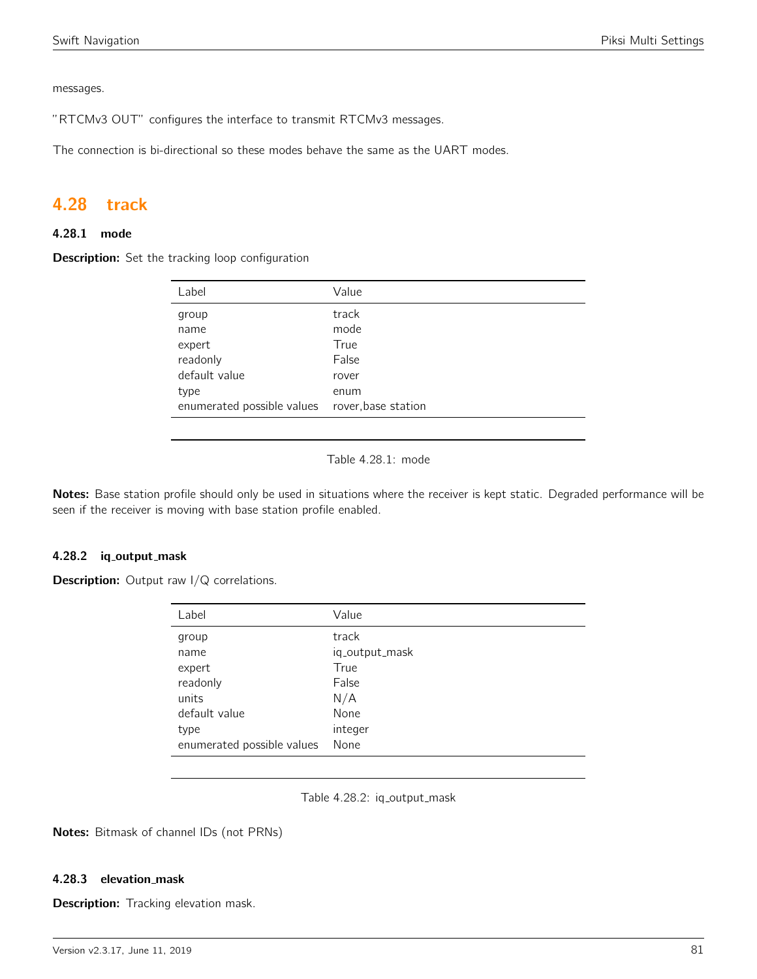messages.

"RTCMv3 OUT" configures the interface to transmit RTCMv3 messages.

The connection is bi-directional so these modes behave the same as the UART modes.

## 4.28 track

## 4.28.1 mode

Description: Set the tracking loop configuration

| Label                                          | Value |
|------------------------------------------------|-------|
| group                                          | track |
| name                                           | mode  |
| expert                                         | True  |
| readonly                                       | False |
| default value                                  | rover |
| type                                           | enum  |
| enumerated possible values rover, base station |       |

Table 4.28.1: mode

Notes: Base station profile should only be used in situations where the receiver is kept static. Degraded performance will be seen if the receiver is moving with base station profile enabled.

#### 4.28.2 iq\_output\_mask

**Description:** Output raw I/Q correlations.

| Label                      | Value          |
|----------------------------|----------------|
| group                      | track          |
| name                       | iq_output_mask |
| expert                     | True           |
| readonly                   | False          |
| units                      | N/A            |
| default value              | None           |
| type                       | integer        |
| enumerated possible values | None           |

Table 4.28.2: iq\_output\_mask

Notes: Bitmask of channel IDs (not PRNs)

#### 4.28.3 elevation mask

Description: Tracking elevation mask.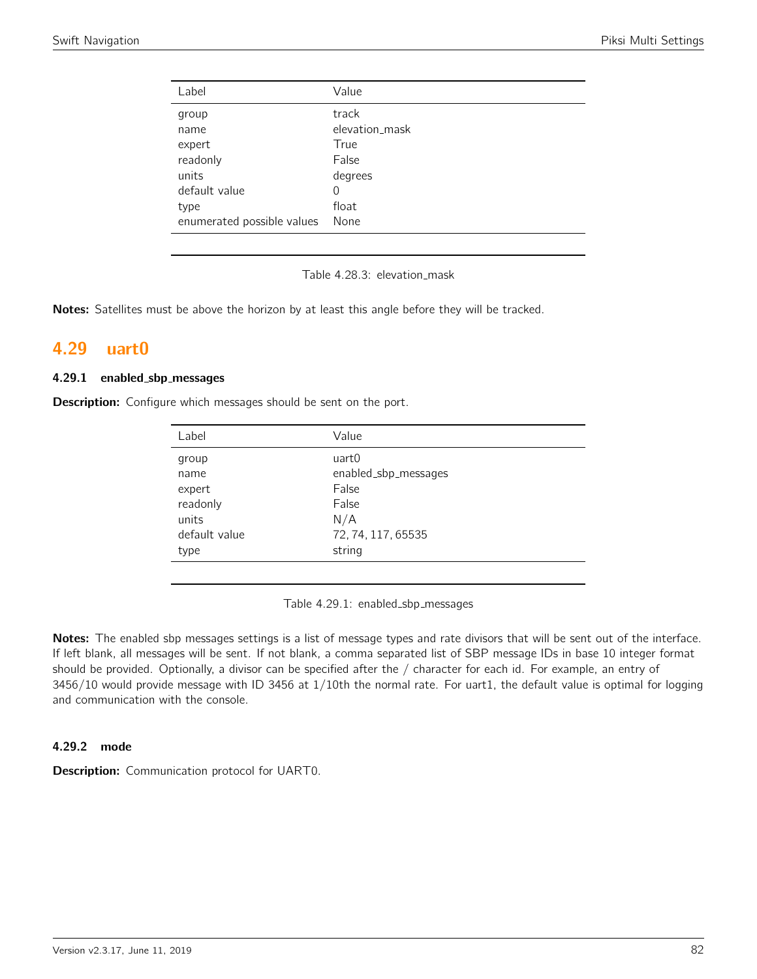| Label                      | Value          |
|----------------------------|----------------|
| group                      | track          |
| name                       | elevation_mask |
| expert                     | True           |
| readonly                   | False          |
| units                      | degrees        |
| default value              | 0              |
| type                       | float          |
| enumerated possible values | None           |

Table 4.28.3: elevation\_mask

Notes: Satellites must be above the horizon by at least this angle before they will be tracked.

# 4.29 uart0

#### 4.29.1 enabled sbp messages

**Description:** Configure which messages should be sent on the port.

| Label         | Value                |
|---------------|----------------------|
| group         | uart0                |
| name          | enabled_sbp_messages |
| expert        | False                |
| readonly      | False                |
| units         | N/A                  |
| default value | 72, 74, 117, 65535   |
| type          | string               |

Table 4.29.1: enabled\_sbp\_messages

Notes: The enabled sbp messages settings is a list of message types and rate divisors that will be sent out of the interface. If left blank, all messages will be sent. If not blank, a comma separated list of SBP message IDs in base 10 integer format should be provided. Optionally, a divisor can be specified after the / character for each id. For example, an entry of 3456/10 would provide message with ID 3456 at 1/10th the normal rate. For uart1, the default value is optimal for logging and communication with the console.

#### 4.29.2 mode

Description: Communication protocol for UART0.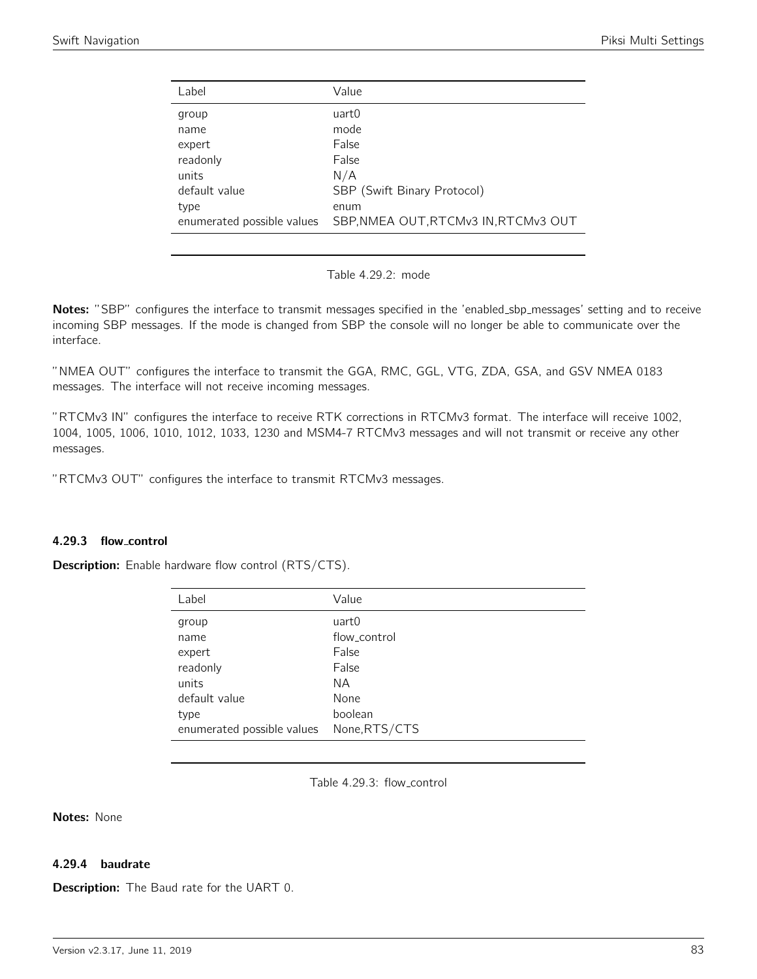| Label                      | Value                                |
|----------------------------|--------------------------------------|
| group                      | uart0                                |
| name                       | mode                                 |
| expert                     | False                                |
| readonly                   | False                                |
| units                      | N/A                                  |
| default value              | SBP (Swift Binary Protocol)          |
| type                       | enum                                 |
| enumerated possible values | SBP, NMEA OUT, RTCMv3 IN, RTCMv3 OUT |
|                            |                                      |

Table 4.29.2: mode

Notes: "SBP" configures the interface to transmit messages specified in the 'enabled\_sbp\_messages' setting and to receive incoming SBP messages. If the mode is changed from SBP the console will no longer be able to communicate over the interface.

"NMEA OUT" configures the interface to transmit the GGA, RMC, GGL, VTG, ZDA, GSA, and GSV NMEA 0183 messages. The interface will not receive incoming messages.

"RTCMv3 IN" configures the interface to receive RTK corrections in RTCMv3 format. The interface will receive 1002, 1004, 1005, 1006, 1010, 1012, 1033, 1230 and MSM4-7 RTCMv3 messages and will not transmit or receive any other messages.

"RTCMv3 OUT" configures the interface to transmit RTCMv3 messages.

#### 4.29.3 flow control

**Description:** Enable hardware flow control (RTS/CTS).

| Label                      | Value         |
|----------------------------|---------------|
| group                      | uart0         |
| name                       | flow control  |
| expert                     | False         |
| readonly                   | False         |
| units                      | NА            |
| default value              | None          |
| type                       | boolean       |
| enumerated possible values | None, RTS/CTS |

Table 4.29.3: flow control

Notes: None

### 4.29.4 baudrate

**Description:** The Baud rate for the UART 0.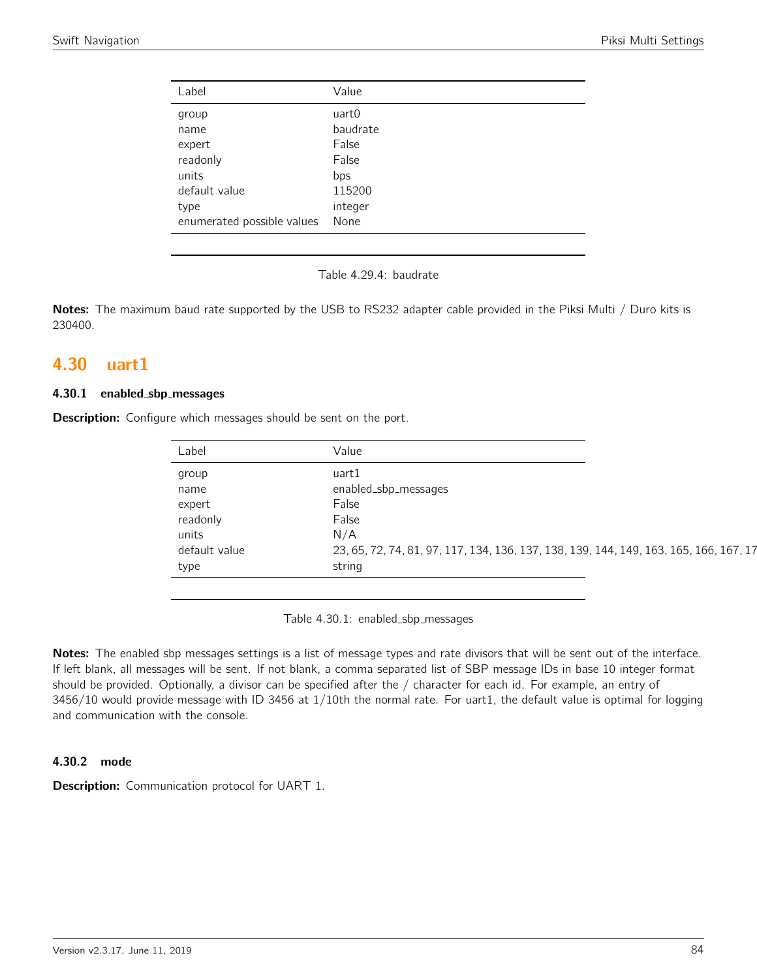| Value    |
|----------|
| uart0    |
| baudrate |
| False    |
| False    |
| bps      |
| 115200   |
| integer  |
| None     |
|          |

Table 4.29.4: baudrate

Notes: The maximum baud rate supported by the USB to RS232 adapter cable provided in the Piksi Multi / Duro kits is 230400.

## 4.30 uart1

#### 4.30.1 enabled sbp messages

**Description:** Configure which messages should be sent on the port.

| Label         | Value                                                                                  |
|---------------|----------------------------------------------------------------------------------------|
| group         | uart1                                                                                  |
| name          | enabled_sbp_messages                                                                   |
| expert        | False                                                                                  |
| readonly      | False                                                                                  |
| units         | N/A                                                                                    |
| default value | 23, 65, 72, 74, 81, 97, 117, 134, 136, 137, 138, 139, 144, 149, 163, 165, 166, 167, 17 |
| type          | string                                                                                 |

Table 4.30.1: enabled\_sbp\_messages

Notes: The enabled sbp messages settings is a list of message types and rate divisors that will be sent out of the interface. If left blank, all messages will be sent. If not blank, a comma separated list of SBP message IDs in base 10 integer format should be provided. Optionally, a divisor can be specified after the / character for each id. For example, an entry of 3456/10 would provide message with ID 3456 at 1/10th the normal rate. For uart1, the default value is optimal for logging and communication with the console.

### 4.30.2 mode

**Description:** Communication protocol for UART 1.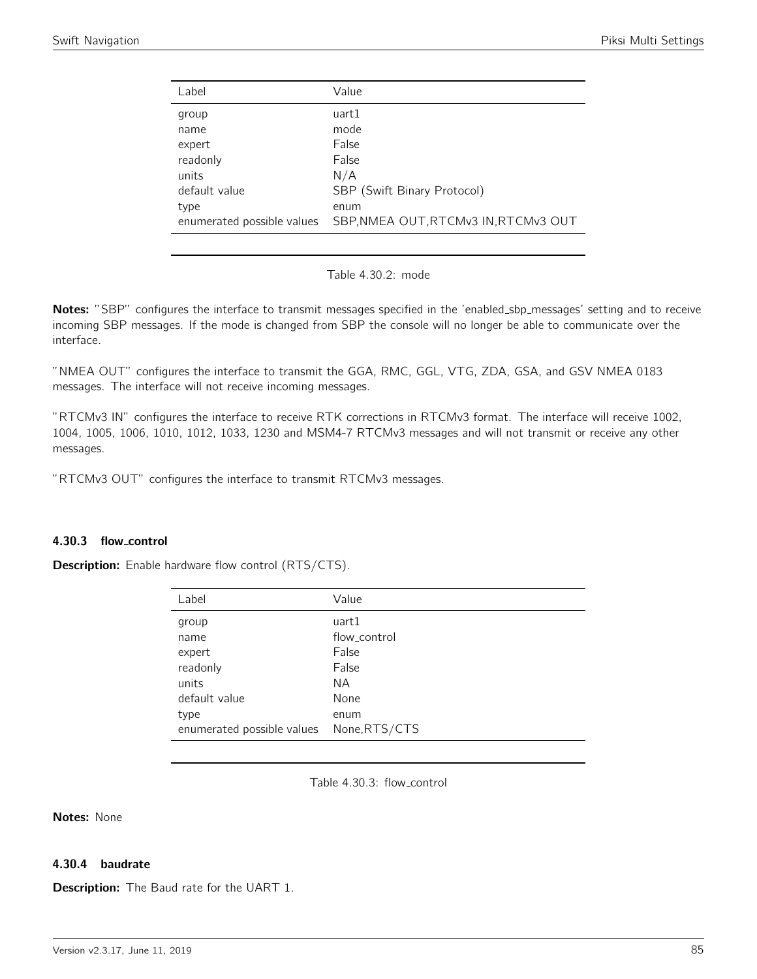| Label                      | Value                                |
|----------------------------|--------------------------------------|
| group                      | uart1                                |
| name                       | mode                                 |
| expert                     | False                                |
| readonly                   | False                                |
| units                      | N/A                                  |
| default value              | SBP (Swift Binary Protocol)          |
| type                       | enum                                 |
| enumerated possible values | SBP, NMEA OUT, RTCMv3 IN, RTCMv3 OUT |
|                            |                                      |

Table 4.30.2: mode

Notes: "SBP" configures the interface to transmit messages specified in the 'enabled\_sbp\_messages' setting and to receive incoming SBP messages. If the mode is changed from SBP the console will no longer be able to communicate over the interface.

"NMEA OUT" configures the interface to transmit the GGA, RMC, GGL, VTG, ZDA, GSA, and GSV NMEA 0183 messages. The interface will not receive incoming messages.

"RTCMv3 IN" configures the interface to receive RTK corrections in RTCMv3 format. The interface will receive 1002, 1004, 1005, 1006, 1010, 1012, 1033, 1230 and MSM4-7 RTCMv3 messages and will not transmit or receive any other messages.

"RTCMv3 OUT" configures the interface to transmit RTCMv3 messages.

### 4.30.3 flow control

**Description:** Enable hardware flow control (RTS/CTS).

| Label                      | Value        |
|----------------------------|--------------|
| group                      | uart1        |
| name                       | flow control |
| expert                     | False        |
| readonly                   | False        |
| units                      | NA.          |
| default value              | None         |
| type                       | enum         |
| enumerated possible values | None,RTS/CTS |

Table 4.30.3: flow control

Notes: None

### 4.30.4 baudrate

**Description:** The Baud rate for the UART 1.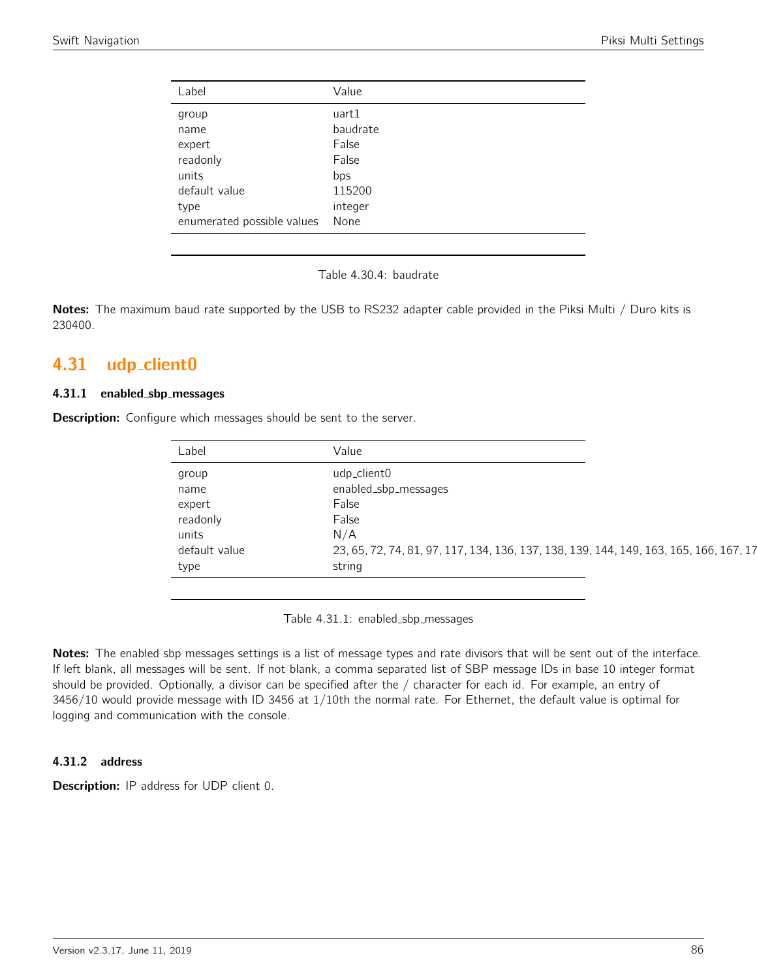| Label                      | Value    |
|----------------------------|----------|
| group                      | uart1    |
| name                       | baudrate |
| expert                     | False    |
| readonly                   | False    |
| units                      | bps      |
| default value              | 115200   |
| type                       | integer  |
| enumerated possible values | None     |

Table 4.30.4: baudrate

Notes: The maximum baud rate supported by the USB to RS232 adapter cable provided in the Piksi Multi / Duro kits is 230400.

# 4.31 udp\_client0

#### 4.31.1 enabled sbp messages

**Description:** Configure which messages should be sent to the server.

| Label         | Value                                                                                  |
|---------------|----------------------------------------------------------------------------------------|
| group         | udp_client0                                                                            |
| name          | enabled_sbp_messages                                                                   |
| expert        | False                                                                                  |
| readonly      | False                                                                                  |
| units         | N/A                                                                                    |
| default value | 23, 65, 72, 74, 81, 97, 117, 134, 136, 137, 138, 139, 144, 149, 163, 165, 166, 167, 17 |
| type          | string                                                                                 |

Table 4.31.1: enabled\_sbp\_messages

Notes: The enabled sbp messages settings is a list of message types and rate divisors that will be sent out of the interface. If left blank, all messages will be sent. If not blank, a comma separated list of SBP message IDs in base 10 integer format should be provided. Optionally, a divisor can be specified after the / character for each id. For example, an entry of 3456/10 would provide message with ID 3456 at 1/10th the normal rate. For Ethernet, the default value is optimal for logging and communication with the console.

## 4.31.2 address

**Description:** IP address for UDP client 0.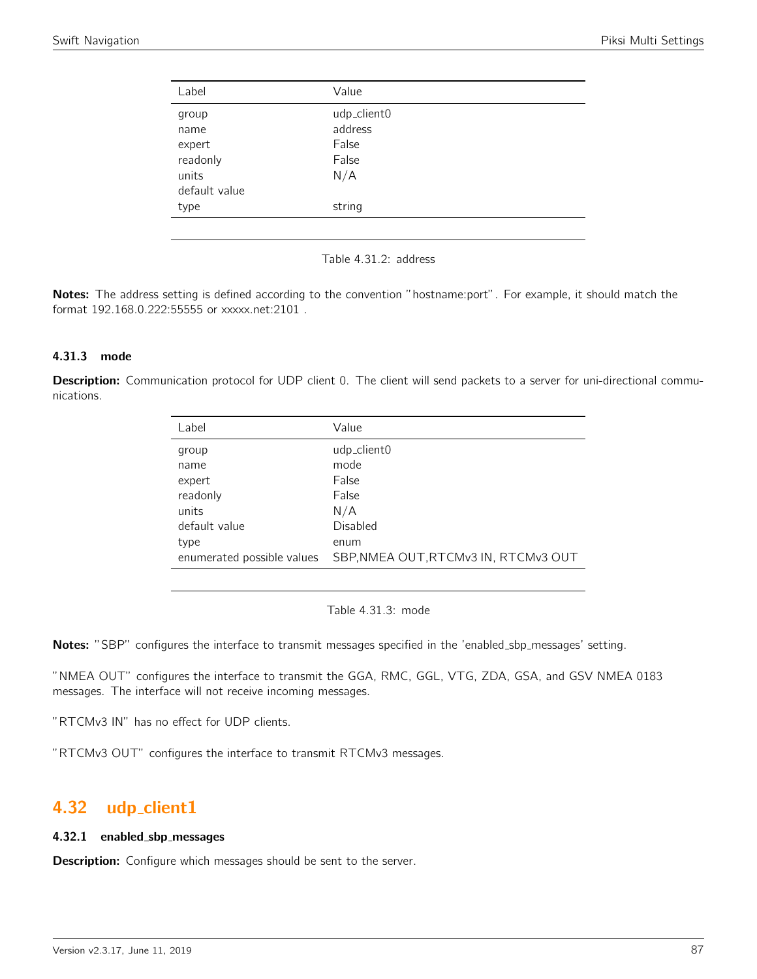| Label         | Value       |  |
|---------------|-------------|--|
| group         | udp_client0 |  |
| name          | address     |  |
| expert        | False       |  |
| readonly      | False       |  |
| units         | N/A         |  |
| default value |             |  |
| type          | string      |  |
|               |             |  |

Table 4.31.2: address

Notes: The address setting is defined according to the convention "hostname:port". For example, it should match the format 192.168.0.222:55555 or xxxxx.net:2101 .

#### 4.31.3 mode

Description: Communication protocol for UDP client 0. The client will send packets to a server for uni-directional communications.

| Label                      | Value                                |
|----------------------------|--------------------------------------|
| group                      | udp_client0                          |
| name                       | mode                                 |
| expert                     | False                                |
| readonly                   | False                                |
| units                      | N/A                                  |
| default value              | Disabled                             |
| type                       | enum                                 |
| enumerated possible values | SBP, NMEA OUT, RTCMv3 IN, RTCMv3 OUT |

Table 4.31.3: mode

Notes: "SBP" configures the interface to transmit messages specified in the 'enabled\_sbp\_messages' setting.

"NMEA OUT" configures the interface to transmit the GGA, RMC, GGL, VTG, ZDA, GSA, and GSV NMEA 0183 messages. The interface will not receive incoming messages.

"RTCMv3 IN" has no effect for UDP clients.

"RTCMv3 OUT" configures the interface to transmit RTCMv3 messages.

## 4.32 udp\_client1

#### 4.32.1 enabled sbp messages

**Description:** Configure which messages should be sent to the server.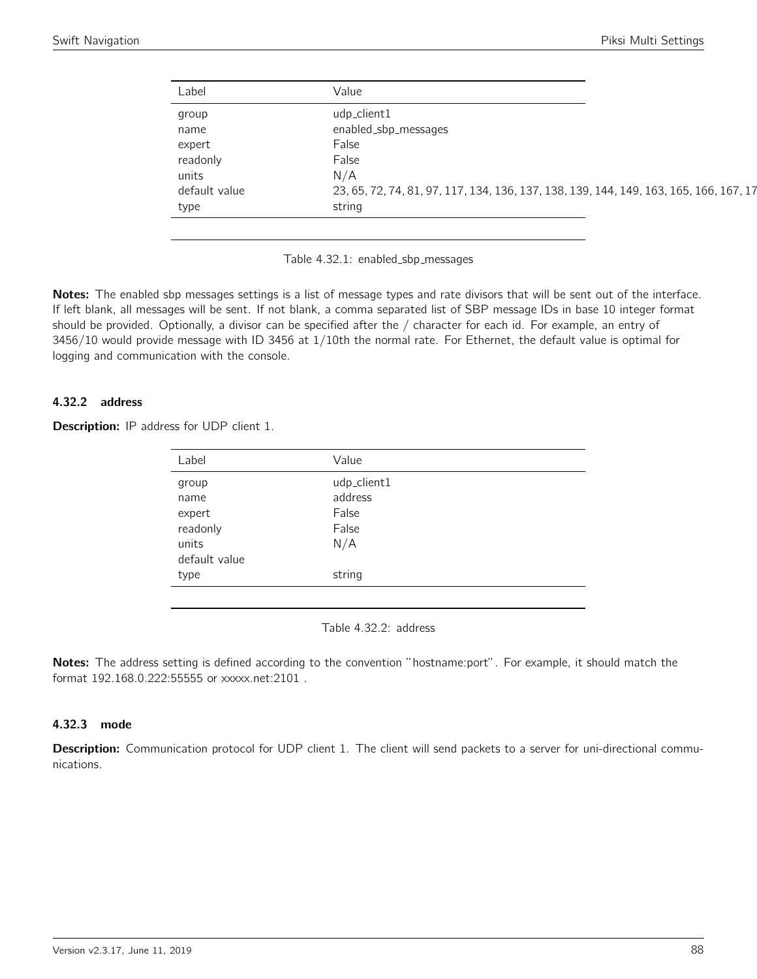| Label         | Value                                                                                  |
|---------------|----------------------------------------------------------------------------------------|
| group         | udp_client1                                                                            |
| name          | enabled_sbp_messages                                                                   |
| expert        | False                                                                                  |
| readonly      | False                                                                                  |
| units         | N/A                                                                                    |
| default value | 23, 65, 72, 74, 81, 97, 117, 134, 136, 137, 138, 139, 144, 149, 163, 165, 166, 167, 17 |
| type          | string                                                                                 |

Table 4.32.1: enabled\_sbp\_messages

Notes: The enabled sbp messages settings is a list of message types and rate divisors that will be sent out of the interface. If left blank, all messages will be sent. If not blank, a comma separated list of SBP message IDs in base 10 integer format should be provided. Optionally, a divisor can be specified after the / character for each id. For example, an entry of 3456/10 would provide message with ID 3456 at 1/10th the normal rate. For Ethernet, the default value is optimal for logging and communication with the console.

### 4.32.2 address

| <b>Description:</b> IP address for UDP client 1. |  |  |  |  |  |  |
|--------------------------------------------------|--|--|--|--|--|--|
|--------------------------------------------------|--|--|--|--|--|--|

| Label         | Value       |
|---------------|-------------|
| group         | udp_client1 |
| name          | address     |
| expert        | False       |
| readonly      | False       |
| units         | N/A         |
| default value |             |
| type          | string      |
|               |             |

Table 4.32.2: address

Notes: The address setting is defined according to the convention "hostname:port". For example, it should match the format 192.168.0.222:55555 or xxxxx.net:2101 .

#### 4.32.3 mode

Description: Communication protocol for UDP client 1. The client will send packets to a server for uni-directional communications.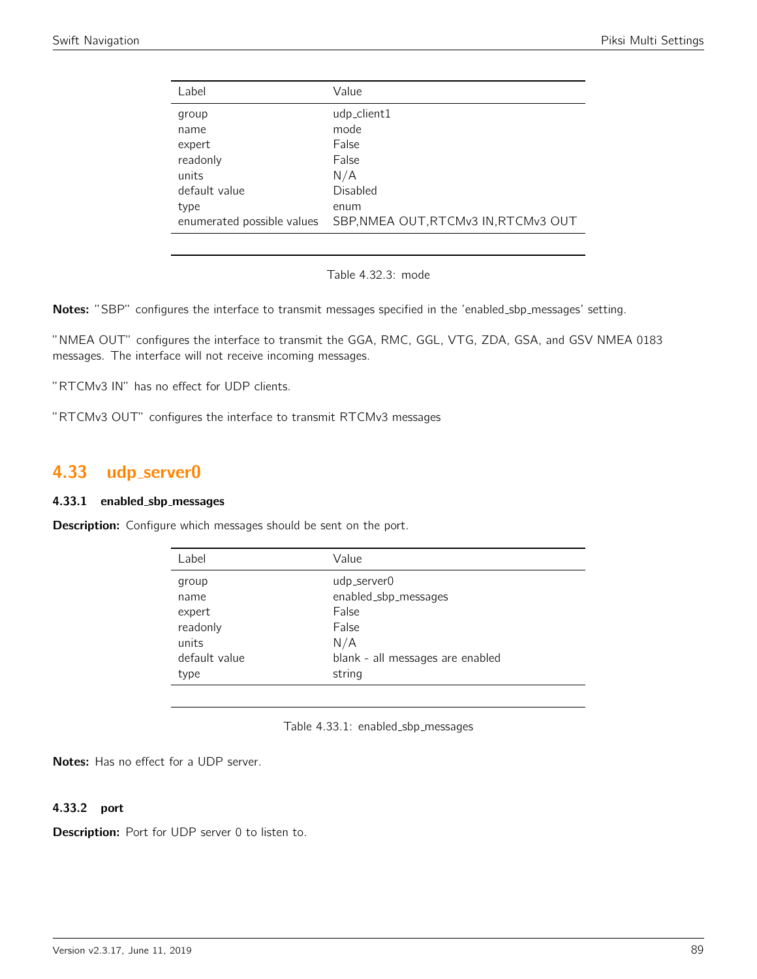| Label                      | Value                                |
|----------------------------|--------------------------------------|
| group                      | udp_client1                          |
| name                       | mode                                 |
| expert                     | False                                |
| readonly                   | False                                |
| units                      | N/A                                  |
| default value              | Disabled                             |
| type                       | enum                                 |
| enumerated possible values | SBP, NMEA OUT, RTCMv3 IN, RTCMv3 OUT |
|                            |                                      |

Table 4.32.3: mode

Notes: "SBP" configures the interface to transmit messages specified in the 'enabled\_sbp\_messages' setting.

"NMEA OUT" configures the interface to transmit the GGA, RMC, GGL, VTG, ZDA, GSA, and GSV NMEA 0183 messages. The interface will not receive incoming messages.

"RTCMv3 IN" has no effect for UDP clients.

"RTCMv3 OUT" configures the interface to transmit RTCMv3 messages

# 4.33 udp\_server0

#### 4.33.1 enabled sbp messages

**Description:** Configure which messages should be sent on the port.

| Label         | Value                            |
|---------------|----------------------------------|
| group         | udp_server0                      |
| name          | enabled_sbp_messages             |
| expert        | False                            |
| readonly      | False                            |
| units         | N/A                              |
| default value | blank - all messages are enabled |
| type          | string                           |
|               |                                  |

Table 4.33.1: enabled\_sbp\_messages

Notes: Has no effect for a UDP server.

### 4.33.2 port

Description: Port for UDP server 0 to listen to.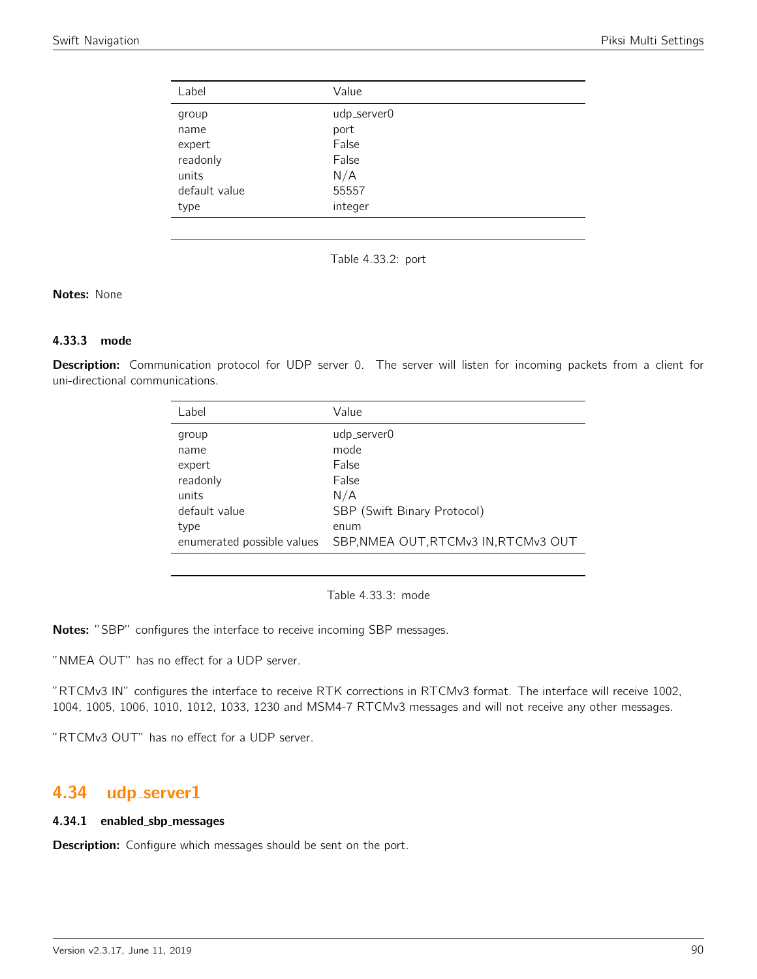| Label         | Value       |
|---------------|-------------|
| group         | udp_server0 |
| name          | port        |
| expert        | False       |
| readonly      | False       |
| units         | N/A         |
| default value | 55557       |
| type          | integer     |

Table 4.33.2: port

### Notes: None

### 4.33.3 mode

Description: Communication protocol for UDP server 0. The server will listen for incoming packets from a client for uni-directional communications.

| Label                      | Value                                |
|----------------------------|--------------------------------------|
| group                      | udp_server0                          |
| name                       | mode                                 |
| expert                     | False                                |
| readonly                   | False                                |
| units                      | N/A                                  |
| default value              | SBP (Swift Binary Protocol)          |
| type                       | enum                                 |
| enumerated possible values | SBP, NMEA OUT, RTCMv3 IN, RTCMv3 OUT |
|                            |                                      |

Table 4.33.3: mode

Notes: "SBP" configures the interface to receive incoming SBP messages.

"NMEA OUT" has no effect for a UDP server.

"RTCMv3 IN" configures the interface to receive RTK corrections in RTCMv3 format. The interface will receive 1002, 1004, 1005, 1006, 1010, 1012, 1033, 1230 and MSM4-7 RTCMv3 messages and will not receive any other messages.

"RTCMv3 OUT" has no effect for a UDP server.

# 4.34 udp server1

#### 4.34.1 enabled sbp messages

Description: Configure which messages should be sent on the port.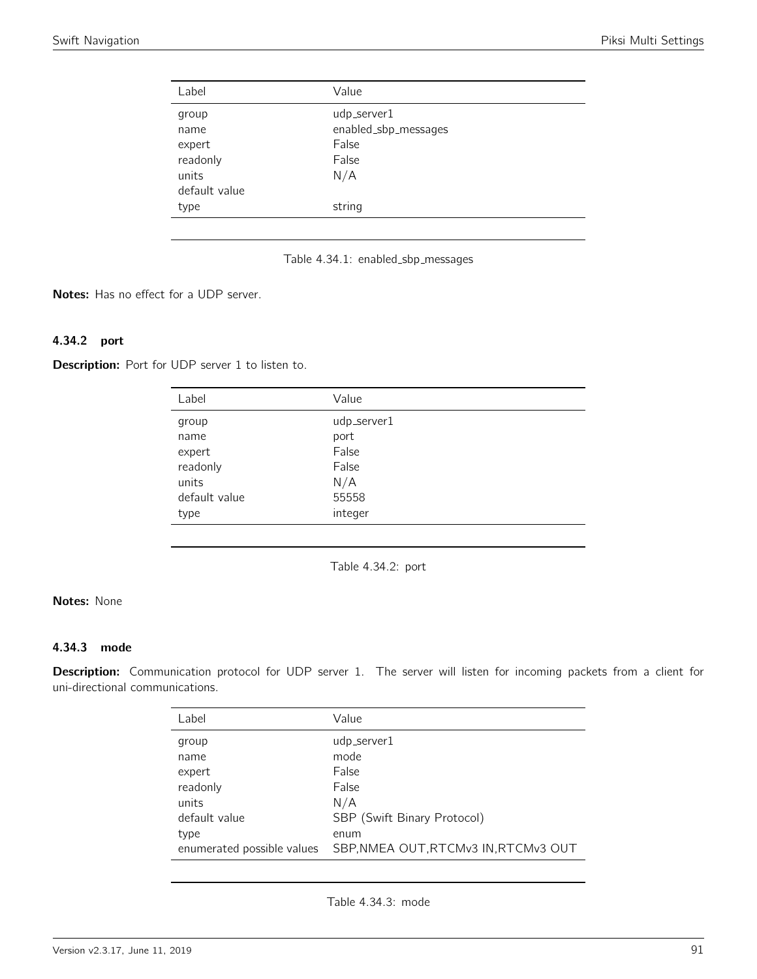| Label         | Value                |
|---------------|----------------------|
| group         | udp_server1          |
| name          | enabled_sbp_messages |
| expert        | False                |
| readonly      | False                |
| units         | N/A                  |
| default value |                      |
| type          | string               |
|               |                      |



Notes: Has no effect for a UDP server.

### 4.34.2 port

Description: Port for UDP server 1 to listen to.

| Label         | Value       |
|---------------|-------------|
| group         | udp_server1 |
| name          | port        |
| expert        | False       |
| readonly      | False       |
| units         | N/A         |
| default value | 55558       |
| type          | integer     |

Table 4.34.2: port

## Notes: None

### 4.34.3 mode

Description: Communication protocol for UDP server 1. The server will listen for incoming packets from a client for uni-directional communications.

| Label                      | Value                                |
|----------------------------|--------------------------------------|
| group                      | udp_server1                          |
| name                       | mode                                 |
| expert                     | False                                |
| readonly                   | False                                |
| units                      | N/A                                  |
| default value              | SBP (Swift Binary Protocol)          |
| type                       | enum                                 |
| enumerated possible values | SBP, NMEA OUT, RTCMv3 IN, RTCMv3 OUT |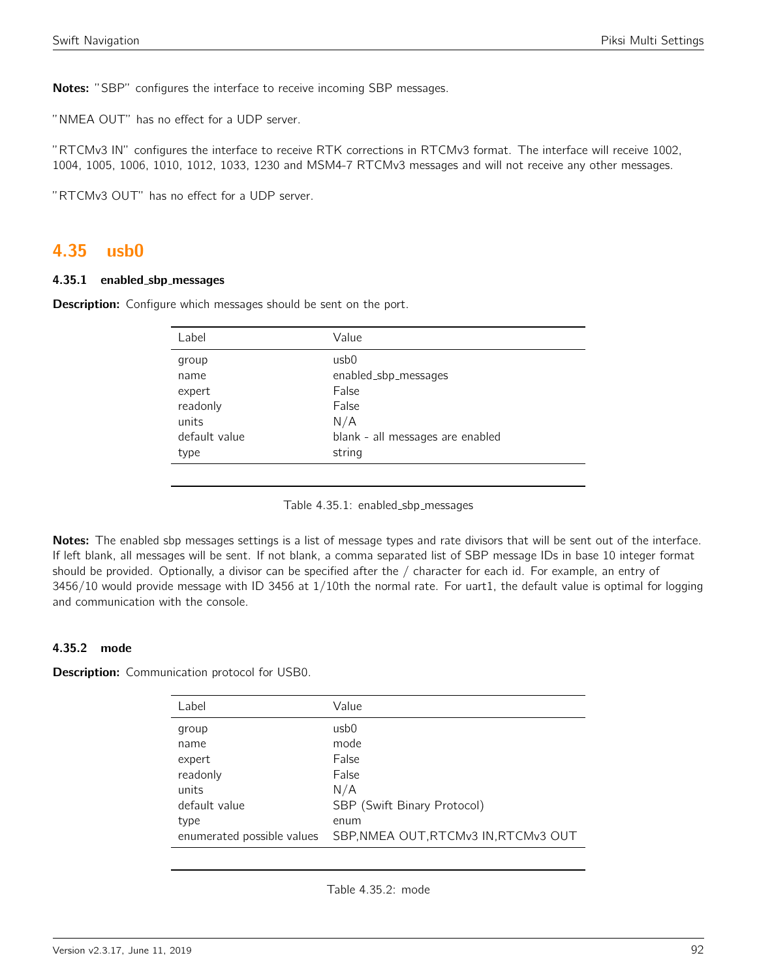Notes: "SBP" configures the interface to receive incoming SBP messages.

"NMEA OUT" has no effect for a UDP server.

"RTCMv3 IN" configures the interface to receive RTK corrections in RTCMv3 format. The interface will receive 1002, 1004, 1005, 1006, 1010, 1012, 1033, 1230 and MSM4-7 RTCMv3 messages and will not receive any other messages.

"RTCMv3 OUT" has no effect for a UDP server.

## 4.35 usb0

#### 4.35.1 enabled sbp messages

Description: Configure which messages should be sent on the port.

| Label         | Value                            |
|---------------|----------------------------------|
| group         | usb <sub>0</sub>                 |
| name          | enabled_sbp_messages             |
| expert        | False                            |
| readonly      | False                            |
| units         | N/A                              |
| default value | blank - all messages are enabled |
| type          | string                           |
|               |                                  |

Table 4.35.1: enabled\_sbp\_messages

Notes: The enabled sbp messages settings is a list of message types and rate divisors that will be sent out of the interface. If left blank, all messages will be sent. If not blank, a comma separated list of SBP message IDs in base 10 integer format should be provided. Optionally, a divisor can be specified after the / character for each id. For example, an entry of 3456/10 would provide message with ID 3456 at 1/10th the normal rate. For uart1, the default value is optimal for logging and communication with the console.

#### 4.35.2 mode

Description: Communication protocol for USB0.

| Label                      | Value                                |
|----------------------------|--------------------------------------|
| group                      | usb0                                 |
| name                       | mode                                 |
| expert                     | False                                |
| readonly                   | False                                |
| units                      | N/A                                  |
| default value              | SBP (Swift Binary Protocol)          |
| type                       | enum                                 |
| enumerated possible values | SBP, NMEA OUT, RTCMv3 IN, RTCMv3 OUT |

Table 4.35.2: mode